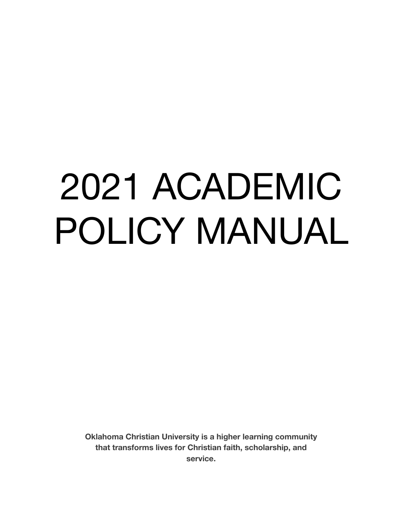# 2021 ACADEMIC POLICY MANUAL

**Oklahoma Christian University is a higher learning community that transforms lives for Christian faith, scholarship, and service.**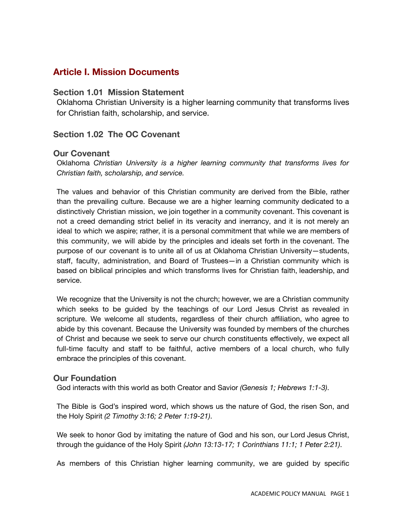# **Article I. Mission Documents**

# **Section 1.01 Mission Statement**

Oklahoma Christian University is a higher learning community that transforms lives for Christian faith, scholarship, and service.

# **Section 1.02 The OC Covenant**

# **Our Covenant**

Oklahoma *Christian University is a higher learning community that transforms lives for Christian faith, scholarship, and service.*

The values and behavior of this Christian community are derived from the Bible, rather than the prevailing culture. Because we are a higher learning community dedicated to a distinctively Christian mission, we join together in a community covenant. This covenant is not a creed demanding strict belief in its veracity and inerrancy, and it is not merely an ideal to which we aspire; rather, it is a personal commitment that while we are members of this community, we will abide by the principles and ideals set forth in the covenant. The purpose of our covenant is to unite all of us at Oklahoma Christian University—students, staff, faculty, administration, and Board of Trustees—in a Christian community which is based on biblical principles and which transforms lives for Christian faith, leadership, and service.

We recognize that the University is not the church; however, we are a Christian community which seeks to be guided by the teachings of our Lord Jesus Christ as revealed in scripture. We welcome all students, regardless of their church affiliation, who agree to abide by this covenant. Because the University was founded by members of the churches of Christ and because we seek to serve our church constituents effectively, we expect all full-time faculty and staff to be faithful, active members of a local church, who fully embrace the principles of this covenant.

# **Our Foundation**

God interacts with this world as both Creator and Savior *(Genesis 1; Hebrews 1:1-3)*.

The Bible is God's inspired word, which shows us the nature of God, the risen Son, and the Holy Spirit *(2 Timothy 3:16; 2 Peter 1:19-21)*.

We seek to honor God by imitating the nature of God and his son, our Lord Jesus Christ, through the guidance of the Holy Spirit *(John 13:13-17; 1 Corinthians 11:1; 1 Peter 2:21)*.

As members of this Christian higher learning community, we are guided by specific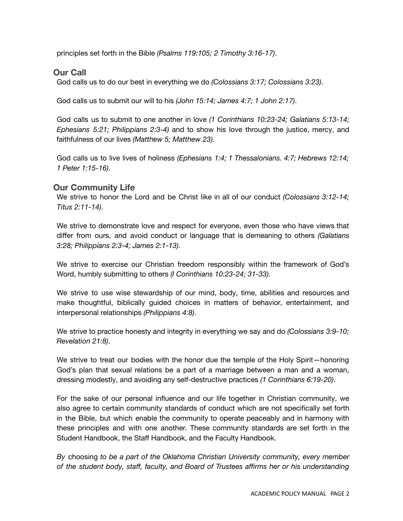principles set forth in the Bible *(Psalms 119:105; 2 Timothy 3:16-17)*.

# **Our Call**

God calls us to do our best in everything we do *(Colossians 3:17; Colossians 3:23)*.

God calls us to submit our will to his *(John 15:14; James 4:7; 1 John 2:17)*.

God calls us to submit to one another in love *(1 Corinthians 10:23-24; Galatians 5:13-14; Ephesians 5:21; Philippians 2:3-4)* and to show his love through the justice, mercy, and faithfulness of our lives *(Matthew 5; Matthew 23)*.

God calls us to live lives of holiness *(Ephesians 1:4; 1 Thessalonians. 4:7; Hebrews 12:14; 1 Peter 1:15-16)*.

# **Our Community Life**

We strive to honor the Lord and be Christ like in all of our conduct *(Colossians 3:12-14; Titus 2:11-14)*.

We strive to demonstrate love and respect for everyone, even those who have views that differ from ours, and avoid conduct or language that is demeaning to others *(Galatians 3:28; Philippians 2:3-4; James 2:1-13)*.

We strive to exercise our Christian freedom responsibly within the framework of God's Word, humbly submitting to others *(I Corinthians 10:23-24; 31-33)*.

We strive to use wise stewardship of our mind, body, time, abilities and resources and make thoughtful, biblically guided choices in matters of behavior, entertainment, and interpersonal relationships *(Philippians 4:8)*.

We strive to practice honesty and integrity in everything we say and do *(Colossians 3:9-10; Revelation 21:8)*.

We strive to treat our bodies with the honor due the temple of the Holy Spirit-honoring God's plan that sexual relations be a part of a marriage between a man and a woman, dressing modestly, and avoiding any self-destructive practices *(1 Corinthians 6:19-20)*.

For the sake of our personal influence and our life together in Christian community, we also agree to certain community standards of conduct which are not specifically set forth in the Bible, but which enable the community to operate peaceably and in harmony with these principles and with one another. These community standards are set forth in the Student Handbook, the Staff Handbook, and the Faculty Handbook.

*By* choosing *to be a part of the Oklahoma Christian University community, every member of the student body, staff, faculty, and Board of Trustees affirms her or his understanding*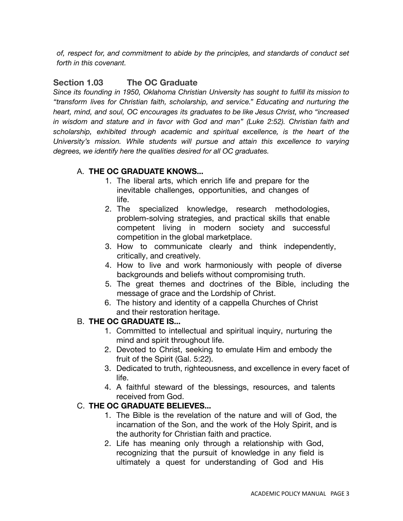*of, respect for, and commitment to abide by the principles, and standards of conduct set forth in this covenant.*

# **Section 1.03 The OC Graduate**

*Since its founding in 1950, Oklahoma Christian University has sought to fulfill its mission to "transform lives for Christian faith, scholarship, and service." Educating and nurturing the heart, mind, and soul, OC encourages its graduates to be like Jesus Christ, who "increased in wisdom and stature and in favor with God and man" (Luke 2:52). Christian faith and scholarship, exhibited through academic and spiritual excellence, is the heart of the University's mission. While students will pursue and attain this excellence to varying degrees, we identify here the qualities desired for all OC graduates.*

# A. **THE OC GRADUATE KNOWS...**

- 1. The liberal arts, which enrich life and prepare for the inevitable challenges, opportunities, and changes of life.
- 2. The specialized knowledge, research methodologies, problem-solving strategies, and practical skills that enable competent living in modern society and successful competition in the global marketplace.
- 3. How to communicate clearly and think independently, critically, and creatively.
- 4. How to live and work harmoniously with people of diverse backgrounds and beliefs without compromising truth.
- 5. The great themes and doctrines of the Bible, including the message of grace and the Lordship of Christ.
- 6. The history and identity of a cappella Churches of Christ and their restoration heritage.

# B. **THE OC GRADUATE IS...**

- 1. Committed to intellectual and spiritual inquiry, nurturing the mind and spirit throughout life.
- 2. Devoted to Christ, seeking to emulate Him and embody the fruit of the Spirit (Gal. 5:22).
- 3. Dedicated to truth, righteousness, and excellence in every facet of life.
- 4. A faithful steward of the blessings, resources, and talents received from God.

# C. **THE OC GRADUATE BELIEVES...**

- 1. The Bible is the revelation of the nature and will of God, the incarnation of the Son, and the work of the Holy Spirit, and is the authority for Christian faith and practice.
- 2. Life has meaning only through a relationship with God, recognizing that the pursuit of knowledge in any field is ultimately a quest for understanding of God and His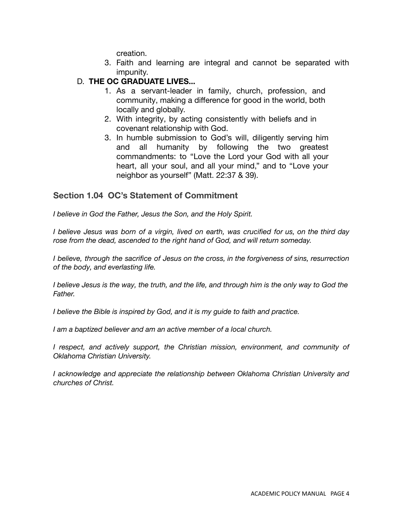creation.

- 3. Faith and learning are integral and cannot be separated with impunity.
- D. **THE OC GRADUATE LIVES...**
	- 1. As a servant-leader in family, church, profession, and community, making a difference for good in the world, both locally and globally.
	- 2. With integrity, by acting consistently with beliefs and in covenant relationship with God.
	- 3. In humble submission to God's will, diligently serving him and all humanity by following the two greatest commandments: to "Love the Lord your God with all your heart, all your soul, and all your mind," and to "Love your neighbor as yourself" (Matt. 22:37 & 39).

# **Section 1.04 OC's Statement of Commitment**

*I believe in God the Father, Jesus the Son, and the Holy Spirit.*

I believe Jesus was born of a virgin, lived on earth, was crucified for us, on the third day *rose from the dead, ascended to the right hand of God, and will return someday.*

*I believe, through the sacrifice of Jesus on the cross, in the forgiveness of sins, resurrection of the body, and everlasting life.*

I believe Jesus is the way, the truth, and the life, and through him is the only way to God the *Father.*

*I believe the Bible is inspired by God, and it is my guide to faith and practice.*

*I am a baptized believer and am an active member of a local church.*

*I respect, and actively support, the Christian mission, environment, and community of Oklahoma Christian University.*

*I acknowledge and appreciate the relationship between Oklahoma Christian University and churches of Christ.*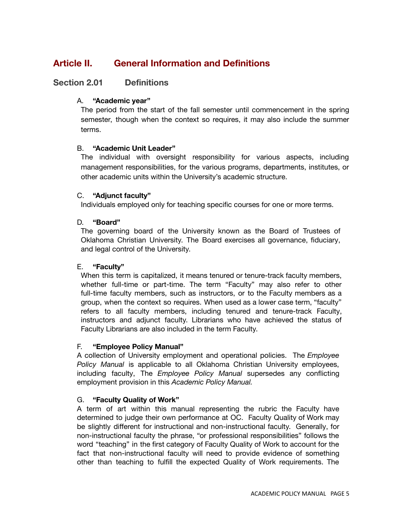# **Article II. General Information and Definitions**

# **Section 2.01 Definitions**

# A. **"Academic year"**

The period from the start of the fall semester until commencement in the spring semester, though when the context so requires, it may also include the summer terms.

# B. **"Academic Unit Leader"**

The individual with oversight responsibility for various aspects, including management responsibilities, for the various programs, departments, institutes, or other academic units within the University's academic structure.

# C. **"Adjunct faculty"**

Individuals employed only for teaching specific courses for one or more terms.

# D. **"Board"**

The governing board of the University known as the Board of Trustees of Oklahoma Christian University. The Board exercises all governance, fiduciary, and legal control of the University.

# E. **"Faculty"**

When this term is capitalized, it means tenured or tenure-track faculty members, whether full-time or part-time. The term "Faculty" may also refer to other full-time faculty members, such as instructors, or to the Faculty members as a group, when the context so requires. When used as a lower case term, "faculty" refers to all faculty members, including tenured and tenure-track Faculty, instructors and adjunct faculty. Librarians who have achieved the status of Faculty Librarians are also included in the term Faculty.

# F. **"Employee Policy Manual"**

A collection of University employment and operational policies. The *Employee Policy Manual* is applicable to all Oklahoma Christian University employees, including faculty, The *Employee Policy Manual* supersedes any conflicting employment provision in this *Academic Policy Manual.*

# G. **"Faculty Quality of Work"**

A term of art within this manual representing the rubric the Faculty have determined to judge their own performance at OC. Faculty Quality of Work may be slightly different for instructional and non-instructional faculty. Generally, for non-instructional faculty the phrase, "or professional responsibilities" follows the word "teaching" in the first category of Faculty Quality of Work to account for the fact that non-instructional faculty will need to provide evidence of something other than teaching to fulfill the expected Quality of Work requirements. The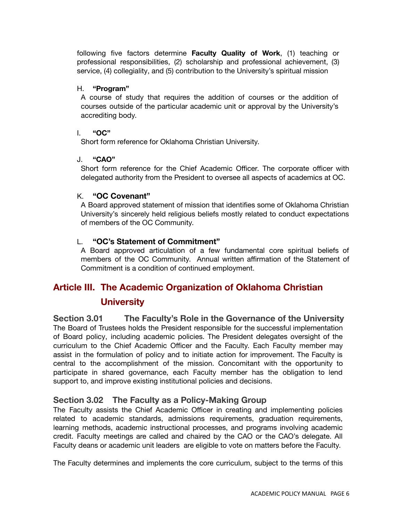following five factors determine **Faculty Quality of Work**, (1) teaching or professional responsibilities, (2) scholarship and professional achievement, (3) service, (4) collegiality, and (5) contribution to the University's spiritual mission

#### H. **"Program"**

A course of study that requires the addition of courses or the addition of courses outside of the particular academic unit or approval by the University's accrediting body.

#### I. **"OC"**

Short form reference for Oklahoma Christian University.

#### J. **"CAO"**

Short form reference for the Chief Academic Officer. The corporate officer with delegated authority from the President to oversee all aspects of academics at OC.

#### K. **"OC Covenant"**

A Board approved statement of mission that identifies some of Oklahoma Christian University's sincerely held religious beliefs mostly related to conduct expectations of members of the OC Community.

#### L. **"OC's Statement of Commitment"**

A Board approved articulation of a few fundamental core spiritual beliefs of members of the OC Community. Annual written affirmation of the Statement of Commitment is a condition of continued employment.

# **Article III. The Academic Organization of Oklahoma Christian**

# **University**

**Section 3.01 The Faculty's Role in the Governance of the University** The Board of Trustees holds the President responsible for the successful implementation of Board policy, including academic policies. The President delegates oversight of the curriculum to the Chief Academic Officer and the Faculty. Each Faculty member may assist in the formulation of policy and to initiate action for improvement. The Faculty is central to the accomplishment of the mission. Concomitant with the opportunity to participate in shared governance, each Faculty member has the obligation to lend support to, and improve existing institutional policies and decisions.

# **Section 3.02 The Faculty as a Policy-Making Group**

The Faculty assists the Chief Academic Officer in creating and implementing policies related to academic standards, admissions requirements, graduation requirements, learning methods, academic instructional processes, and programs involving academic credit. Faculty meetings are called and chaired by the CAO or the CAO's delegate. All Faculty deans or academic unit leaders are eligible to vote on matters before the Faculty.

The Faculty determines and implements the core curriculum, subject to the terms of this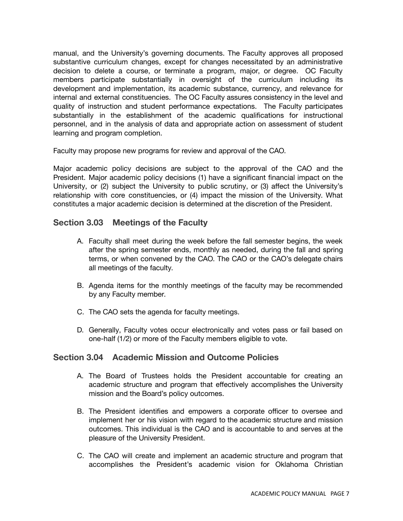manual, and the University's governing documents. The Faculty approves all proposed substantive curriculum changes, except for changes necessitated by an administrative decision to delete a course, or terminate a program, major, or degree. OC Faculty members participate substantially in oversight of the curriculum including its development and implementation, its academic substance, currency, and relevance for internal and external constituencies. The OC Faculty assures consistency in the level and quality of instruction and student performance expectations. The Faculty participates substantially in the establishment of the academic qualifications for instructional personnel, and in the analysis of data and appropriate action on assessment of student learning and program completion.

Faculty may propose new programs for review and approval of the CAO.

Major academic policy decisions are subject to the approval of the CAO and the President. Major academic policy decisions (1) have a significant financial impact on the University, or (2) subject the University to public scrutiny, or (3) affect the University's relationship with core constituencies, or (4) impact the mission of the University. What constitutes a major academic decision is determined at the discretion of the President.

# **Section 3.03 Meetings of the Faculty**

- A. Faculty shall meet during the week before the fall semester begins, the week after the spring semester ends, monthly as needed, during the fall and spring terms, or when convened by the CAO. The CAO or the CAO's delegate chairs all meetings of the faculty.
- B. Agenda items for the monthly meetings of the faculty may be recommended by any Faculty member.
- C. The CAO sets the agenda for faculty meetings.
- D. Generally, Faculty votes occur electronically and votes pass or fail based on one-half (1/2) or more of the Faculty members eligible to vote.

# **Section 3.04 Academic Mission and Outcome Policies**

- A. The Board of Trustees holds the President accountable for creating an academic structure and program that effectively accomplishes the University mission and the Board's policy outcomes.
- B. The President identifies and empowers a corporate officer to oversee and implement her or his vision with regard to the academic structure and mission outcomes. This individual is the CAO and is accountable to and serves at the pleasure of the University President.
- C. The CAO will create and implement an academic structure and program that accomplishes the President's academic vision for Oklahoma Christian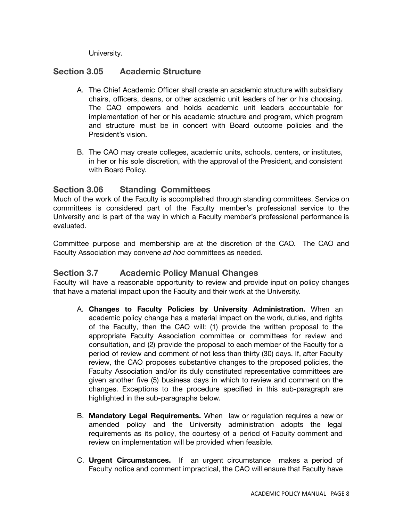University.

# **Section 3.05 Academic Structure**

- A. The Chief Academic Officer shall create an academic structure with subsidiary chairs, officers, deans, or other academic unit leaders of her or his choosing. The CAO empowers and holds academic unit leaders accountable for implementation of her or his academic structure and program, which program and structure must be in concert with Board outcome policies and the President's vision.
- B. The CAO may create colleges, academic units, schools, centers, or institutes, in her or his sole discretion, with the approval of the President, and consistent with Board Policy.

# **Section 3.06 Standing Committees**

Much of the work of the Faculty is accomplished through standing committees. Service on committees is considered part of the Faculty member's professional service to the University and is part of the way in which a Faculty member's professional performance is evaluated.

Committee purpose and membership are at the discretion of the CAO. The CAO and Faculty Association may convene *ad hoc* committees as needed.

# **Section 3.7 Academic Policy Manual Changes**

Faculty will have a reasonable opportunity to review and provide input on policy changes that have a material impact upon the Faculty and their work at the University.

- A. **Changes to Faculty Policies by University Administration.** When an academic policy change has a material impact on the work, duties, and rights of the Faculty, then the CAO will: (1) provide the written proposal to the appropriate Faculty Association committee or committees for review and consultation, and (2) provide the proposal to each member of the Faculty for a period of review and comment of not less than thirty (30) days. If, after Faculty review, the CAO proposes substantive changes to the proposed policies, the Faculty Association and/or its duly constituted representative committees are given another five (5) business days in which to review and comment on the changes. Exceptions to the procedure specified in this sub-paragraph are highlighted in the sub-paragraphs below.
- B. **Mandatory Legal Requirements.** When law or regulation requires a new or amended policy and the University administration adopts the legal requirements as its policy, the courtesy of a period of Faculty comment and review on implementation will be provided when feasible.
- C. **Urgent Circumstances.** If an urgent circumstance makes a period of Faculty notice and comment impractical, the CAO will ensure that Faculty have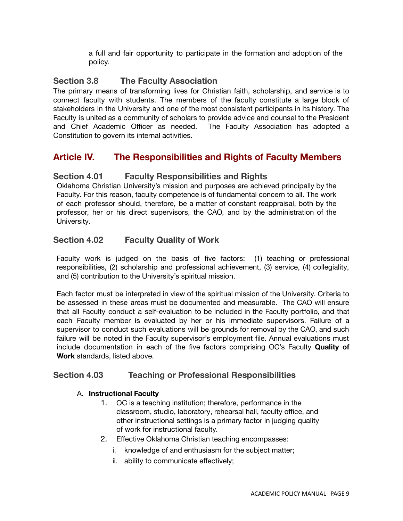a full and fair opportunity to participate in the formation and adoption of the policy.

# **Section 3.8 The Faculty Association**

The primary means of transforming lives for Christian faith, scholarship, and service is to connect faculty with students. The members of the faculty constitute a large block of stakeholders in the University and one of the most consistent participants in its history. The Faculty is united as a community of scholars to provide advice and counsel to the President and Chief Academic Officer as needed. The Faculty Association has adopted a Constitution to govern its internal activities.

# **Article IV. The Responsibilities and Rights of Faculty Members**

# **Section 4.01 Faculty Responsibilities and Rights**

Oklahoma Christian University's mission and purposes are achieved principally by the Faculty. For this reason, faculty competence is of fundamental concern to all. The work of each professor should, therefore, be a matter of constant reappraisal, both by the professor, her or his direct supervisors, the CAO, and by the administration of the University.

# **Section 4.02 Faculty Quality of Work**

Faculty work is judged on the basis of five factors: (1) teaching or professional responsibilities, (2) scholarship and professional achievement, (3) service, (4) collegiality, and (5) contribution to the University's spiritual mission.

Each factor must be interpreted in view of the spiritual mission of the University. Criteria to be assessed in these areas must be documented and measurable. The CAO will ensure that all Faculty conduct a self-evaluation to be included in the Faculty portfolio, and that each Faculty member is evaluated by her or his immediate supervisors. Failure of a supervisor to conduct such evaluations will be grounds for removal by the CAO, and such failure will be noted in the Faculty supervisor's employment file. Annual evaluations must include documentation in each of the five factors comprising OC's Faculty **Quality of Work** standards, listed above.

# **Section 4.03 Teaching or Professional Responsibilities**

# A. **Instructional Faculty**

- 1. OC is a teaching institution; therefore, performance in the classroom, studio, laboratory, rehearsal hall, faculty office, and other instructional settings is a primary factor in judging quality of work for instructional faculty.
- 2. Effective Oklahoma Christian teaching encompasses:
	- i. knowledge of and enthusiasm for the subject matter;
	- ii. ability to communicate effectively;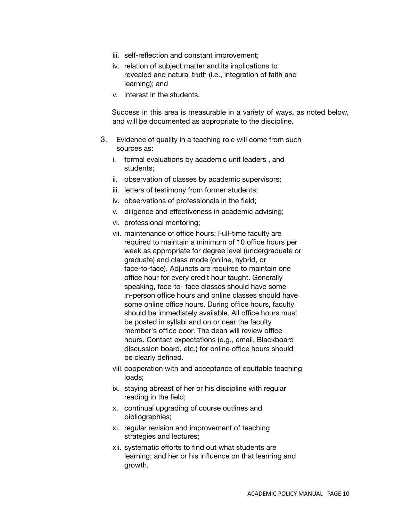- iii. self-reflection and constant improvement;
- iv. relation of subject matter and its implications to revealed and natural truth (i.e., integration of faith and learning); and
- v. interest in the students.

Success in this area is measurable in a variety of ways, as noted below, and will be documented as appropriate to the discipline.

- 3. Evidence of quality in a teaching role will come from such sources as:
	- i. formal evaluations by academic unit leaders , and students;
	- ii. observation of classes by academic supervisors;
	- iii. letters of testimony from former students;
	- iv. observations of professionals in the field;
	- v. diligence and effectiveness in academic advising;
	- vi. professional mentoring;
	- vii. maintenance of office hours; Full-time faculty are required to maintain a minimum of 10 office hours per week as appropriate for degree level (undergraduate or graduate) and class mode (online, hybrid, or face-to-face). Adjuncts are required to maintain one office hour for every credit hour taught. Generally speaking, face-to- face classes should have some in-person office hours and online classes should have some online office hours. During office hours, faculty should be immediately available. All office hours must be posted in syllabi and on or near the faculty member's office door. The dean will review office hours. Contact expectations (e.g., email, Blackboard discussion board, etc.) for online office hours should be clearly defined.
	- viii. cooperation with and acceptance of equitable teaching loads;
	- ix. staying abreast of her or his discipline with regular reading in the field;
	- x. continual upgrading of course outlines and bibliographies;
	- xi. regular revision and improvement of teaching strategies and lectures;
	- xii. systematic efforts to find out what students are learning; and her or his influence on that learning and growth.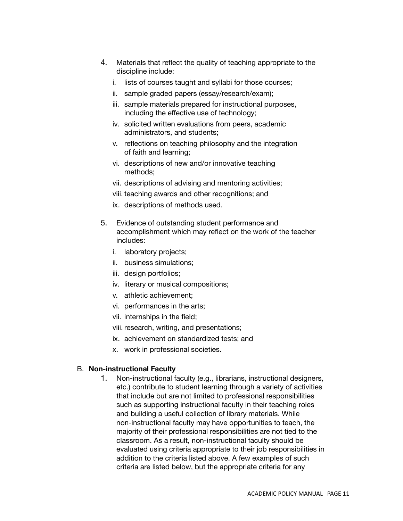- 4. Materials that reflect the quality of teaching appropriate to the discipline include:
	- i. lists of courses taught and syllabi for those courses;
	- ii. sample graded papers (essay/research/exam);
	- iii. sample materials prepared for instructional purposes, including the effective use of technology;
	- iv. solicited written evaluations from peers, academic administrators, and students;
	- v. reflections on teaching philosophy and the integration of faith and learning;
	- vi. descriptions of new and/or innovative teaching methods;
	- vii. descriptions of advising and mentoring activities;
	- viii. teaching awards and other recognitions; and
	- ix. descriptions of methods used.
- 5. Evidence of outstanding student performance and accomplishment which may reflect on the work of the teacher includes:
	- i. laboratory projects;
	- ii. business simulations;
	- iii. design portfolios;
	- iv. literary or musical compositions;
	- v. athletic achievement;
	- vi. performances in the arts;
	- vii. internships in the field;
	- viii. research, writing, and presentations;
	- ix. achievement on standardized tests; and
	- x. work in professional societies.

# B. **Non-instructional Faculty**

1. Non-instructional faculty (e.g., librarians, instructional designers, etc.) contribute to student learning through a variety of activities that include but are not limited to professional responsibilities such as supporting instructional faculty in their teaching roles and building a useful collection of library materials. While non-instructional faculty may have opportunities to teach, the majority of their professional responsibilities are not tied to the classroom. As a result, non-instructional faculty should be evaluated using criteria appropriate to their job responsibilities in addition to the criteria listed above. A few examples of such criteria are listed below, but the appropriate criteria for any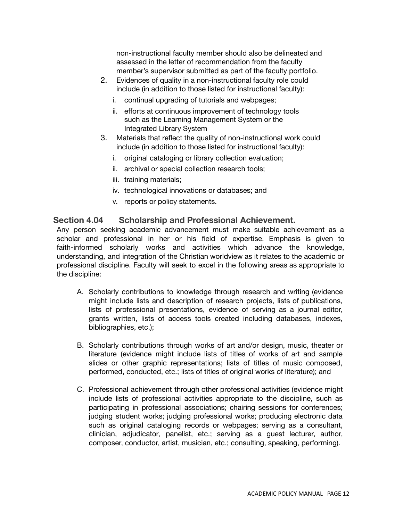non-instructional faculty member should also be delineated and assessed in the letter of recommendation from the faculty member's supervisor submitted as part of the faculty portfolio.

- 2. Evidences of quality in a non-instructional faculty role could include (in addition to those listed for instructional faculty):
	- i. continual upgrading of tutorials and webpages;
	- ii. efforts at continuous improvement of technology tools such as the Learning Management System or the Integrated Library System
- 3. Materials that reflect the quality of non-instructional work could include (in addition to those listed for instructional faculty):
	- i. original cataloging or library collection evaluation;
	- ii. archival or special collection research tools;
	- iii. training materials;
	- iv. technological innovations or databases; and
	- v. reports or policy statements.

# **Section 4.04 Scholarship and Professional Achievement.**

Any person seeking academic advancement must make suitable achievement as a scholar and professional in her or his field of expertise. Emphasis is given to faith-informed scholarly works and activities which advance the knowledge, understanding, and integration of the Christian worldview as it relates to the academic or professional discipline. Faculty will seek to excel in the following areas as appropriate to the discipline:

- A. Scholarly contributions to knowledge through research and writing (evidence might include lists and description of research projects, lists of publications, lists of professional presentations, evidence of serving as a journal editor, grants written, lists of access tools created including databases, indexes, bibliographies, etc.);
- B. Scholarly contributions through works of art and/or design, music, theater or literature (evidence might include lists of titles of works of art and sample slides or other graphic representations; lists of titles of music composed, performed, conducted, etc.; lists of titles of original works of literature); and
- C. Professional achievement through other professional activities (evidence might include lists of professional activities appropriate to the discipline, such as participating in professional associations; chairing sessions for conferences; judging student works; judging professional works; producing electronic data such as original cataloging records or webpages; serving as a consultant, clinician, adjudicator, panelist, etc.; serving as a guest lecturer, author, composer, conductor, artist, musician, etc.; consulting, speaking, performing).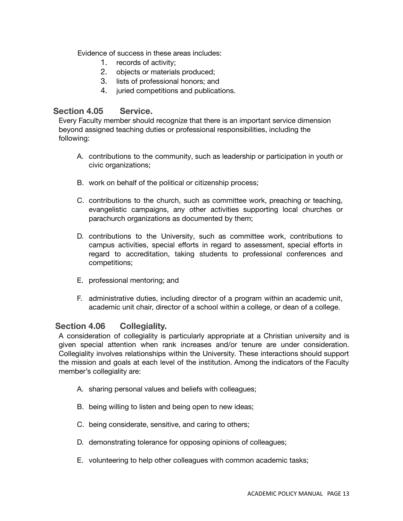Evidence of success in these areas includes:

- 1. records of activity;
- 2. objects or materials produced;
- 3. lists of professional honors; and
- 4. juried competitions and publications.

# **Section 4.05 Service.**

Every Faculty member should recognize that there is an important service dimension beyond assigned teaching duties or professional responsibilities, including the following:

- A. contributions to the community, such as leadership or participation in youth or civic organizations;
- B. work on behalf of the political or citizenship process;
- C. contributions to the church, such as committee work, preaching or teaching, evangelistic campaigns, any other activities supporting local churches or parachurch organizations as documented by them;
- D. contributions to the University, such as committee work, contributions to campus activities, special efforts in regard to assessment, special efforts in regard to accreditation, taking students to professional conferences and competitions;
- E. professional mentoring; and
- F. administrative duties, including director of a program within an academic unit, academic unit chair, director of a school within a college, or dean of a college.

# **Section 4.06 Collegiality.**

A consideration of collegiality is particularly appropriate at a Christian university and is given special attention when rank increases and/or tenure are under consideration. Collegiality involves relationships within the University. These interactions should support the mission and goals at each level of the institution. Among the indicators of the Faculty member's collegiality are:

- A. sharing personal values and beliefs with colleagues;
- B. being willing to listen and being open to new ideas;
- C. being considerate, sensitive, and caring to others;
- D. demonstrating tolerance for opposing opinions of colleagues;
- E. volunteering to help other colleagues with common academic tasks;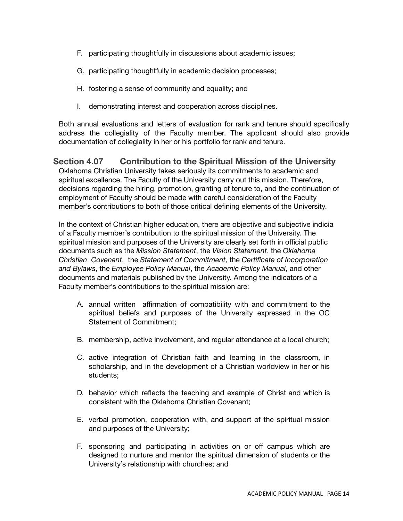- F. participating thoughtfully in discussions about academic issues;
- G. participating thoughtfully in academic decision processes;
- H. fostering a sense of community and equality; and
- I. demonstrating interest and cooperation across disciplines.

Both annual evaluations and letters of evaluation for rank and tenure should specifically address the collegiality of the Faculty member. The applicant should also provide documentation of collegiality in her or his portfolio for rank and tenure.

**Section 4.07 Contribution to the Spiritual Mission of the University** Oklahoma Christian University takes seriously its commitments to academic and spiritual excellence. The Faculty of the University carry out this mission. Therefore, decisions regarding the hiring, promotion, granting of tenure to, and the continuation of employment of Faculty should be made with careful consideration of the Faculty member's contributions to both of those critical defining elements of the University.

In the context of Christian higher education, there are objective and subjective indicia of a Faculty member's contribution to the spiritual mission of the University. The spiritual mission and purposes of the University are clearly set forth in official public documents such as the *Mission Statement*, the *Vision Statement*, the *Oklahoma Christian Covenant*, the *Statement of Commitment*, the *Certificate of Incorporation and Bylaws*, the *Employee Policy Manual*, the *Academic Policy Manual*, and other documents and materials published by the University. Among the indicators of a Faculty member's contributions to the spiritual mission are:

- A. annual written affirmation of compatibility with and commitment to the spiritual beliefs and purposes of the University expressed in the OC Statement of Commitment;
- B. membership, active involvement, and regular attendance at a local church;
- C. active integration of Christian faith and learning in the classroom, in scholarship, and in the development of a Christian worldview in her or his students;
- D. behavior which reflects the teaching and example of Christ and which is consistent with the Oklahoma Christian Covenant;
- E. verbal promotion, cooperation with, and support of the spiritual mission and purposes of the University;
- F. sponsoring and participating in activities on or off campus which are designed to nurture and mentor the spiritual dimension of students or the University's relationship with churches; and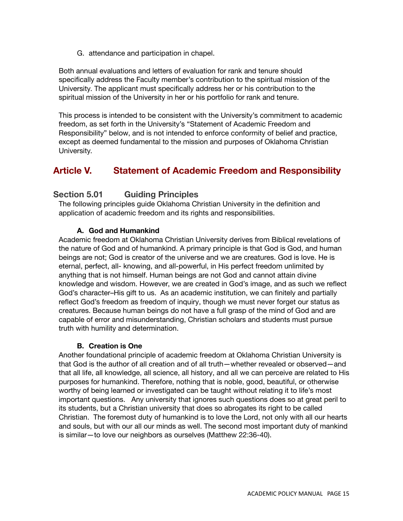G. attendance and participation in chapel.

Both annual evaluations and letters of evaluation for rank and tenure should specifically address the Faculty member's contribution to the spiritual mission of the University. The applicant must specifically address her or his contribution to the spiritual mission of the University in her or his portfolio for rank and tenure.

This process is intended to be consistent with the University's commitment to academic freedom, as set forth in the University's "Statement of Academic Freedom and Responsibility" below, and is not intended to enforce conformity of belief and practice, except as deemed fundamental to the mission and purposes of Oklahoma Christian University.

# **Article V. Statement of Academic Freedom and Responsibility**

# **Section 5.01 Guiding Principles**

The following principles guide Oklahoma Christian University in the definition and application of academic freedom and its rights and responsibilities.

# **A. God and Humankind**

Academic freedom at Oklahoma Christian University derives from Biblical revelations of the nature of God and of humankind. A primary principle is that God is God, and human beings are not; God is creator of the universe and we are creatures. God is love. He is eternal, perfect, all- knowing, and all-powerful, in His perfect freedom unlimited by anything that is not himself. Human beings are not God and cannot attain divine knowledge and wisdom. However, we are created in God's image, and as such we reflect God's character–His gift to us. As an academic institution, we can finitely and partially reflect God's freedom as freedom of inquiry, though we must never forget our status as creatures. Because human beings do not have a full grasp of the mind of God and are capable of error and misunderstanding, Christian scholars and students must pursue truth with humility and determination.

# **B. Creation is One**

Another foundational principle of academic freedom at Oklahoma Christian University is that God is the author of all creation and of all truth—whether revealed or observed—and that all life, all knowledge, all science, all history, and all we can perceive are related to His purposes for humankind. Therefore, nothing that is noble, good, beautiful, or otherwise worthy of being learned or investigated can be taught without relating it to life's most important questions. Any university that ignores such questions does so at great peril to its students, but a Christian university that does so abrogates its right to be called Christian. The foremost duty of humankind is to love the Lord, not only with all our hearts and souls, but with our all our minds as well. The second most important duty of mankind is similar—to love our neighbors as ourselves (Matthew 22:36-40).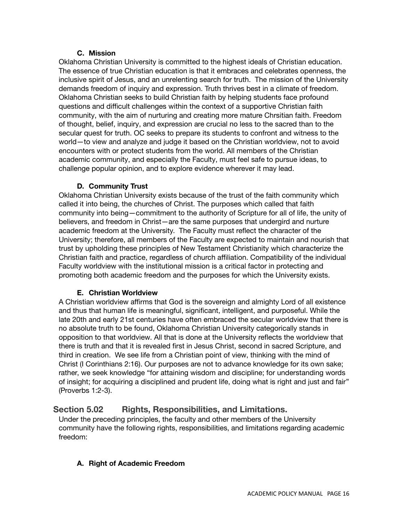# **C. Mission**

Oklahoma Christian University is committed to the highest ideals of Christian education. The essence of true Christian education is that it embraces and celebrates openness, the inclusive spirit of Jesus, and an unrelenting search for truth. The mission of the University demands freedom of inquiry and expression. Truth thrives best in a climate of freedom. Oklahoma Christian seeks to build Christian faith by helping students face profound questions and difficult challenges within the context of a supportive Christian faith community, with the aim of nurturing and creating more mature Chrsitian faith. Freedom of thought, belief, inquiry, and expression are crucial no less to the sacred than to the secular quest for truth. OC seeks to prepare its students to confront and witness to the world—to view and analyze and judge it based on the Christian worldview, not to avoid encounters with or protect students from the world. All members of the Christian academic community, and especially the Faculty, must feel safe to pursue ideas, to challenge popular opinion, and to explore evidence wherever it may lead.

# **D. Community Trust**

Oklahoma Christian University exists because of the trust of the faith community which called it into being, the churches of Christ. The purposes which called that faith community into being—commitment to the authority of Scripture for all of life, the unity of believers, and freedom in Christ—are the same purposes that undergird and nurture academic freedom at the University. The Faculty must reflect the character of the University; therefore, all members of the Faculty are expected to maintain and nourish that trust by upholding these principles of New Testament Christianity which characterize the Christian faith and practice, regardless of church affiliation. Compatibility of the individual Faculty worldview with the institutional mission is a critical factor in protecting and promoting both academic freedom and the purposes for which the University exists.

# **E. Christian Worldview**

A Christian worldview affirms that God is the sovereign and almighty Lord of all existence and thus that human life is meaningful, significant, intelligent, and purposeful. While the late 20th and early 21st centuries have often embraced the secular worldview that there is no absolute truth to be found, Oklahoma Christian University categorically stands in opposition to that worldview. All that is done at the University reflects the worldview that there is truth and that it is revealed first in Jesus Christ, second in sacred Scripture, and third in creation. We see life from a Christian point of view, thinking with the mind of Christ (I Corinthians 2:16). Our purposes are not to advance knowledge for its own sake; rather, we seek knowledge "for attaining wisdom and discipline; for understanding words of insight; for acquiring a disciplined and prudent life, doing what is right and just and fair" (Proverbs 1:2-3).

# **Section 5.02 Rights, Responsibilities, and Limitations.**

Under the preceding principles, the faculty and other members of the University community have the following rights, responsibilities, and limitations regarding academic freedom:

# **A. Right of Academic Freedom**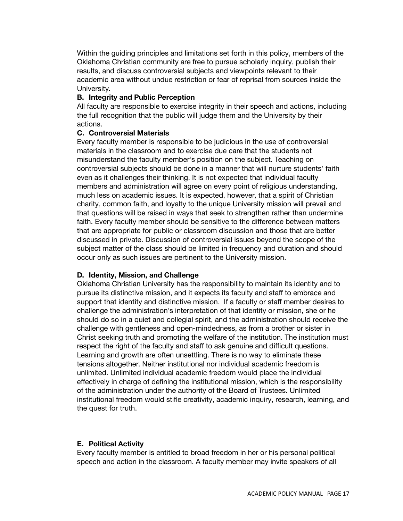Within the guiding principles and limitations set forth in this policy, members of the Oklahoma Christian community are free to pursue scholarly inquiry, publish their results, and discuss controversial subjects and viewpoints relevant to their academic area without undue restriction or fear of reprisal from sources inside the University.

#### **B. Integrity and Public Perception**

All faculty are responsible to exercise integrity in their speech and actions, including the full recognition that the public will judge them and the University by their actions.

#### **C. Controversial Materials**

Every faculty member is responsible to be judicious in the use of controversial materials in the classroom and to exercise due care that the students not misunderstand the faculty member's position on the subject. Teaching on controversial subjects should be done in a manner that will nurture students' faith even as it challenges their thinking. It is not expected that individual faculty members and administration will agree on every point of religious understanding, much less on academic issues. It is expected, however, that a spirit of Christian charity, common faith, and loyalty to the unique University mission will prevail and that questions will be raised in ways that seek to strengthen rather than undermine faith. Every faculty member should be sensitive to the difference between matters that are appropriate for public or classroom discussion and those that are better discussed in private. Discussion of controversial issues beyond the scope of the subject matter of the class should be limited in frequency and duration and should occur only as such issues are pertinent to the University mission.

#### **D. Identity, Mission, and Challenge**

Oklahoma Christian University has the responsibility to maintain its identity and to pursue its distinctive mission, and it expects its faculty and staff to embrace and support that identity and distinctive mission. If a faculty or staff member desires to challenge the administration's interpretation of that identity or mission, she or he should do so in a quiet and collegial spirit, and the administration should receive the challenge with gentleness and open-mindedness, as from a brother or sister in Christ seeking truth and promoting the welfare of the institution. The institution must respect the right of the faculty and staff to ask genuine and difficult questions. Learning and growth are often unsettling. There is no way to eliminate these tensions altogether. Neither institutional nor individual academic freedom is unlimited. Unlimited individual academic freedom would place the individual effectively in charge of defining the institutional mission, which is the responsibility of the administration under the authority of the Board of Trustees. Unlimited institutional freedom would stifle creativity, academic inquiry, research, learning, and the quest for truth.

#### **E. Political Activity**

Every faculty member is entitled to broad freedom in her or his personal political speech and action in the classroom. A faculty member may invite speakers of all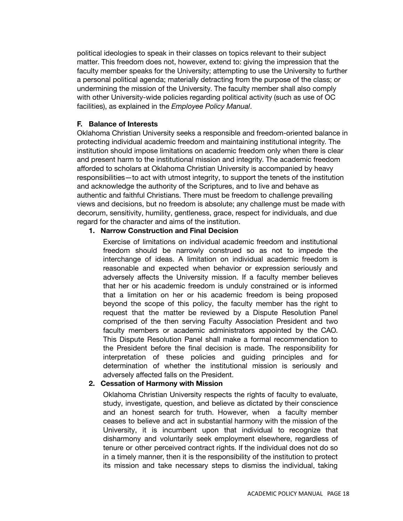political ideologies to speak in their classes on topics relevant to their subject matter. This freedom does not, however, extend to: giving the impression that the faculty member speaks for the University; attempting to use the University to further a personal political agenda; materially detracting from the purpose of the class; or undermining the mission of the University. The faculty member shall also comply with other University-wide policies regarding political activity (such as use of OC facilities), as explained in the *Employee Policy Manual*.

#### **F. Balance of Interests**

Oklahoma Christian University seeks a responsible and freedom-oriented balance in protecting individual academic freedom and maintaining institutional integrity. The institution should impose limitations on academic freedom only when there is clear and present harm to the institutional mission and integrity. The academic freedom afforded to scholars at Oklahoma Christian University is accompanied by heavy responsibilities—to act with utmost integrity, to support the tenets of the institution and acknowledge the authority of the Scriptures, and to live and behave as authentic and faithful Christians. There must be freedom to challenge prevailing views and decisions, but no freedom is absolute; any challenge must be made with decorum, sensitivity, humility, gentleness, grace, respect for individuals, and due regard for the character and aims of the institution.

#### **1. Narrow Construction and Final Decision**

Exercise of limitations on individual academic freedom and institutional freedom should be narrowly construed so as not to impede the interchange of ideas. A limitation on individual academic freedom is reasonable and expected when behavior or expression seriously and adversely affects the University mission. If a faculty member believes that her or his academic freedom is unduly constrained or is informed that a limitation on her or his academic freedom is being proposed beyond the scope of this policy, the faculty member has the right to request that the matter be reviewed by a Dispute Resolution Panel comprised of the then serving Faculty Association President and two faculty members or academic administrators appointed by the CAO. This Dispute Resolution Panel shall make a formal recommendation to the President before the final decision is made. The responsibility for interpretation of these policies and guiding principles and for determination of whether the institutional mission is seriously and adversely affected falls on the President.

#### **2. Cessation of Harmony with Mission**

Oklahoma Christian University respects the rights of faculty to evaluate, study, investigate, question, and believe as dictated by their conscience and an honest search for truth. However, when a faculty member ceases to believe and act in substantial harmony with the mission of the University, it is incumbent upon that individual to recognize that disharmony and voluntarily seek employment elsewhere, regardless of tenure or other perceived contract rights. If the individual does not do so in a timely manner, then it is the responsibility of the institution to protect its mission and take necessary steps to dismiss the individual, taking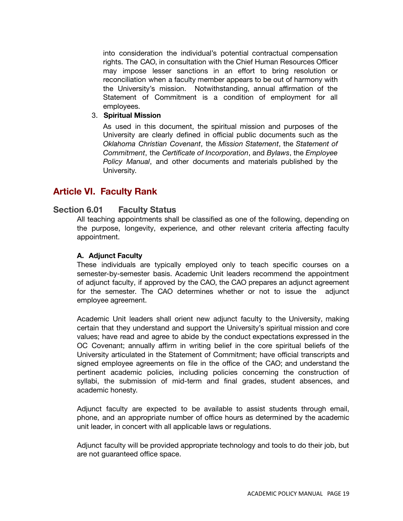into consideration the individual's potential contractual compensation rights. The CAO, in consultation with the Chief Human Resources Officer may impose lesser sanctions in an effort to bring resolution or reconciliation when a faculty member appears to be out of harmony with the University's mission. Notwithstanding, annual affirmation of the Statement of Commitment is a condition of employment for all employees.

#### 3. **Spiritual Mission**

As used in this document, the spiritual mission and purposes of the University are clearly defined in official public documents such as the *Oklahoma Christian Covenant*, the *Mission Statement*, the *Statement of Commitment*, the *Certificate of Incorporation*, and *Bylaws*, the *Employee Policy Manual*, and other documents and materials published by the University.

# **Article VI. Faculty Rank**

# **Section 6.01 Faculty Status**

All teaching appointments shall be classified as one of the following, depending on the purpose, longevity, experience, and other relevant criteria affecting faculty appointment.

#### **A. Adjunct Faculty**

These individuals are typically employed only to teach specific courses on a semester-by-semester basis. Academic Unit leaders recommend the appointment of adjunct faculty, if approved by the CAO, the CAO prepares an adjunct agreement for the semester. The CAO determines whether or not to issue the adjunct employee agreement.

Academic Unit leaders shall orient new adjunct faculty to the University, making certain that they understand and support the University's spiritual mission and core values; have read and agree to abide by the conduct expectations expressed in the OC Covenant; annually affirm in writing belief in the core spiritual beliefs of the University articulated in the Statement of Commitment; have official transcripts and signed employee agreements on file in the office of the CAO; and understand the pertinent academic policies, including policies concerning the construction of syllabi, the submission of mid-term and final grades, student absences, and academic honesty.

Adjunct faculty are expected to be available to assist students through email, phone, and an appropriate number of office hours as determined by the academic unit leader, in concert with all applicable laws or regulations.

Adjunct faculty will be provided appropriate technology and tools to do their job, but are not guaranteed office space.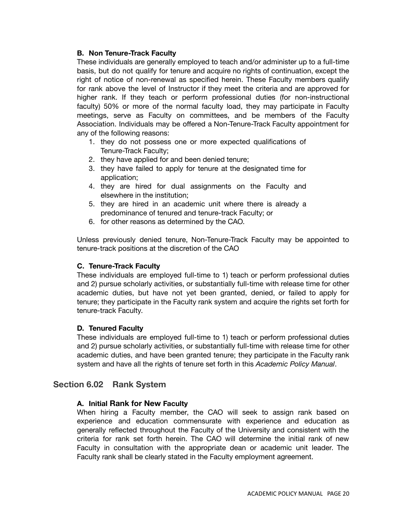# **B. Non Tenure-Track Faculty**

These individuals are generally employed to teach and/or administer up to a full-time basis, but do not qualify for tenure and acquire no rights of continuation, except the right of notice of non-renewal as specified herein. These Faculty members qualify for rank above the level of Instructor if they meet the criteria and are approved for higher rank. If they teach or perform professional duties (for non-instructional faculty) 50% or more of the normal faculty load, they may participate in Faculty meetings, serve as Faculty on committees, and be members of the Faculty Association. Individuals may be offered a Non-Tenure-Track Faculty appointment for any of the following reasons:

- 1. they do not possess one or more expected qualifications of Tenure-Track Faculty;
- 2. they have applied for and been denied tenure;
- 3. they have failed to apply for tenure at the designated time for application;
- 4. they are hired for dual assignments on the Faculty and elsewhere in the institution;
- 5. they are hired in an academic unit where there is already a predominance of tenured and tenure-track Faculty; or
- 6. for other reasons as determined by the CAO.

Unless previously denied tenure, Non-Tenure-Track Faculty may be appointed to tenure-track positions at the discretion of the CAO

# **C. Tenure-Track Faculty**

These individuals are employed full-time to 1) teach or perform professional duties and 2) pursue scholarly activities, or substantially full-time with release time for other academic duties, but have not yet been granted, denied, or failed to apply for tenure; they participate in the Faculty rank system and acquire the rights set forth for tenure-track Faculty.

# **D. Tenured Faculty**

These individuals are employed full-time to 1) teach or perform professional duties and 2) pursue scholarly activities, or substantially full-time with release time for other academic duties, and have been granted tenure; they participate in the Faculty rank system and have all the rights of tenure set forth in this *Academic Policy Manual*.

# **Section 6.02 Rank System**

# **A. Initial Rank for New Faculty**

When hiring a Faculty member, the CAO will seek to assign rank based on experience and education commensurate with experience and education as generally reflected throughout the Faculty of the University and consistent with the criteria for rank set forth herein. The CAO will determine the initial rank of new Faculty in consultation with the appropriate dean or academic unit leader. The Faculty rank shall be clearly stated in the Faculty employment agreement.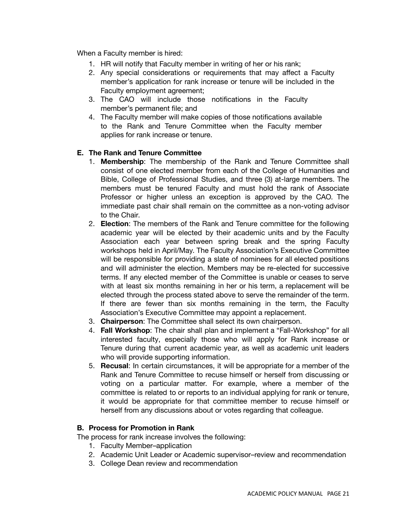When a Faculty member is hired:

- 1. HR will notify that Faculty member in writing of her or his rank;
- 2. Any special considerations or requirements that may affect a Faculty member's application for rank increase or tenure will be included in the Faculty employment agreement;
- 3. The CAO will include those notifications in the Faculty member's permanent file; and
- 4. The Faculty member will make copies of those notifications available to the Rank and Tenure Committee when the Faculty member applies for rank increase or tenure.

#### **E. The Rank and Tenure Committee**

- 1. **Membership**: The membership of the Rank and Tenure Committee shall consist of one elected member from each of the College of Humanities and Bible, College of Professional Studies, and three (3) at-large members. The members must be tenured Faculty and must hold the rank of Associate Professor or higher unless an exception is approved by the CAO. The immediate past chair shall remain on the committee as a non-voting advisor to the Chair.
- 2. **Election**: The members of the Rank and Tenure committee for the following academic year will be elected by their academic units and by the Faculty Association each year between spring break and the spring Faculty workshops held in April/May. The Faculty Association's Executive Committee will be responsible for providing a slate of nominees for all elected positions and will administer the election. Members may be re-elected for successive terms. If any elected member of the Committee is unable or ceases to serve with at least six months remaining in her or his term, a replacement will be elected through the process stated above to serve the remainder of the term. If there are fewer than six months remaining in the term, the Faculty Association's Executive Committee may appoint a replacement.
- 3. **Chairperson**: The Committee shall select its own chairperson.
- 4. **Fall Workshop**: The chair shall plan and implement a "Fall-Workshop" for all interested faculty, especially those who will apply for Rank increase or Tenure during that current academic year, as well as academic unit leaders who will provide supporting information.
- 5. **Recusal**: In certain circumstances, it will be appropriate for a member of the Rank and Tenure Committee to recuse himself or herself from discussing or voting on a particular matter. For example, where a member of the committee is related to or reports to an individual applying for rank or tenure, it would be appropriate for that committee member to recuse himself or herself from any discussions about or votes regarding that colleague.

#### **B. Process for Promotion in Rank**

The process for rank increase involves the following:

- 1. Faculty Member–application
- 2. Academic Unit Leader or Academic supervisor–review and recommendation
- 3. College Dean review and recommendation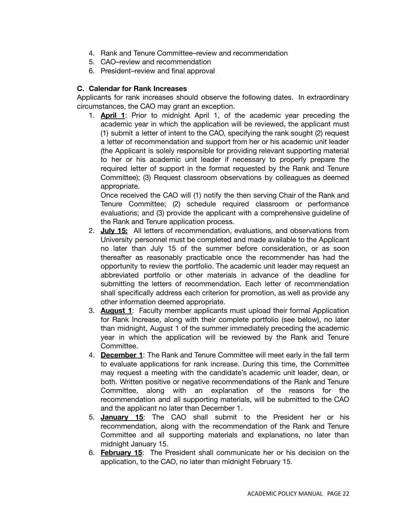- 4. Rank and Tenure Committee–review and recommendation
- 5. CAO–review and recommendation
- 6. President–review and final approval

# **C. Calendar for Rank Increases**

Applicants for rank increases should observe the following dates. In extraordinary circumstances, the CAO may grant an exception.

1. **April 1**: Prior to midnight April 1, of the academic year preceding the academic year in which the application will be reviewed, the applicant must (1) submit a letter of intent to the CAO, specifying the rank sought (2) request a letter of recommendation and support from her or his academic unit leader (the Applicant is solely responsible for providing relevant supporting material to her or his academic unit leader if necessary to properly prepare the required letter of support in the format requested by the Rank and Tenure Committee); (3) Request classroom observations by colleagues as deemed appropriate.

Once received the CAO will (1) notify the then serving Chair of the Rank and Tenure Committee; (2) schedule required classroom or performance evaluations; and (3) provide the applicant with a comprehensive guideline of the Rank and Tenure application process.

- 2. **July 15:** All letters of recommendation, evaluations, and observations from University personnel must be completed and made available to the Applicant no later than July 15 of the summer before consideration, or as soon thereafter as reasonably practicable once the recommender has had the opportunity to review the portfolio. The academic unit leader may request an abbreviated portfolio or other materials in advance of the deadline for submitting the letters of recommendation. Each letter of recommendation shall specifically address each criterion for promotion, as well as provide any other information deemed appropriate.
- 3. **August 1**: Faculty member applicants must upload their formal Application for Rank Increase, along with their complete portfolio (see below), no later than midnight, August 1 of the summer immediately preceding the academic year in which the application will be reviewed by the Rank and Tenure Committee.
- 4. **December 1**: The Rank and Tenure Committee will meet early in the fall term to evaluate applications for rank increase. During this time, the Committee may request a meeting with the candidate's academic unit leader, dean, or both. Written positive or negative recommendations of the Rank and Tenure Committee, along with an explanation of the reasons for the recommendation and all supporting materials, will be submitted to the CAO and the applicant no later than December 1.
- 5. **January 15**: The CAO shall submit to the President her or his recommendation, along with the recommendation of the Rank and Tenure Committee and all supporting materials and explanations, no later than midnight January 15.
- 6. **February 15**: The President shall communicate her or his decision on the application, to the CAO, no later than midnight February 15.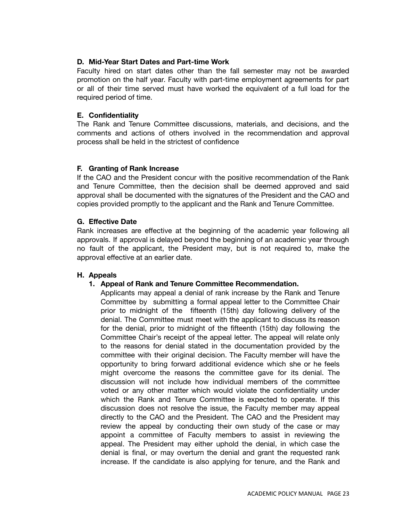### **D. Mid-Year Start Dates and Part-time Work**

Faculty hired on start dates other than the fall semester may not be awarded promotion on the half year. Faculty with part-time employment agreements for part or all of their time served must have worked the equivalent of a full load for the required period of time.

### **E. Confidentiality**

The Rank and Tenure Committee discussions, materials, and decisions, and the comments and actions of others involved in the recommendation and approval process shall be held in the strictest of confidence

#### **F. Granting of Rank Increase**

If the CAO and the President concur with the positive recommendation of the Rank and Tenure Committee, then the decision shall be deemed approved and said approval shall be documented with the signatures of the President and the CAO and copies provided promptly to the applicant and the Rank and Tenure Committee.

#### **G. Effective Date**

Rank increases are effective at the beginning of the academic year following all approvals. If approval is delayed beyond the beginning of an academic year through no fault of the applicant, the President may, but is not required to, make the approval effective at an earlier date.

#### **H. Appeals**

#### **1. Appeal of Rank and Tenure Committee Recommendation.**

Applicants may appeal a denial of rank increase by the Rank and Tenure Committee by submitting a formal appeal letter to the Committee Chair prior to midnight of the fifteenth (15th) day following delivery of the denial. The Committee must meet with the applicant to discuss its reason for the denial, prior to midnight of the fifteenth (15th) day following the Committee Chair's receipt of the appeal letter. The appeal will relate only to the reasons for denial stated in the documentation provided by the committee with their original decision. The Faculty member will have the opportunity to bring forward additional evidence which she or he feels might overcome the reasons the committee gave for its denial. The discussion will not include how individual members of the committee voted or any other matter which would violate the confidentiality under which the Rank and Tenure Committee is expected to operate. If this discussion does not resolve the issue, the Faculty member may appeal directly to the CAO and the President. The CAO and the President may review the appeal by conducting their own study of the case or may appoint a committee of Faculty members to assist in reviewing the appeal. The President may either uphold the denial, in which case the denial is final, or may overturn the denial and grant the requested rank increase. If the candidate is also applying for tenure, and the Rank and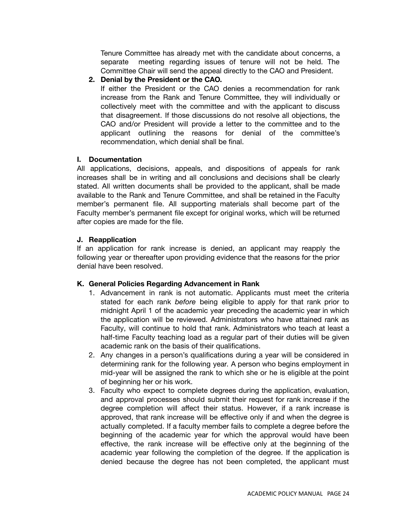Tenure Committee has already met with the candidate about concerns, a separate meeting regarding issues of tenure will not be held. The Committee Chair will send the appeal directly to the CAO and President.

**2. Denial by the President or the CAO.**

If either the President or the CAO denies a recommendation for rank increase from the Rank and Tenure Committee, they will individually or collectively meet with the committee and with the applicant to discuss that disagreement. If those discussions do not resolve all objections, the CAO and/or President will provide a letter to the committee and to the applicant outlining the reasons for denial of the committee's recommendation, which denial shall be final.

#### **I. Documentation**

All applications, decisions, appeals, and dispositions of appeals for rank increases shall be in writing and all conclusions and decisions shall be clearly stated. All written documents shall be provided to the applicant, shall be made available to the Rank and Tenure Committee, and shall be retained in the Faculty member's permanent file. All supporting materials shall become part of the Faculty member's permanent file except for original works, which will be returned after copies are made for the file.

#### **J. Reapplication**

If an application for rank increase is denied, an applicant may reapply the following year or thereafter upon providing evidence that the reasons for the prior denial have been resolved.

#### **K. General Policies Regarding Advancement in Rank**

- 1. Advancement in rank is not automatic. Applicants must meet the criteria stated for each rank *before* being eligible to apply for that rank prior to midnight April 1 of the academic year preceding the academic year in which the application will be reviewed. Administrators who have attained rank as Faculty, will continue to hold that rank. Administrators who teach at least a half-time Faculty teaching load as a regular part of their duties will be given academic rank on the basis of their qualifications.
- 2. Any changes in a person's qualifications during a year will be considered in determining rank for the following year. A person who begins employment in mid-year will be assigned the rank to which she or he is eligible at the point of beginning her or his work.
- 3. Faculty who expect to complete degrees during the application, evaluation, and approval processes should submit their request for rank increase if the degree completion will affect their status. However, if a rank increase is approved, that rank increase will be effective only if and when the degree is actually completed. If a faculty member fails to complete a degree before the beginning of the academic year for which the approval would have been effective, the rank increase will be effective only at the beginning of the academic year following the completion of the degree. If the application is denied because the degree has not been completed, the applicant must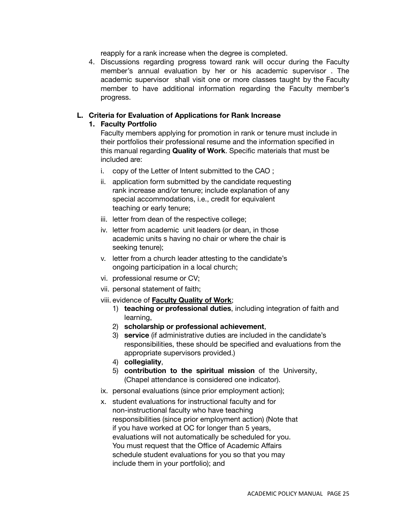reapply for a rank increase when the degree is completed.

4. Discussions regarding progress toward rank will occur during the Faculty member's annual evaluation by her or his academic supervisor . The academic supervisor shall visit one or more classes taught by the Faculty member to have additional information regarding the Faculty member's progress.

### **L. Criteria for Evaluation of Applications for Rank Increase**

#### **1. Faculty Portfolio**

Faculty members applying for promotion in rank or tenure must include in their portfolios their professional resume and the information specified in this manual regarding **Quality of Work**. Specific materials that must be included are:

- i. copy of the Letter of Intent submitted to the CAO ;
- ii. application form submitted by the candidate requesting rank increase and/or tenure; include explanation of any special accommodations, i.e., credit for equivalent teaching or early tenure;
- iii. letter from dean of the respective college;
- iv. letter from academic unit leaders (or dean, in those academic units s having no chair or where the chair is seeking tenure);
- v. letter from a church leader attesting to the candidate's ongoing participation in a local church;
- vi. professional resume or CV;
- vii. personal statement of faith;
- viii. evidence of **Faculty Quality of Work**;
	- 1) **teaching or professional duties**, including integration of faith and learning,
	- 2) **scholarship or professional achievement**,
	- 3) **service** (if administrative duties are included in the candidate's responsibilities, these should be specified and evaluations from the appropriate supervisors provided.)
	- 4) **collegiality**,
	- 5) **contribution to the spiritual mission** of the University, (Chapel attendance is considered one indicator).
- ix. personal evaluations (since prior employment action);
- x. student evaluations for instructional faculty and for non-instructional faculty who have teaching responsibilities (since prior employment action) (Note that if you have worked at OC for longer than 5 years, evaluations will not automatically be scheduled for you. You must request that the Office of Academic Affairs schedule student evaluations for you so that you may include them in your portfolio); and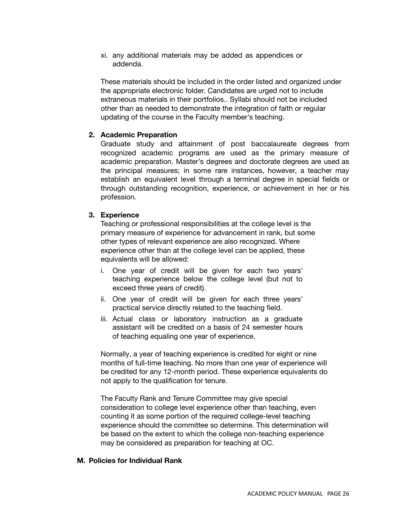xi. any additional materials may be added as appendices or addenda.

These materials should be included in the order listed and organized under the appropriate electronic folder. Candidates are urged not to include extraneous materials in their portfolios.. Syllabi should not be included other than as needed to demonstrate the integration of faith or regular updating of the course in the Faculty member's teaching.

#### **2. Academic Preparation**

Graduate study and attainment of post baccalaureate degrees from recognized academic programs are used as the primary measure of academic preparation. Master's degrees and doctorate degrees are used as the principal measures; in some rare instances, however, a teacher may establish an equivalent level through a terminal degree in special fields or through outstanding recognition, experience, or achievement in her or his profession.

#### **3. Experience**

Teaching or professional responsibilities at the college level is the primary measure of experience for advancement in rank, but some other types of relevant experience are also recognized. Where experience other than at the college level can be applied, these equivalents will be allowed:

- i. One year of credit will be given for each two years' teaching experience below the college level (but not to exceed three years of credit).
- ii. One year of credit will be given for each three years' practical service directly related to the teaching field.
- iii. Actual class or laboratory instruction as a graduate assistant will be credited on a basis of 24 semester hours of teaching equaling one year of experience.

Normally, a year of teaching experience is credited for eight or nine months of full-time teaching. No more than one year of experience will be credited for any 12-month period. These experience equivalents do not apply to the qualification for tenure.

The Faculty Rank and Tenure Committee may give special consideration to college level experience other than teaching, even counting it as some portion of the required college-level teaching experience should the committee so determine. This determination will be based on the extent to which the college non-teaching experience may be considered as preparation for teaching at OC.

#### **M. Policies for Individual Rank**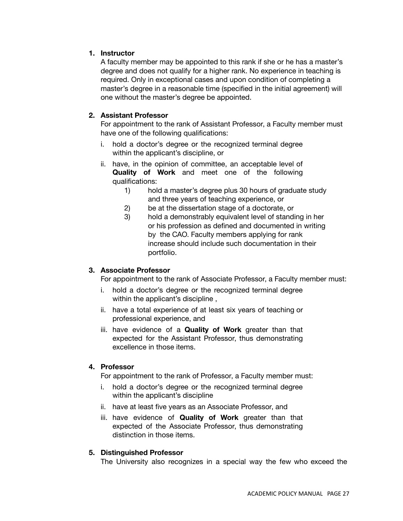# **1. Instructor**

A faculty member may be appointed to this rank if she or he has a master's degree and does not qualify for a higher rank. No experience in teaching is required. Only in exceptional cases and upon condition of completing a master's degree in a reasonable time (specified in the initial agreement) will one without the master's degree be appointed.

# **2. Assistant Professor**

For appointment to the rank of Assistant Professor, a Faculty member must have one of the following qualifications:

- i. hold a doctor's degree or the recognized terminal degree within the applicant's discipline, or
- ii. have, in the opinion of committee, an acceptable level of **Quality of Work** and meet one of the following qualifications:
	- 1) hold a master's degree plus 30 hours of graduate study and three years of teaching experience, or
	- 2) be at the dissertation stage of a doctorate, or
	- 3) hold a demonstrably equivalent level of standing in her or his profession as defined and documented in writing by the CAO. Faculty members applying for rank increase should include such documentation in their portfolio.

# **3. Associate Professor**

For appointment to the rank of Associate Professor, a Faculty member must:

- i. hold a doctor's degree or the recognized terminal degree within the applicant's discipline,
- ii. have a total experience of at least six years of teaching or professional experience, and
- iii. have evidence of a **Quality of Work** greater than that expected for the Assistant Professor, thus demonstrating excellence in those items.

# **4. Professor**

For appointment to the rank of Professor, a Faculty member must:

- i. hold a doctor's degree or the recognized terminal degree within the applicant's discipline
- ii. have at least five years as an Associate Professor, and
- iii. have evidence of **Quality of Work** greater than that expected of the Associate Professor, thus demonstrating distinction in those items.

# **5. Distinguished Professor**

The University also recognizes in a special way the few who exceed the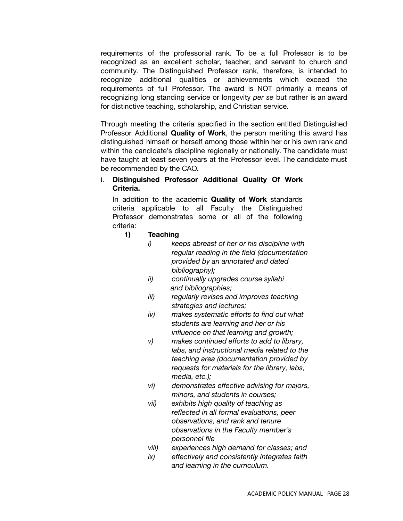requirements of the professorial rank. To be a full Professor is to be recognized as an excellent scholar, teacher, and servant to church and community. The Distinguished Professor rank, therefore, is intended to recognize additional qualities or achievements which exceed the requirements of full Professor. The award is NOT primarily a means of recognizing long standing service or longevity *per se* but rather is an award for distinctive teaching, scholarship, and Christian service.

Through meeting the criteria specified in the section entitled Distinguished Professor Additional **Quality of Work**, the person meriting this award has distinguished himself or herself among those within her or his own rank and within the candidate's discipline regionally or nationally. The candidate must have taught at least seven years at the Professor level. The candidate must be recommended by the CAO.

#### i. **Distinguished Professor Additional Quality Of Work Criteria.**

In addition to the academic **Quality of Work** standards criteria applicable to all Faculty the Distinguished Professor demonstrates some or all of the following criteria:

#### **1) Teaching**

- *i) keeps abreast of her or his discipline with regular reading in the field (documentation provided by an annotated and dated bibliography);*
- *ii) continually upgrades course syllabi and bibliographies;*
- *iii) regularly revises and improves teaching strategies and lectures;*
- *iv) makes systematic efforts to find out what students are learning and her or his influence on that learning and growth;*
- *v) makes continued efforts to add to library, labs, and instructional media related to the teaching area (documentation provided by requests for materials for the library, labs, media, etc.);*
- *vi) demonstrates effective advising for majors, minors, and students in courses;*
- *vii) exhibits high quality of teaching as reflected in all formal evaluations, peer observations, and rank and tenure observations in the Faculty member's personnel file*
- *viii) experiences high demand for classes; and*
- *ix) effectively and consistently integrates faith and learning in the curriculum.*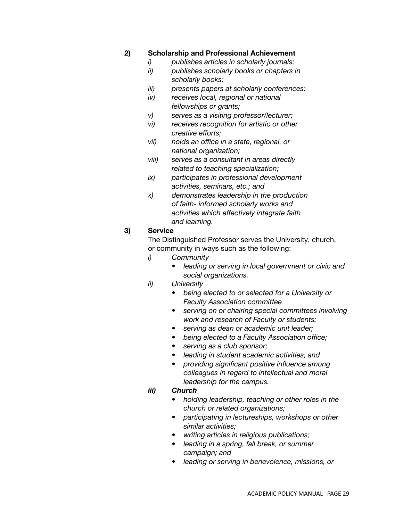# **2) Scholarship and Professional Achievement**

- *i) publishes articles in scholarly journals;*
- *ii) publishes scholarly books or chapters in scholarly books;*
- *iii) presents papers at scholarly conferences;*
- *iv) receives local, regional or national fellowships or grants;*
- *v) serves as a visiting professor/lecturer;*
- *vi) receives recognition for artistic or other creative efforts;*
- *vii) holds an office in a state, regional, or national organization;*
- *viii) serves as a consultant in areas directly related to teaching specialization;*
- *ix) participates in professional development activities, seminars, etc.; and*
- *x) demonstrates leadership in the production of faith- informed scholarly works and activities which effectively integrate faith and learning.*

#### **3) Service**

The Distinguished Professor serves the University, church, or community in ways such as the following:

- *i) Community*
	- *• leading or serving in local government or civic and social organizations.*
- *ii) University*
	- *• being elected to or selected for a University or Faculty Association committee*
	- *• serving on or chairing special committees involving work and research of Faculty or students;*
	- *• serving as dean or academic unit leader;*
	- *• being elected to a Faculty Association office;*
	- *• serving as a club sponsor;*
	- *• leading in student academic activities; and*
	- *• providing significant positive influence among colleagues in regard to intellectual and moral leadership for the campus.*

#### *iii) Church*

- *• holding leadership, teaching or other roles in the church or related organizations;*
- *• participating in lectureships, workshops or other similar activities;*
- *• writing articles in religious publications;*
- *• leading in a spring, fall break, or summer campaign; and*
- *• leading or serving in benevolence, missions, or*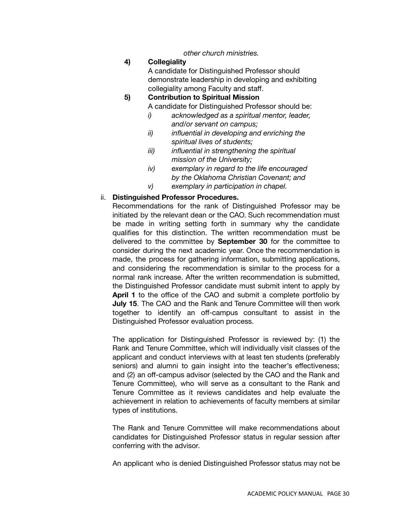*other church ministries.*

# **4) Collegiality**

A candidate for Distinguished Professor should demonstrate leadership in developing and exhibiting collegiality among Faculty and staff.

**5) Contribution to Spiritual Mission**

A candidate for Distinguished Professor should be:

- *i) acknowledged as a spiritual mentor, leader, and/or servant on campus;*
- *ii) influential in developing and enriching the spiritual lives of students;*
- *iii) influential in strengthening the spiritual mission of the University;*
- *iv) exemplary in regard to the life encouraged by the Oklahoma Christian Covenant; and*
- *v) exemplary in participation in chapel.*

# ii. **Distinguished Professor Procedures.**

Recommendations for the rank of Distinguished Professor may be initiated by the relevant dean or the CAO. Such recommendation must be made in writing setting forth in summary why the candidate qualifies for this distinction. The written recommendation must be delivered to the committee by **September 30** for the committee to consider during the next academic year. Once the recommendation is made, the process for gathering information, submitting applications, and considering the recommendation is similar to the process for a normal rank increase. After the written recommendation is submitted, the Distinguished Professor candidate must submit intent to apply by **April 1** to the office of the CAO and submit a complete portfolio by **July 15**. The CAO and the Rank and Tenure Committee will then work together to identify an off-campus consultant to assist in the Distinguished Professor evaluation process.

The application for Distinguished Professor is reviewed by: (1) the Rank and Tenure Committee, which will individually visit classes of the applicant and conduct interviews with at least ten students (preferably seniors) and alumni to gain insight into the teacher's effectiveness; and (2) an off-campus advisor (selected by the CAO and the Rank and Tenure Committee), who will serve as a consultant to the Rank and Tenure Committee as it reviews candidates and help evaluate the achievement in relation to achievements of faculty members at similar types of institutions.

The Rank and Tenure Committee will make recommendations about candidates for Distinguished Professor status in regular session after conferring with the advisor.

An applicant who is denied Distinguished Professor status may not be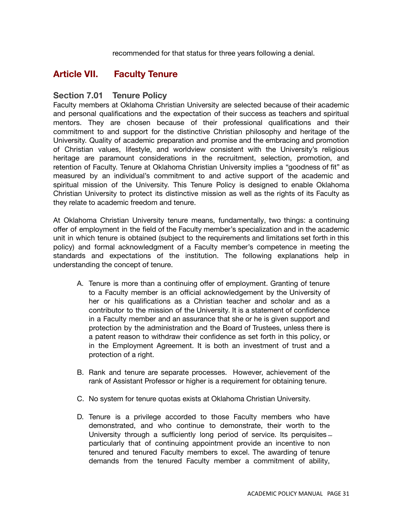recommended for that status for three years following a denial.

# **Article VII. Faculty Tenure**

# **Section 7.01 Tenure Policy**

Faculty members at Oklahoma Christian University are selected because of their academic and personal qualifications and the expectation of their success as teachers and spiritual mentors. They are chosen because of their professional qualifications and their commitment to and support for the distinctive Christian philosophy and heritage of the University. Quality of academic preparation and promise and the embracing and promotion of Christian values, lifestyle, and worldview consistent with the University's religious heritage are paramount considerations in the recruitment, selection, promotion, and retention of Faculty. Tenure at Oklahoma Christian University implies a "goodness of fit" as measured by an individual's commitment to and active support of the academic and spiritual mission of the University. This Tenure Policy is designed to enable Oklahoma Christian University to protect its distinctive mission as well as the rights of its Faculty as they relate to academic freedom and tenure.

At Oklahoma Christian University tenure means, fundamentally, two things: a continuing offer of employment in the field of the Faculty member's specialization and in the academic unit in which tenure is obtained (subject to the requirements and limitations set forth in this policy) and formal acknowledgment of a Faculty member's competence in meeting the standards and expectations of the institution. The following explanations help in understanding the concept of tenure.

- A. Tenure is more than a continuing offer of employment. Granting of tenure to a Faculty member is an official acknowledgement by the University of her or his qualifications as a Christian teacher and scholar and as a contributor to the mission of the University. It is a statement of confidence in a Faculty member and an assurance that she or he is given support and protection by the administration and the Board of Trustees, unless there is a patent reason to withdraw their confidence as set forth in this policy, or in the Employment Agreement. It is both an investment of trust and a protection of a right.
- B. Rank and tenure are separate processes. However, achievement of the rank of Assistant Professor or higher is a requirement for obtaining tenure.
- C. No system for tenure quotas exists at Oklahoma Christian University.
- D. Tenure is a privilege accorded to those Faculty members who have demonstrated, and who continue to demonstrate, their worth to the University through a sufficiently long period of service. Its perquisites ̶ particularly that of continuing appointment provide an incentive to non tenured and tenured Faculty members to excel. The awarding of tenure demands from the tenured Faculty member a commitment of ability,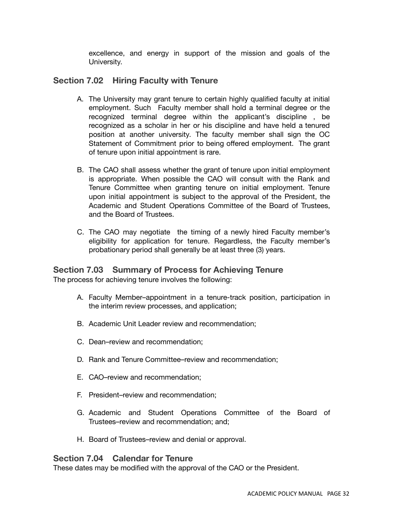excellence, and energy in support of the mission and goals of the University.

# **Section 7.02 Hiring Faculty with Tenure**

- A. The University may grant tenure to certain highly qualified faculty at initial employment. Such Faculty member shall hold a terminal degree or the recognized terminal degree within the applicant's discipline , be recognized as a scholar in her or his discipline and have held a tenured position at another university. The faculty member shall sign the OC Statement of Commitment prior to being offered employment. The grant of tenure upon initial appointment is rare.
- B. The CAO shall assess whether the grant of tenure upon initial employment is appropriate. When possible the CAO will consult with the Rank and Tenure Committee when granting tenure on initial employment. Tenure upon initial appointment is subject to the approval of the President, the Academic and Student Operations Committee of the Board of Trustees, and the Board of Trustees.
- C. The CAO may negotiate the timing of a newly hired Faculty member's eligibility for application for tenure. Regardless, the Faculty member's probationary period shall generally be at least three (3) years.

# **Section 7.03 Summary of Process for Achieving Tenure**

The process for achieving tenure involves the following:

- A. Faculty Member–appointment in a tenure-track position, participation in the interim review processes, and application;
- B. Academic Unit Leader review and recommendation;
- C. Dean–review and recommendation;
- D. Rank and Tenure Committee–review and recommendation;
- E. CAO–review and recommendation;
- F. President–review and recommendation;
- G. Academic and Student Operations Committee of the Board of Trustees–review and recommendation; and;
- H. Board of Trustees–review and denial or approval.

# **Section 7.04 Calendar for Tenure**

These dates may be modified with the approval of the CAO or the President.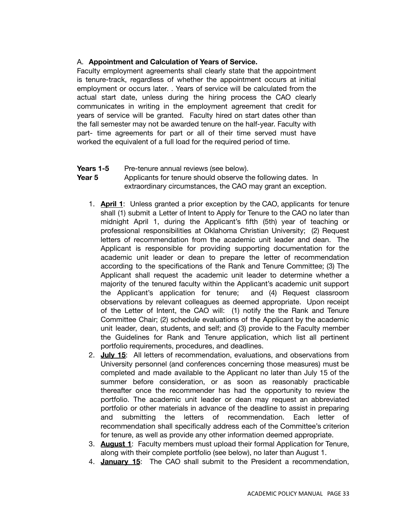# A. **Appointment and Calculation of Years of Service.**

Faculty employment agreements shall clearly state that the appointment is tenure-track, regardless of whether the appointment occurs at initial employment or occurs later. . Years of service will be calculated from the actual start date, unless during the hiring process the CAO clearly communicates in writing in the employment agreement that credit for years of service will be granted. Faculty hired on start dates other than the fall semester may not be awarded tenure on the half-year. Faculty with part- time agreements for part or all of their time served must have worked the equivalent of a full load for the required period of time.

# **Years 1-5** Pre-tenure annual reviews (see below).

**Year 5** Applicants for tenure should observe the following dates. In extraordinary circumstances, the CAO may grant an exception.

- 1. **April 1**: Unless granted a prior exception by the CAO, applicants for tenure shall (1) submit a Letter of Intent to Apply for Tenure to the CAO no later than midnight April 1, during the Applicant's fifth (5th) year of teaching or professional responsibilities at Oklahoma Christian University; (2) Request letters of recommendation from the academic unit leader and dean. The Applicant is responsible for providing supporting documentation for the academic unit leader or dean to prepare the letter of recommendation according to the specifications of the Rank and Tenure Committee; (3) The Applicant shall request the academic unit leader to determine whether a majority of the tenured faculty within the Applicant's academic unit support the Applicant's application for tenure; and (4) Request classroom observations by relevant colleagues as deemed appropriate. Upon receipt of the Letter of Intent, the CAO will: (1) notify the the Rank and Tenure Committee Chair; (2) schedule evaluations of the Applicant by the academic unit leader, dean, students, and self; and (3) provide to the Faculty member the Guidelines for Rank and Tenure application, which list all pertinent portfolio requirements, procedures, and deadlines.
- 2. **July 15**: All letters of recommendation, evaluations, and observations from University personnel (and conferences concerning those measures) must be completed and made available to the Applicant no later than July 15 of the summer before consideration, or as soon as reasonably practicable thereafter once the recommender has had the opportunity to review the portfolio. The academic unit leader or dean may request an abbreviated portfolio or other materials in advance of the deadline to assist in preparing and submitting the letters of recommendation. Each letter of recommendation shall specifically address each of the Committee's criterion for tenure, as well as provide any other information deemed appropriate.
- 3. **August 1**: Faculty members must upload their formal Application for Tenure, along with their complete portfolio (see below), no later than August 1.
- 4. **January 15**: The CAO shall submit to the President a recommendation,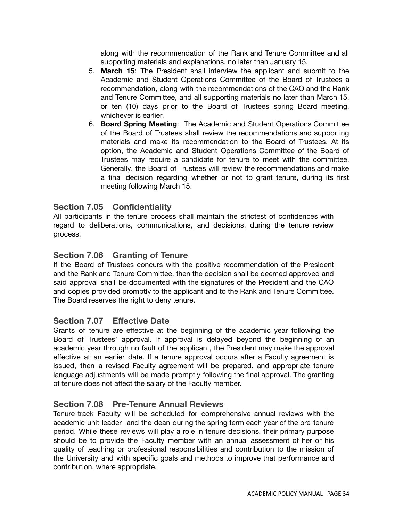along with the recommendation of the Rank and Tenure Committee and all supporting materials and explanations, no later than January 15.

- 5. **March 15**: The President shall interview the applicant and submit to the Academic and Student Operations Committee of the Board of Trustees a recommendation, along with the recommendations of the CAO and the Rank and Tenure Committee, and all supporting materials no later than March 15, or ten (10) days prior to the Board of Trustees spring Board meeting, whichever is earlier.
- 6. **Board Spring Meeting**: The Academic and Student Operations Committee of the Board of Trustees shall review the recommendations and supporting materials and make its recommendation to the Board of Trustees. At its option, the Academic and Student Operations Committee of the Board of Trustees may require a candidate for tenure to meet with the committee. Generally, the Board of Trustees will review the recommendations and make a final decision regarding whether or not to grant tenure, during its first meeting following March 15.

# **Section 7.05 Confidentiality**

All participants in the tenure process shall maintain the strictest of confidences with regard to deliberations, communications, and decisions, during the tenure review process.

# **Section 7.06 Granting of Tenure**

If the Board of Trustees concurs with the positive recommendation of the President and the Rank and Tenure Committee, then the decision shall be deemed approved and said approval shall be documented with the signatures of the President and the CAO and copies provided promptly to the applicant and to the Rank and Tenure Committee. The Board reserves the right to deny tenure.

# **Section 7.07 Effective Date**

Grants of tenure are effective at the beginning of the academic year following the Board of Trustees' approval. If approval is delayed beyond the beginning of an academic year through no fault of the applicant, the President may make the approval effective at an earlier date. If a tenure approval occurs after a Faculty agreement is issued, then a revised Faculty agreement will be prepared, and appropriate tenure language adjustments will be made promptly following the final approval. The granting of tenure does not affect the salary of the Faculty member.

# **Section 7.08 Pre-Tenure Annual Reviews**

Tenure-track Faculty will be scheduled for comprehensive annual reviews with the academic unit leader and the dean during the spring term each year of the pre-tenure period. While these reviews will play a role in tenure decisions, their primary purpose should be to provide the Faculty member with an annual assessment of her or his quality of teaching or professional responsibilities and contribution to the mission of the University and with specific goals and methods to improve that performance and contribution, where appropriate.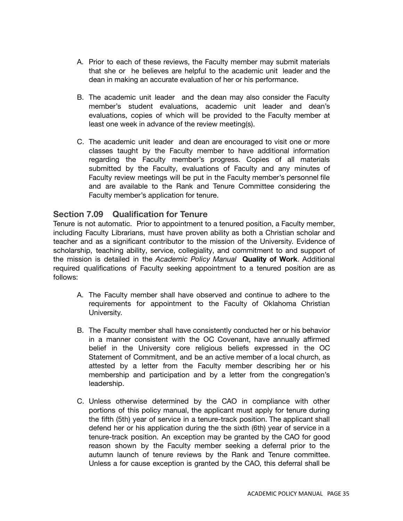- A. Prior to each of these reviews, the Faculty member may submit materials that she or he believes are helpful to the academic unit leader and the dean in making an accurate evaluation of her or his performance.
- B. The academic unit leader and the dean may also consider the Faculty member's student evaluations, academic unit leader and dean's evaluations, copies of which will be provided to the Faculty member at least one week in advance of the review meeting(s).
- C. The academic unit leader and dean are encouraged to visit one or more classes taught by the Faculty member to have additional information regarding the Faculty member's progress. Copies of all materials submitted by the Faculty, evaluations of Faculty and any minutes of Faculty review meetings will be put in the Faculty member's personnel file and are available to the Rank and Tenure Committee considering the Faculty member's application for tenure.

# **Section 7.09 Qualification for Tenure**

Tenure is not automatic. Prior to appointment to a tenured position, a Faculty member, including Faculty Librarians, must have proven ability as both a Christian scholar and teacher and as a significant contributor to the mission of the University. Evidence of scholarship, teaching ability, service, collegiality, and commitment to and support of the mission is detailed in the *Academic Policy Manual* **Quality of Work**. Additional required qualifications of Faculty seeking appointment to a tenured position are as follows:

- A. The Faculty member shall have observed and continue to adhere to the requirements for appointment to the Faculty of Oklahoma Christian University.
- B. The Faculty member shall have consistently conducted her or his behavior in a manner consistent with the OC Covenant, have annually affirmed belief in the University core religious beliefs expressed in the OC Statement of Commitment, and be an active member of a local church, as attested by a letter from the Faculty member describing her or his membership and participation and by a letter from the congregation's leadership.
- C. Unless otherwise determined by the CAO in compliance with other portions of this policy manual, the applicant must apply for tenure during the fifth (5th) year of service in a tenure-track position. The applicant shall defend her or his application during the the sixth (6th) year of service in a tenure-track position. An exception may be granted by the CAO for good reason shown by the Faculty member seeking a deferral prior to the autumn launch of tenure reviews by the Rank and Tenure committee. Unless a for cause exception is granted by the CAO, this deferral shall be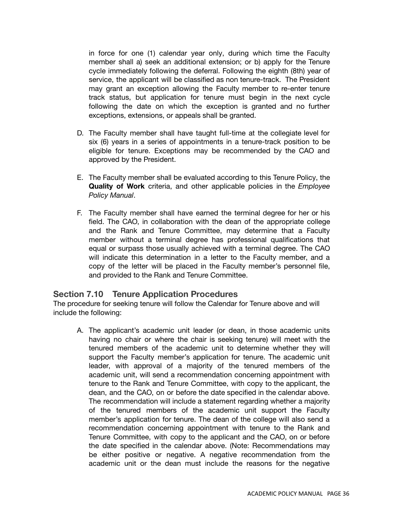in force for one (1) calendar year only, during which time the Faculty member shall a) seek an additional extension; or b) apply for the Tenure cycle immediately following the deferral. Following the eighth (8th) year of service, the applicant will be classified as non tenure-track. The President may grant an exception allowing the Faculty member to re-enter tenure track status, but application for tenure must begin in the next cycle following the date on which the exception is granted and no further exceptions, extensions, or appeals shall be granted.

- D. The Faculty member shall have taught full-time at the collegiate level for six (6) years in a series of appointments in a tenure-track position to be eligible for tenure. Exceptions may be recommended by the CAO and approved by the President.
- E. The Faculty member shall be evaluated according to this Tenure Policy, the **Quality of Work** criteria, and other applicable policies in the *Employee Policy Manual*.
- F. The Faculty member shall have earned the terminal degree for her or his field. The CAO, in collaboration with the dean of the appropriate college and the Rank and Tenure Committee, may determine that a Faculty member without a terminal degree has professional qualifications that equal or surpass those usually achieved with a terminal degree. The CAO will indicate this determination in a letter to the Faculty member, and a copy of the letter will be placed in the Faculty member's personnel file, and provided to the Rank and Tenure Committee.

### **Section 7.10 Tenure Application Procedures**

The procedure for seeking tenure will follow the Calendar for Tenure above and will include the following:

A. The applicant's academic unit leader (or dean, in those academic units having no chair or where the chair is seeking tenure) will meet with the tenured members of the academic unit to determine whether they will support the Faculty member's application for tenure. The academic unit leader, with approval of a majority of the tenured members of the academic unit, will send a recommendation concerning appointment with tenure to the Rank and Tenure Committee, with copy to the applicant, the dean, and the CAO, on or before the date specified in the calendar above. The recommendation will include a statement regarding whether a majority of the tenured members of the academic unit support the Faculty member's application for tenure. The dean of the college will also send a recommendation concerning appointment with tenure to the Rank and Tenure Committee, with copy to the applicant and the CAO, on or before the date specified in the calendar above. (Note: Recommendations may be either positive or negative. A negative recommendation from the academic unit or the dean must include the reasons for the negative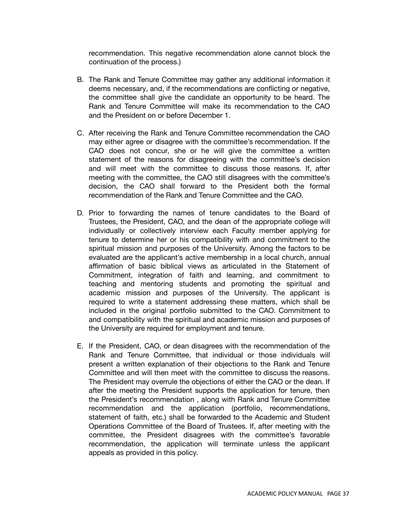recommendation. This negative recommendation alone cannot block the continuation of the process.)

- B. The Rank and Tenure Committee may gather any additional information it deems necessary, and, if the recommendations are conflicting or negative, the committee shall give the candidate an opportunity to be heard. The Rank and Tenure Committee will make its recommendation to the CAO and the President on or before December 1.
- C. After receiving the Rank and Tenure Committee recommendation the CAO may either agree or disagree with the committee's recommendation. If the CAO does not concur, she or he will give the committee a written statement of the reasons for disagreeing with the committee's decision and will meet with the committee to discuss those reasons. If, after meeting with the committee, the CAO still disagrees with the committee's decision, the CAO shall forward to the President both the formal recommendation of the Rank and Tenure Committee and the CAO.
- D. Prior to forwarding the names of tenure candidates to the Board of Trustees, the President, CAO, and the dean of the appropriate college will individually or collectively interview each Faculty member applying for tenure to determine her or his compatibility with and commitment to the spiritual mission and purposes of the University. Among the factors to be evaluated are the applicant's active membership in a local church, annual affirmation of basic biblical views as articulated in the Statement of Commitment, integration of faith and learning, and commitment to teaching and mentoring students and promoting the spiritual and academic mission and purposes of the University. The applicant is required to write a statement addressing these matters, which shall be included in the original portfolio submitted to the CAO. Commitment to and compatibility with the spiritual and academic mission and purposes of the University are required for employment and tenure.
- E. If the President, CAO, or dean disagrees with the recommendation of the Rank and Tenure Committee, that individual or those individuals will present a written explanation of their objections to the Rank and Tenure Committee and will then meet with the committee to discuss the reasons. The President may overrule the objections of either the CAO or the dean. If after the meeting the President supports the application for tenure, then the President's recommendation , along with Rank and Tenure Committee recommendation and the application (portfolio, recommendations, statement of faith, etc.) shall be forwarded to the Academic and Student Operations Committee of the Board of Trustees. If, after meeting with the committee, the President disagrees with the committee's favorable recommendation, the application will terminate unless the applicant appeals as provided in this policy.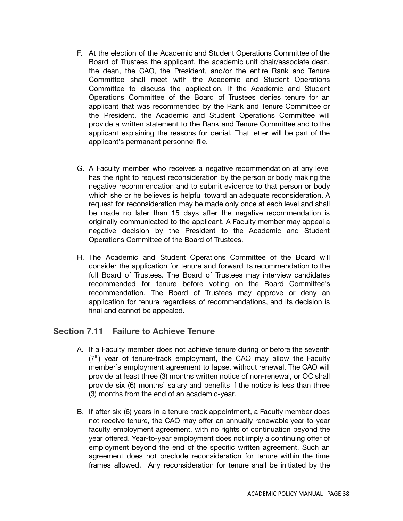- F. At the election of the Academic and Student Operations Committee of the Board of Trustees the applicant, the academic unit chair/associate dean, the dean, the CAO, the President, and/or the entire Rank and Tenure Committee shall meet with the Academic and Student Operations Committee to discuss the application. If the Academic and Student Operations Committee of the Board of Trustees denies tenure for an applicant that was recommended by the Rank and Tenure Committee or the President, the Academic and Student Operations Committee will provide a written statement to the Rank and Tenure Committee and to the applicant explaining the reasons for denial. That letter will be part of the applicant's permanent personnel file.
- G. A Faculty member who receives a negative recommendation at any level has the right to request reconsideration by the person or body making the negative recommendation and to submit evidence to that person or body which she or he believes is helpful toward an adequate reconsideration. A request for reconsideration may be made only once at each level and shall be made no later than 15 days after the negative recommendation is originally communicated to the applicant. A Faculty member may appeal a negative decision by the President to the Academic and Student Operations Committee of the Board of Trustees.
- H. The Academic and Student Operations Committee of the Board will consider the application for tenure and forward its recommendation to the full Board of Trustees. The Board of Trustees may interview candidates recommended for tenure before voting on the Board Committee's recommendation. The Board of Trustees may approve or deny an application for tenure regardless of recommendations, and its decision is final and cannot be appealed.

## **Section 7.11 Failure to Achieve Tenure**

- A. If a Faculty member does not achieve tenure during or before the seventh (7<sup>th</sup>) year of tenure-track employment, the CAO may allow the Faculty member's employment agreement to lapse, without renewal. The CAO will provide at least three (3) months written notice of non-renewal, or OC shall provide six (6) months' salary and benefits if the notice is less than three (3) months from the end of an academic-year.
- B. If after six (6) years in a tenure-track appointment, a Faculty member does not receive tenure, the CAO may offer an annually renewable year-to-year faculty employment agreement, with no rights of continuation beyond the year offered. Year-to-year employment does not imply a continuing offer of employment beyond the end of the specific written agreement. Such an agreement does not preclude reconsideration for tenure within the time frames allowed. Any reconsideration for tenure shall be initiated by the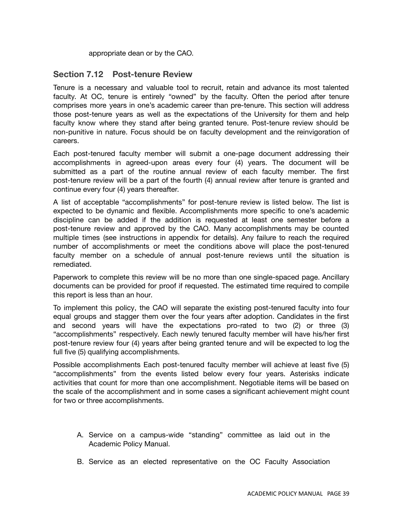appropriate dean or by the CAO.

## **Section 7.12 Post-tenure Review**

Tenure is a necessary and valuable tool to recruit, retain and advance its most talented faculty. At OC, tenure is entirely "owned" by the faculty. Often the period after tenure comprises more years in one's academic career than pre-tenure. This section will address those post-tenure years as well as the expectations of the University for them and help faculty know where they stand after being granted tenure. Post-tenure review should be non-punitive in nature. Focus should be on faculty development and the reinvigoration of careers.

Each post-tenured faculty member will submit a one-page document addressing their accomplishments in agreed-upon areas every four (4) years. The document will be submitted as a part of the routine annual review of each faculty member. The first post-tenure review will be a part of the fourth (4) annual review after tenure is granted and continue every four (4) years thereafter.

A list of acceptable "accomplishments" for post-tenure review is listed below. The list is expected to be dynamic and flexible. Accomplishments more specific to one's academic discipline can be added if the addition is requested at least one semester before a post-tenure review and approved by the CAO. Many accomplishments may be counted multiple times (see instructions in appendix for details). Any failure to reach the required number of accomplishments or meet the conditions above will place the post-tenured faculty member on a schedule of annual post-tenure reviews until the situation is remediated.

Paperwork to complete this review will be no more than one single-spaced page. Ancillary documents can be provided for proof if requested. The estimated time required to compile this report is less than an hour.

To implement this policy, the CAO will separate the existing post-tenured faculty into four equal groups and stagger them over the four years after adoption. Candidates in the first and second years will have the expectations pro-rated to two (2) or three (3) "accomplishments" respectively. Each newly tenured faculty member will have his/her first post-tenure review four (4) years after being granted tenure and will be expected to log the full five (5) qualifying accomplishments.

Possible accomplishments Each post-tenured faculty member will achieve at least five (5) "accomplishments" from the events listed below every four years. Asterisks indicate activities that count for more than one accomplishment. Negotiable items will be based on the scale of the accomplishment and in some cases a significant achievement might count for two or three accomplishments.

- A. Service on a campus-wide "standing" committee as laid out in the Academic Policy Manual.
- B. Service as an elected representative on the OC Faculty Association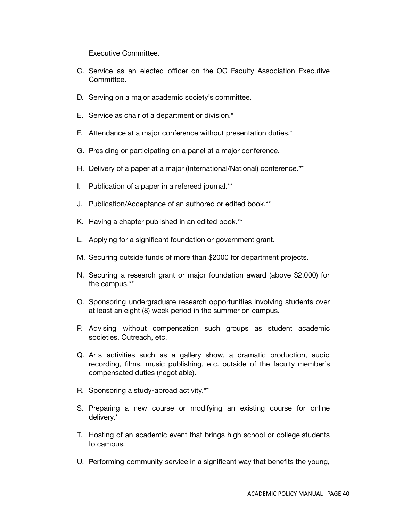Executive Committee.

- C. Service as an elected officer on the OC Faculty Association Executive Committee.
- D. Serving on a major academic society's committee.
- E. Service as chair of a department or division.\*
- F. Attendance at a major conference without presentation duties.\*
- G. Presiding or participating on a panel at a major conference.
- H. Delivery of a paper at a major (International/National) conference.\*\*
- I. Publication of a paper in a refereed journal.\*\*
- J. Publication/Acceptance of an authored or edited book.\*\*
- K. Having a chapter published in an edited book.\*\*
- L. Applying for a significant foundation or government grant.
- M. Securing outside funds of more than \$2000 for department projects.
- N. Securing a research grant or major foundation award (above \$2,000) for the campus.\*\*
- O. Sponsoring undergraduate research opportunities involving students over at least an eight (8) week period in the summer on campus.
- P. Advising without compensation such groups as student academic societies, Outreach, etc.
- Q. Arts activities such as a gallery show, a dramatic production, audio recording, films, music publishing, etc. outside of the faculty member's compensated duties (negotiable).
- R. Sponsoring a study-abroad activity.\*\*
- S. Preparing a new course or modifying an existing course for online delivery.\*
- T. Hosting of an academic event that brings high school or college students to campus.
- U. Performing community service in a significant way that benefits the young,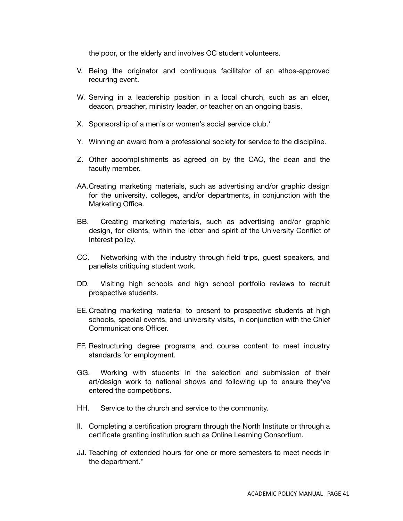the poor, or the elderly and involves OC student volunteers.

- V. Being the originator and continuous facilitator of an ethos-approved recurring event.
- W. Serving in a leadership position in a local church, such as an elder, deacon, preacher, ministry leader, or teacher on an ongoing basis.
- X. Sponsorship of a men's or women's social service club.\*
- Y. Winning an award from a professional society for service to the discipline.
- Z. Other accomplishments as agreed on by the CAO, the dean and the faculty member.
- AA.Creating marketing materials, such as advertising and/or graphic design for the university, colleges, and/or departments, in conjunction with the Marketing Office.
- BB. Creating marketing materials, such as advertising and/or graphic design, for clients, within the letter and spirit of the University Conflict of Interest policy.
- CC. Networking with the industry through field trips, guest speakers, and panelists critiquing student work.
- DD. Visiting high schools and high school portfolio reviews to recruit prospective students.
- EE.Creating marketing material to present to prospective students at high schools, special events, and university visits, in conjunction with the Chief Communications Officer.
- FF. Restructuring degree programs and course content to meet industry standards for employment.
- GG. Working with students in the selection and submission of their art/design work to national shows and following up to ensure they've entered the competitions.
- HH. Service to the church and service to the community.
- II. Completing a certification program through the North Institute or through a certificate granting institution such as Online Learning Consortium.
- JJ. Teaching of extended hours for one or more semesters to meet needs in the department.\*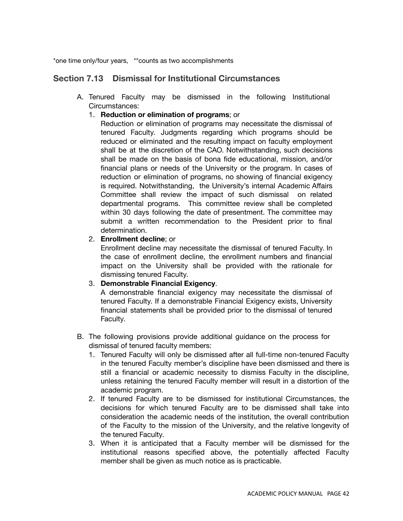\*one time only/four years, \*\*counts as two accomplishments

## **Section 7.13 Dismissal for Institutional Circumstances**

- A. Tenured Faculty may be dismissed in the following Institutional Circumstances:
	- 1. **Reduction or elimination of programs**; or

Reduction or elimination of programs may necessitate the dismissal of tenured Faculty. Judgments regarding which programs should be reduced or eliminated and the resulting impact on faculty employment shall be at the discretion of the CAO. Notwithstanding, such decisions shall be made on the basis of bona fide educational, mission, and/or financial plans or needs of the University or the program. In cases of reduction or elimination of programs, no showing of financial exigency is required. Notwithstanding, the University's internal Academic Affairs Committee shall review the impact of such dismissal on related departmental programs. This committee review shall be completed within 30 days following the date of presentment. The committee may submit a written recommendation to the President prior to final determination.

#### 2. **Enrollment decline**; or

Enrollment decline may necessitate the dismissal of tenured Faculty. In the case of enrollment decline, the enrollment numbers and financial impact on the University shall be provided with the rationale for dismissing tenured Faculty.

## 3. **Demonstrable Financial Exigency**.

A demonstrable financial exigency may necessitate the dismissal of tenured Faculty. If a demonstrable Financial Exigency exists, University financial statements shall be provided prior to the dismissal of tenured Faculty.

- B. The following provisions provide additional guidance on the process for dismissal of tenured faculty members:
	- 1. Tenured Faculty will only be dismissed after all full-time non-tenured Faculty in the tenured Faculty member's discipline have been dismissed and there is still a financial or academic necessity to dismiss Faculty in the discipline, unless retaining the tenured Faculty member will result in a distortion of the academic program.
	- 2. If tenured Faculty are to be dismissed for institutional Circumstances, the decisions for which tenured Faculty are to be dismissed shall take into consideration the academic needs of the institution, the overall contribution of the Faculty to the mission of the University, and the relative longevity of the tenured Faculty.
	- 3. When it is anticipated that a Faculty member will be dismissed for the institutional reasons specified above, the potentially affected Faculty member shall be given as much notice as is practicable.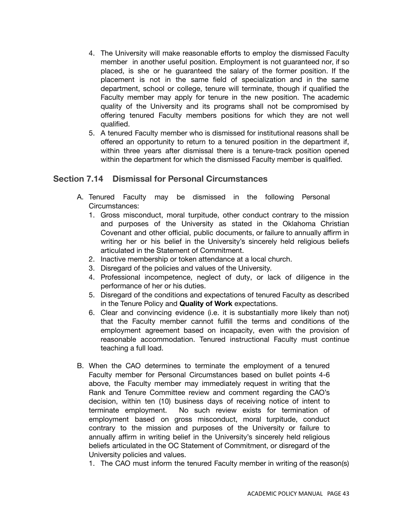- 4. The University will make reasonable efforts to employ the dismissed Faculty member in another useful position. Employment is not guaranteed nor, if so placed, is she or he guaranteed the salary of the former position. If the placement is not in the same field of specialization and in the same department, school or college, tenure will terminate, though if qualified the Faculty member may apply for tenure in the new position. The academic quality of the University and its programs shall not be compromised by offering tenured Faculty members positions for which they are not well qualified.
- 5. A tenured Faculty member who is dismissed for institutional reasons shall be offered an opportunity to return to a tenured position in the department if, within three years after dismissal there is a tenure-track position opened within the department for which the dismissed Faculty member is qualified.

## **Section 7.14 Dismissal for Personal Circumstances**

- A. Tenured Faculty may be dismissed in the following Personal Circumstances:
	- 1. Gross misconduct, moral turpitude, other conduct contrary to the mission and purposes of the University as stated in the Oklahoma Christian Covenant and other official, public documents, or failure to annually affirm in writing her or his belief in the University's sincerely held religious beliefs articulated in the Statement of Commitment.
	- 2. Inactive membership or token attendance at a local church.
	- 3. Disregard of the policies and values of the University.
	- 4. Professional incompetence, neglect of duty, or lack of diligence in the performance of her or his duties.
	- 5. Disregard of the conditions and expectations of tenured Faculty as described in the Tenure Policy and **Quality of Work** expectations.
	- 6. Clear and convincing evidence (i.e. it is substantially more likely than not) that the Faculty member cannot fulfill the terms and conditions of the employment agreement based on incapacity, even with the provision of reasonable accommodation. Tenured instructional Faculty must continue teaching a full load.
- B. When the CAO determines to terminate the employment of a tenured Faculty member for Personal Circumstances based on bullet points 4-6 above, the Faculty member may immediately request in writing that the Rank and Tenure Committee review and comment regarding the CAO's decision, within ten (10) business days of receiving notice of intent to terminate employment. No such review exists for termination of employment based on gross misconduct, moral turpitude, conduct contrary to the mission and purposes of the University or failure to annually affirm in writing belief in the University's sincerely held religious beliefs articulated in the OC Statement of Commitment, or disregard of the University policies and values.
	- 1. The CAO must inform the tenured Faculty member in writing of the reason(s)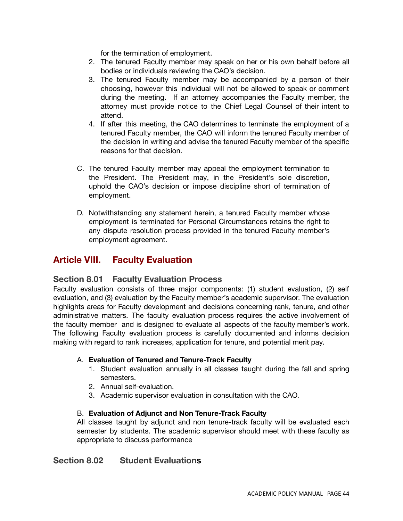for the termination of employment.

- 2. The tenured Faculty member may speak on her or his own behalf before all bodies or individuals reviewing the CAO's decision.
- 3. The tenured Faculty member may be accompanied by a person of their choosing, however this individual will not be allowed to speak or comment during the meeting. If an attorney accompanies the Faculty member, the attorney must provide notice to the Chief Legal Counsel of their intent to attend.
- 4. If after this meeting, the CAO determines to terminate the employment of a tenured Faculty member, the CAO will inform the tenured Faculty member of the decision in writing and advise the tenured Faculty member of the specific reasons for that decision.
- C. The tenured Faculty member may appeal the employment termination to the President. The President may, in the President's sole discretion, uphold the CAO's decision or impose discipline short of termination of employment.
- D. Notwithstanding any statement herein, a tenured Faculty member whose employment is terminated for Personal Circumstances retains the right to any dispute resolution process provided in the tenured Faculty member's employment agreement.

# **Article VIII. Faculty Evaluation**

## **Section 8.01 Faculty Evaluation Process**

Faculty evaluation consists of three major components: (1) student evaluation, (2) self evaluation, and (3) evaluation by the Faculty member's academic supervisor. The evaluation highlights areas for Faculty development and decisions concerning rank, tenure, and other administrative matters. The faculty evaluation process requires the active involvement of the faculty member and is designed to evaluate all aspects of the faculty member's work. The following Faculty evaluation process is carefully documented and informs decision making with regard to rank increases, application for tenure, and potential merit pay.

### A. **Evaluation of Tenured and Tenure-Track Faculty**

- 1. Student evaluation annually in all classes taught during the fall and spring semesters.
- 2. Annual self-evaluation.
- 3. Academic supervisor evaluation in consultation with the CAO.

### B. **Evaluation of Adjunct and Non Tenure-Track Faculty**

All classes taught by adjunct and non tenure-track faculty will be evaluated each semester by students. The academic supervisor should meet with these faculty as appropriate to discuss performance

## **Section 8.02 Student Evaluations**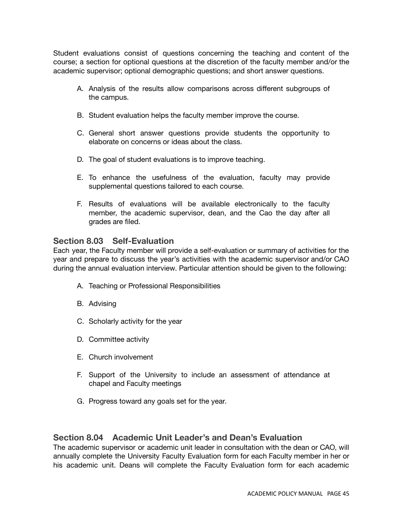Student evaluations consist of questions concerning the teaching and content of the course; a section for optional questions at the discretion of the faculty member and/or the academic supervisor; optional demographic questions; and short answer questions.

- A. Analysis of the results allow comparisons across different subgroups of the campus.
- B. Student evaluation helps the faculty member improve the course.
- C. General short answer questions provide students the opportunity to elaborate on concerns or ideas about the class.
- D. The goal of student evaluations is to improve teaching.
- E. To enhance the usefulness of the evaluation, faculty may provide supplemental questions tailored to each course.
- F. Results of evaluations will be available electronically to the faculty member, the academic supervisor, dean, and the Cao the day after all grades are filed.

### **Section 8.03 Self-Evaluation**

Each year, the Faculty member will provide a self-evaluation or summary of activities for the year and prepare to discuss the year's activities with the academic supervisor and/or CAO during the annual evaluation interview. Particular attention should be given to the following:

- A. Teaching or Professional Responsibilities
- B. Advising
- C. Scholarly activity for the year
- D. Committee activity
- E. Church involvement
- F. Support of the University to include an assessment of attendance at chapel and Faculty meetings
- G. Progress toward any goals set for the year.

## **Section 8.04 Academic Unit Leader's and Dean's Evaluation**

The academic supervisor or academic unit leader in consultation with the dean or CAO, will annually complete the University Faculty Evaluation form for each Faculty member in her or his academic unit. Deans will complete the Faculty Evaluation form for each academic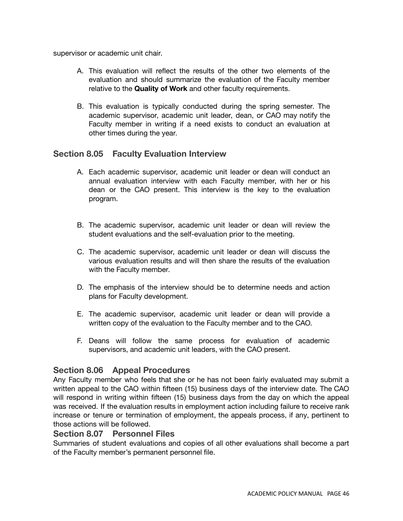supervisor or academic unit chair.

- A. This evaluation will reflect the results of the other two elements of the evaluation and should summarize the evaluation of the Faculty member relative to the **Quality of Work** and other faculty requirements.
- B. This evaluation is typically conducted during the spring semester. The academic supervisor, academic unit leader, dean, or CAO may notify the Faculty member in writing if a need exists to conduct an evaluation at other times during the year.

### **Section 8.05 Faculty Evaluation Interview**

- A. Each academic supervisor, academic unit leader or dean will conduct an annual evaluation interview with each Faculty member, with her or his dean or the CAO present. This interview is the key to the evaluation program.
- B. The academic supervisor, academic unit leader or dean will review the student evaluations and the self-evaluation prior to the meeting.
- C. The academic supervisor, academic unit leader or dean will discuss the various evaluation results and will then share the results of the evaluation with the Faculty member.
- D. The emphasis of the interview should be to determine needs and action plans for Faculty development.
- E. The academic supervisor, academic unit leader or dean will provide a written copy of the evaluation to the Faculty member and to the CAO.
- F. Deans will follow the same process for evaluation of academic supervisors, and academic unit leaders, with the CAO present.

## **Section 8.06 Appeal Procedures**

Any Faculty member who feels that she or he has not been fairly evaluated may submit a written appeal to the CAO within fifteen (15) business days of the interview date. The CAO will respond in writing within fifteen (15) business days from the day on which the appeal was received. If the evaluation results in employment action including failure to receive rank increase or tenure or termination of employment, the appeals process, if any, pertinent to those actions will be followed.

### **Section 8.07 Personnel Files**

Summaries of student evaluations and copies of all other evaluations shall become a part of the Faculty member's permanent personnel file.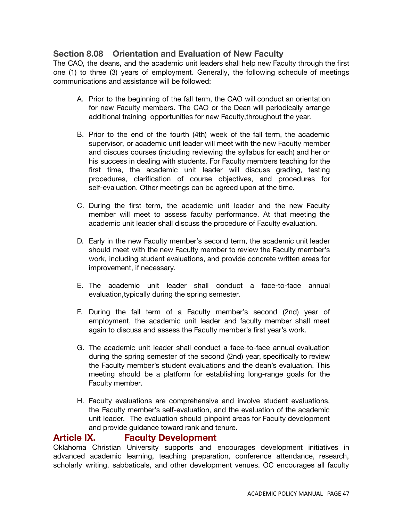# **Section 8.08 Orientation and Evaluation of New Faculty**

The CAO, the deans, and the academic unit leaders shall help new Faculty through the first one (1) to three (3) years of employment. Generally, the following schedule of meetings communications and assistance will be followed:

- A. Prior to the beginning of the fall term, the CAO will conduct an orientation for new Faculty members. The CAO or the Dean will periodically arrange additional training opportunities for new Faculty,throughout the year.
- B. Prior to the end of the fourth (4th) week of the fall term, the academic supervisor, or academic unit leader will meet with the new Faculty member and discuss courses (including reviewing the syllabus for each) and her or his success in dealing with students. For Faculty members teaching for the first time, the academic unit leader will discuss grading, testing procedures, clarification of course objectives, and procedures for self-evaluation. Other meetings can be agreed upon at the time.
- C. During the first term, the academic unit leader and the new Faculty member will meet to assess faculty performance. At that meeting the academic unit leader shall discuss the procedure of Faculty evaluation.
- D. Early in the new Faculty member's second term, the academic unit leader should meet with the new Faculty member to review the Faculty member's work, including student evaluations, and provide concrete written areas for improvement, if necessary.
- E. The academic unit leader shall conduct a face-to-face annual evaluation,typically during the spring semester.
- F. During the fall term of a Faculty member's second (2nd) year of employment, the academic unit leader and faculty member shall meet again to discuss and assess the Faculty member's first year's work.
- G. The academic unit leader shall conduct a face-to-face annual evaluation during the spring semester of the second (2nd) year, specifically to review the Faculty member's student evaluations and the dean's evaluation. This meeting should be a platform for establishing long-range goals for the Faculty member.
- H. Faculty evaluations are comprehensive and involve student evaluations, the Faculty member's self-evaluation, and the evaluation of the academic unit leader. The evaluation should pinpoint areas for Faculty development and provide guidance toward rank and tenure.

## **Article IX. Faculty Development**

Oklahoma Christian University supports and encourages development initiatives in advanced academic learning, teaching preparation, conference attendance, research, scholarly writing, sabbaticals, and other development venues. OC encourages all faculty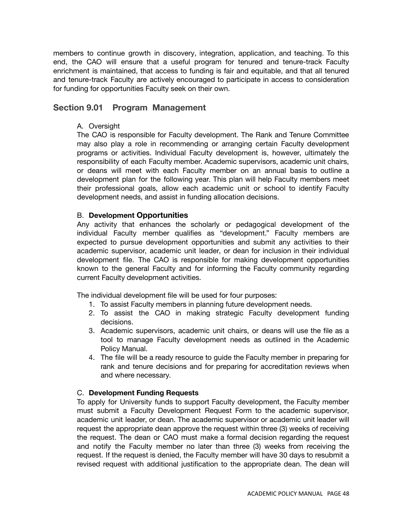members to continue growth in discovery, integration, application, and teaching. To this end, the CAO will ensure that a useful program for tenured and tenure-track Faculty enrichment is maintained, that access to funding is fair and equitable, and that all tenured and tenure-track Faculty are actively encouraged to participate in access to consideration for funding for opportunities Faculty seek on their own.

### **Section 9.01 Program Management**

#### A. Oversight

The CAO is responsible for Faculty development. The Rank and Tenure Committee may also play a role in recommending or arranging certain Faculty development programs or activities. Individual Faculty development is, however, ultimately the responsibility of each Faculty member. Academic supervisors, academic unit chairs, or deans will meet with each Faculty member on an annual basis to outline a development plan for the following year. This plan will help Faculty members meet their professional goals, allow each academic unit or school to identify Faculty development needs, and assist in funding allocation decisions.

#### B. **Development Opportunities**

Any activity that enhances the scholarly or pedagogical development of the individual Faculty member qualifies as "development." Faculty members are expected to pursue development opportunities and submit any activities to their academic supervisor, academic unit leader, or dean for inclusion in their individual development file. The CAO is responsible for making development opportunities known to the general Faculty and for informing the Faculty community regarding current Faculty development activities.

The individual development file will be used for four purposes:

- 1. To assist Faculty members in planning future development needs.
- 2. To assist the CAO in making strategic Faculty development funding decisions.
- 3. Academic supervisors, academic unit chairs, or deans will use the file as a tool to manage Faculty development needs as outlined in the Academic Policy Manual.
- 4. The file will be a ready resource to guide the Faculty member in preparing for rank and tenure decisions and for preparing for accreditation reviews when and where necessary.

#### C. **Development Funding Requests**

To apply for University funds to support Faculty development, the Faculty member must submit a Faculty Development Request Form to the academic supervisor, academic unit leader, or dean. The academic supervisor or academic unit leader will request the appropriate dean approve the request within three (3) weeks of receiving the request. The dean or CAO must make a formal decision regarding the request and notify the Faculty member no later than three (3) weeks from receiving the request. If the request is denied, the Faculty member will have 30 days to resubmit a revised request with additional justification to the appropriate dean. The dean will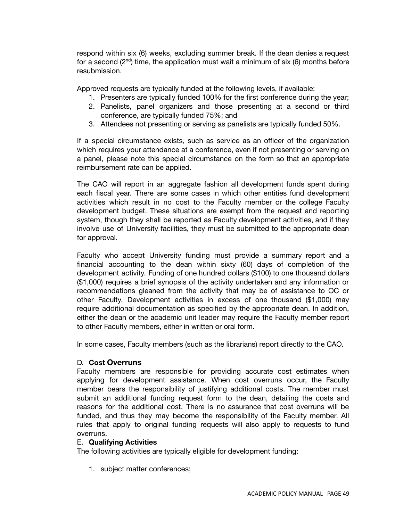respond within six (6) weeks, excluding summer break. If the dean denies a request for a second (2<sup>nd</sup>) time, the application must wait a minimum of six (6) months before resubmission.

Approved requests are typically funded at the following levels, if available:

- 1. Presenters are typically funded 100% for the first conference during the year;
- 2. Panelists, panel organizers and those presenting at a second or third conference, are typically funded 75%; and
- 3. Attendees not presenting or serving as panelists are typically funded 50%.

If a special circumstance exists, such as service as an officer of the organization which requires your attendance at a conference, even if not presenting or serving on a panel, please note this special circumstance on the form so that an appropriate reimbursement rate can be applied.

The CAO will report in an aggregate fashion all development funds spent during each fiscal year. There are some cases in which other entities fund development activities which result in no cost to the Faculty member or the college Faculty development budget. These situations are exempt from the request and reporting system, though they shall be reported as Faculty development activities, and if they involve use of University facilities, they must be submitted to the appropriate dean for approval.

Faculty who accept University funding must provide a summary report and a financial accounting to the dean within sixty (60) days of completion of the development activity. Funding of one hundred dollars (\$100) to one thousand dollars (\$1,000) requires a brief synopsis of the activity undertaken and any information or recommendations gleaned from the activity that may be of assistance to OC or other Faculty. Development activities in excess of one thousand (\$1,000) may require additional documentation as specified by the appropriate dean. In addition, either the dean or the academic unit leader may require the Faculty member report to other Faculty members, either in written or oral form.

In some cases, Faculty members (such as the librarians) report directly to the CAO.

#### D. **Cost Overruns**

Faculty members are responsible for providing accurate cost estimates when applying for development assistance. When cost overruns occur, the Faculty member bears the responsibility of justifying additional costs. The member must submit an additional funding request form to the dean, detailing the costs and reasons for the additional cost. There is no assurance that cost overruns will be funded, and thus they may become the responsibility of the Faculty member. All rules that apply to original funding requests will also apply to requests to fund overruns.

#### E. **Qualifying Activities**

The following activities are typically eligible for development funding:

1. subject matter conferences;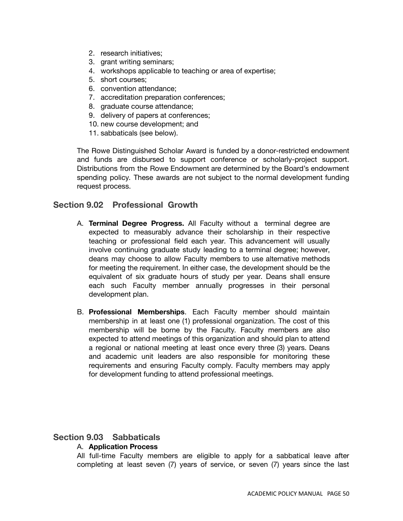- 2. research initiatives;
- 3. grant writing seminars;
- 4. workshops applicable to teaching or area of expertise;
- 5. short courses;
- 6. convention attendance;
- 7. accreditation preparation conferences;
- 8. graduate course attendance;
- 9. delivery of papers at conferences;
- 10. new course development; and
- 11. sabbaticals (see below).

The Rowe Distinguished Scholar Award is funded by a donor-restricted endowment and funds are disbursed to support conference or scholarly-project support. Distributions from the Rowe Endowment are determined by the Board's endowment spending policy. These awards are not subject to the normal development funding request process.

### **Section 9.02 Professional Growth**

- A. **Terminal Degree Progress.** All Faculty without a terminal degree are expected to measurably advance their scholarship in their respective teaching or professional field each year. This advancement will usually involve continuing graduate study leading to a terminal degree; however, deans may choose to allow Faculty members to use alternative methods for meeting the requirement. In either case, the development should be the equivalent of six graduate hours of study per year. Deans shall ensure each such Faculty member annually progresses in their personal development plan.
- B. **Professional Memberships**. Each Faculty member should maintain membership in at least one (1) professional organization. The cost of this membership will be borne by the Faculty. Faculty members are also expected to attend meetings of this organization and should plan to attend a regional or national meeting at least once every three (3) years. Deans and academic unit leaders are also responsible for monitoring these requirements and ensuring Faculty comply. Faculty members may apply for development funding to attend professional meetings.

## **Section 9.03 Sabbaticals**

### A. **Application Process**

All full-time Faculty members are eligible to apply for a sabbatical leave after completing at least seven (7) years of service, or seven (7) years since the last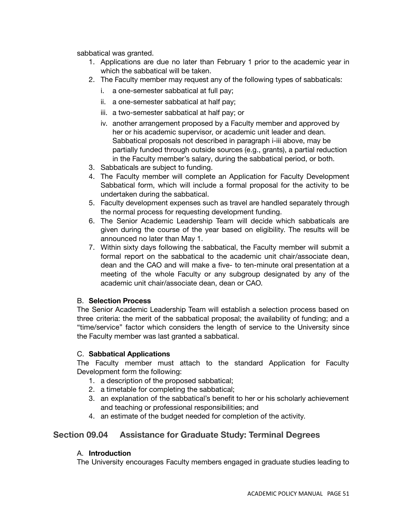sabbatical was granted.

- 1. Applications are due no later than February 1 prior to the academic year in which the sabbatical will be taken.
- 2. The Faculty member may request any of the following types of sabbaticals:
	- i. a one-semester sabbatical at full pay;
	- ii. a one-semester sabbatical at half pay;
	- iii. a two-semester sabbatical at half pay; or
	- iv. another arrangement proposed by a Faculty member and approved by her or his academic supervisor, or academic unit leader and dean. Sabbatical proposals not described in paragraph i-iii above, may be partially funded through outside sources (e.g., grants), a partial reduction in the Faculty member's salary, during the sabbatical period, or both.
- 3. Sabbaticals are subject to funding.
- 4. The Faculty member will complete an Application for Faculty Development Sabbatical form, which will include a formal proposal for the activity to be undertaken during the sabbatical.
- 5. Faculty development expenses such as travel are handled separately through the normal process for requesting development funding.
- 6. The Senior Academic Leadership Team will decide which sabbaticals are given during the course of the year based on eligibility. The results will be announced no later than May 1.
- 7. Within sixty days following the sabbatical, the Faculty member will submit a formal report on the sabbatical to the academic unit chair/associate dean, dean and the CAO and will make a five- to ten-minute oral presentation at a meeting of the whole Faculty or any subgroup designated by any of the academic unit chair/associate dean, dean or CAO.

### B. **Selection Process**

The Senior Academic Leadership Team will establish a selection process based on three criteria: the merit of the sabbatical proposal; the availability of funding; and a "time/service" factor which considers the length of service to the University since the Faculty member was last granted a sabbatical.

### C. **Sabbatical Applications**

The Faculty member must attach to the standard Application for Faculty Development form the following:

- 1. a description of the proposed sabbatical;
- 2. a timetable for completing the sabbatical;
- 3. an explanation of the sabbatical's benefit to her or his scholarly achievement and teaching or professional responsibilities; and
- 4. an estimate of the budget needed for completion of the activity.

# **Section 09.04 Assistance for Graduate Study: Terminal Degrees**

### A. **Introduction**

The University encourages Faculty members engaged in graduate studies leading to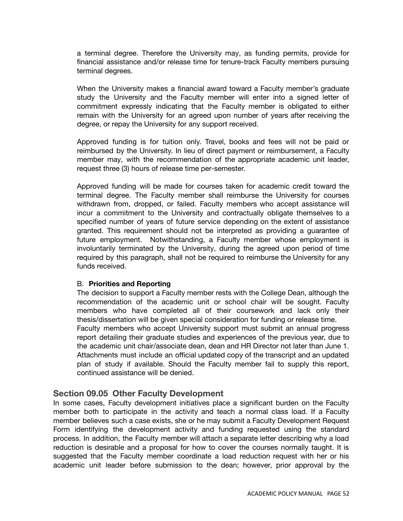a terminal degree. Therefore the University may, as funding permits, provide for financial assistance and/or release time for tenure-track Faculty members pursuing terminal degrees.

When the University makes a financial award toward a Faculty member's graduate study the University and the Faculty member will enter into a signed letter of commitment expressly indicating that the Faculty member is obligated to either remain with the University for an agreed upon number of years after receiving the degree, or repay the University for any support received.

Approved funding is for tuition only. Travel, books and fees will not be paid or reimbursed by the University. In lieu of direct payment or reimbursement, a Faculty member may, with the recommendation of the appropriate academic unit leader, request three (3) hours of release time per-semester.

Approved funding will be made for courses taken for academic credit toward the terminal degree. The Faculty member shall reimburse the University for courses withdrawn from, dropped, or failed. Faculty members who accept assistance will incur a commitment to the University and contractually obligate themselves to a specified number of years of future service depending on the extent of assistance granted. This requirement should not be interpreted as providing a guarantee of future employment. Notwithstanding, a Faculty member whose employment is involuntarily terminated by the University, during the agreed upon period of time required by this paragraph, shall not be required to reimburse the University for any funds received.

#### B. **Priorities and Reporting**

The decision to support a Faculty member rests with the College Dean, although the recommendation of the academic unit or school chair will be sought. Faculty members who have completed all of their coursework and lack only their thesis/dissertation will be given special consideration for funding or release time. Faculty members who accept University support must submit an annual progress report detailing their graduate studies and experiences of the previous year, due to the academic unit chair/associate dean, dean and HR Director not later than June 1. Attachments must include an official updated copy of the transcript and an updated plan of study if available. Should the Faculty member fail to supply this report, continued assistance will be denied.

#### **Section 09.05 Other Faculty Development**

In some cases, Faculty development initiatives place a significant burden on the Faculty member both to participate in the activity and teach a normal class load. If a Faculty member believes such a case exists, she or he may submit a Faculty Development Request Form identifying the development activity and funding requested using the standard process. In addition, the Faculty member will attach a separate letter describing why a load reduction is desirable and a proposal for how to cover the courses normally taught. It is suggested that the Faculty member coordinate a load reduction request with her or his academic unit leader before submission to the dean; however, prior approval by the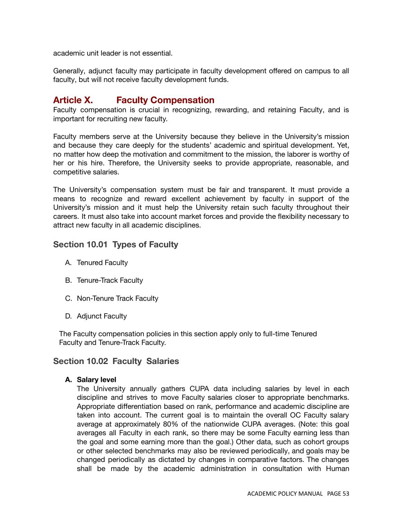academic unit leader is not essential.

Generally, adjunct faculty may participate in faculty development offered on campus to all faculty, but will not receive faculty development funds.

# **Article X. Faculty Compensation**

Faculty compensation is crucial in recognizing, rewarding, and retaining Faculty, and is important for recruiting new faculty.

Faculty members serve at the University because they believe in the University's mission and because they care deeply for the students' academic and spiritual development. Yet, no matter how deep the motivation and commitment to the mission, the laborer is worthy of her or his hire. Therefore, the University seeks to provide appropriate, reasonable, and competitive salaries.

The University's compensation system must be fair and transparent. It must provide a means to recognize and reward excellent achievement by faculty in support of the University's mission and it must help the University retain such faculty throughout their careers. It must also take into account market forces and provide the flexibility necessary to attract new faculty in all academic disciplines.

## **Section 10.01 Types of Faculty**

- A. Tenured Faculty
- B. Tenure-Track Faculty
- C. Non-Tenure Track Faculty
- D. Adjunct Faculty

The Faculty compensation policies in this section apply only to full-time Tenured Faculty and Tenure-Track Faculty.

## **Section 10.02 Faculty Salaries**

### **A. Salary level**

The University annually gathers CUPA data including salaries by level in each discipline and strives to move Faculty salaries closer to appropriate benchmarks. Appropriate differentiation based on rank, performance and academic discipline are taken into account. The current goal is to maintain the overall OC Faculty salary average at approximately 80% of the nationwide CUPA averages. (Note: this goal averages all Faculty in each rank, so there may be some Faculty earning less than the goal and some earning more than the goal.) Other data, such as cohort groups or other selected benchmarks may also be reviewed periodically, and goals may be changed periodically as dictated by changes in comparative factors. The changes shall be made by the academic administration in consultation with Human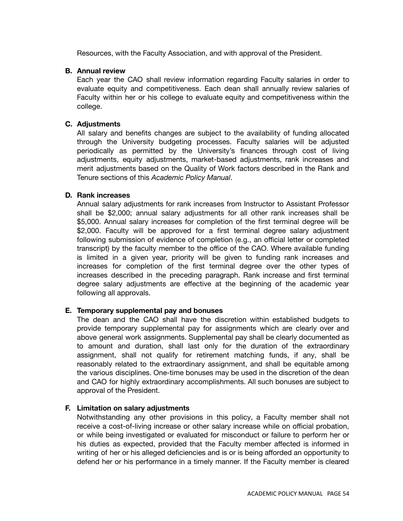Resources, with the Faculty Association, and with approval of the President.

#### **B. Annual review**

Each year the CAO shall review information regarding Faculty salaries in order to evaluate equity and competitiveness. Each dean shall annually review salaries of Faculty within her or his college to evaluate equity and competitiveness within the college.

#### **C. Adjustments**

All salary and benefits changes are subject to the availability of funding allocated through the University budgeting processes. Faculty salaries will be adjusted periodically as permitted by the University's finances through cost of living adjustments, equity adjustments, market-based adjustments, rank increases and merit adjustments based on the Quality of Work factors described in the Rank and Tenure sections of this *Academic Policy Manual*.

#### **D. Rank increases**

Annual salary adjustments for rank increases from Instructor to Assistant Professor shall be \$2,000; annual salary adjustments for all other rank increases shall be \$5,000. Annual salary increases for completion of the first terminal degree will be \$2,000. Faculty will be approved for a first terminal degree salary adjustment following submission of evidence of completion (e.g., an official letter or completed transcript) by the faculty member to the office of the CAO. Where available funding is limited in a given year, priority will be given to funding rank increases and increases for completion of the first terminal degree over the other types of increases described in the preceding paragraph. Rank increase and first terminal degree salary adjustments are effective at the beginning of the academic year following all approvals.

### **E. Temporary supplemental pay and bonuses**

The dean and the CAO shall have the discretion within established budgets to provide temporary supplemental pay for assignments which are clearly over and above general work assignments. Supplemental pay shall be clearly documented as to amount and duration, shall last only for the duration of the extraordinary assignment, shall not qualify for retirement matching funds, if any, shall be reasonably related to the extraordinary assignment, and shall be equitable among the various disciplines. One-time bonuses may be used in the discretion of the dean and CAO for highly extraordinary accomplishments. All such bonuses are subject to approval of the President.

#### **F. Limitation on salary adjustments**

Notwithstanding any other provisions in this policy, a Faculty member shall not receive a cost-of-living increase or other salary increase while on official probation, or while being investigated or evaluated for misconduct or failure to perform her or his duties as expected, provided that the Faculty member affected is informed in writing of her or his alleged deficiencies and is or is being afforded an opportunity to defend her or his performance in a timely manner. If the Faculty member is cleared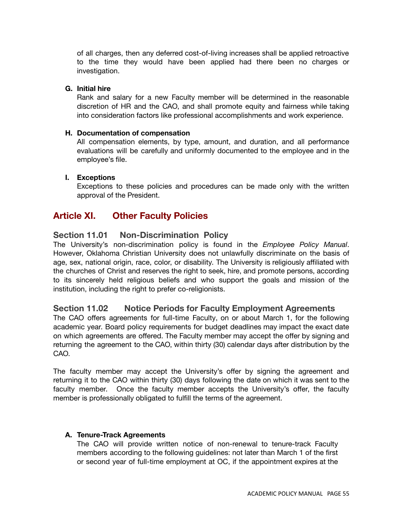of all charges, then any deferred cost-of-living increases shall be applied retroactive to the time they would have been applied had there been no charges or investigation.

## **G. Initial hire**

Rank and salary for a new Faculty member will be determined in the reasonable discretion of HR and the CAO, and shall promote equity and fairness while taking into consideration factors like professional accomplishments and work experience.

#### **H. Documentation of compensation**

All compensation elements, by type, amount, and duration, and all performance evaluations will be carefully and uniformly documented to the employee and in the employee's file.

### **I. Exceptions**

Exceptions to these policies and procedures can be made only with the written approval of the President.

# **Article XI. Other Faculty Policies**

### **Section 11.01 Non-Discrimination Policy**

The University's non-discrimination policy is found in the *Employee Policy Manual*. However, Oklahoma Christian University does not unlawfully discriminate on the basis of age, sex, national origin, race, color, or disability. The University is religiously affiliated with the churches of Christ and reserves the right to seek, hire, and promote persons, according to its sincerely held religious beliefs and who support the goals and mission of the institution, including the right to prefer co-religionists.

## **Section 11.02 Notice Periods for Faculty Employment Agreements**

The CAO offers agreements for full-time Faculty, on or about March 1, for the following academic year. Board policy requirements for budget deadlines may impact the exact date on which agreements are offered. The Faculty member may accept the offer by signing and returning the agreement to the CAO, within thirty (30) calendar days after distribution by the CAO.

The faculty member may accept the University's offer by signing the agreement and returning it to the CAO within thirty (30) days following the date on which it was sent to the faculty member. Once the faculty member accepts the University's offer, the faculty member is professionally obligated to fulfill the terms of the agreement.

#### **A. Tenure-Track Agreements**

The CAO will provide written notice of non-renewal to tenure-track Faculty members according to the following guidelines: not later than March 1 of the first or second year of full-time employment at OC, if the appointment expires at the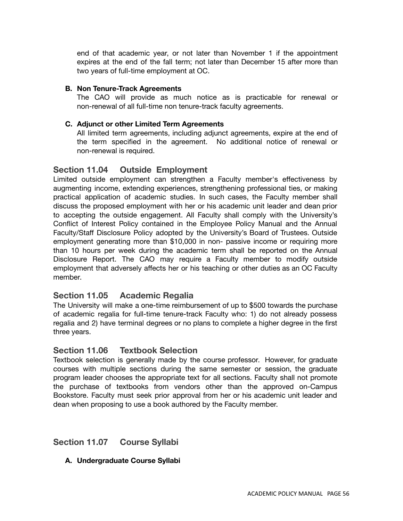end of that academic year, or not later than November 1 if the appointment expires at the end of the fall term; not later than December 15 after more than two years of full-time employment at OC.

#### **B. Non Tenure-Track Agreements**

The CAO will provide as much notice as is practicable for renewal or non-renewal of all full-time non tenure-track faculty agreements.

#### **C. Adjunct or other Limited Term Agreements**

All limited term agreements, including adjunct agreements, expire at the end of the term specified in the agreement. No additional notice of renewal or non-renewal is required.

### **Section 11.04 Outside Employment**

Limited outside employment can strengthen a Faculty member's effectiveness by augmenting income, extending experiences, strengthening professional ties, or making practical application of academic studies. In such cases, the Faculty member shall discuss the proposed employment with her or his academic unit leader and dean prior to accepting the outside engagement. All Faculty shall comply with the University's Conflict of Interest Policy contained in the Employee Policy Manual and the Annual Faculty/Staff Disclosure Policy adopted by the University's Board of Trustees. Outside employment generating more than \$10,000 in non- passive income or requiring more than 10 hours per week during the academic term shall be reported on the Annual Disclosure Report. The CAO may require a Faculty member to modify outside employment that adversely affects her or his teaching or other duties as an OC Faculty member.

### **Section 11.05 Academic Regalia**

The University will make a one-time reimbursement of up to \$500 towards the purchase of academic regalia for full-time tenure-track Faculty who: 1) do not already possess regalia and 2) have terminal degrees or no plans to complete a higher degree in the first three years.

#### **Section 11.06 Textbook Selection**

Textbook selection is generally made by the course professor. However, for graduate courses with multiple sections during the same semester or session, the graduate program leader chooses the appropriate text for all sections. Faculty shall not promote the purchase of textbooks from vendors other than the approved on-Campus Bookstore. Faculty must seek prior approval from her or his academic unit leader and dean when proposing to use a book authored by the Faculty member.

## **Section 11.07 Course Syllabi**

#### **A. Undergraduate Course Syllabi**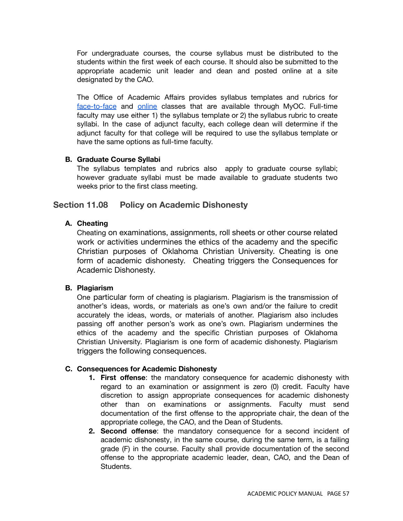For undergraduate courses, the course syllabus must be distributed to the students within the first week of each course. It should also be submitted to the appropriate academic unit leader and dean and posted online at a site designated by the CAO.

The Office of Academic Affairs provides syllabus templates and rubrics for [face-to-face](https://services.oc.edu/redirect/763) and [online](https://services.oc.edu/redirect/762) classes that are available through MyOC. Full-time faculty may use either 1) the syllabus template or 2) the syllabus rubric to create syllabi. In the case of adjunct faculty, each college dean will determine if the adjunct faculty for that college will be required to use the syllabus template or have the same options as full-time faculty.

#### **B. Graduate Course Syllabi**

The syllabus templates and rubrics also apply to graduate course syllabi; however graduate syllabi must be made available to graduate students two weeks prior to the first class meeting.

### **Section 11.08 Policy on Academic Dishonesty**

#### **A. Cheating**

Cheating on examinations, assignments, roll sheets or other course related work or activities undermines the ethics of the academy and the specific Christian purposes of Oklahoma Christian University. Cheating is one form of academic dishonesty. Cheating triggers the Consequences for Academic Dishonesty.

#### **B. Plagiarism**

One particular form of cheating is plagiarism. Plagiarism is the transmission of another's ideas, words, or materials as one's own and/or the failure to credit accurately the ideas, words, or materials of another. Plagiarism also includes passing off another person's work as one's own. Plagiarism undermines the ethics of the academy and the specific Christian purposes of Oklahoma Christian University. Plagiarism is one form of academic dishonesty. Plagiarism triggers the following consequences.

#### **C. Consequences for Academic Dishonesty**

- **1. First offense**: the mandatory consequence for academic dishonesty with regard to an examination or assignment is zero (0) credit. Faculty have discretion to assign appropriate consequences for academic dishonesty other than on examinations or assignments. Faculty must send documentation of the first offense to the appropriate chair, the dean of the appropriate college, the CAO, and the Dean of Students.
- **2. Second offense**: the mandatory consequence for a second incident of academic dishonesty, in the same course, during the same term, is a failing grade (F) in the course. Faculty shall provide documentation of the second offense to the appropriate academic leader, dean, CAO, and the Dean of Students.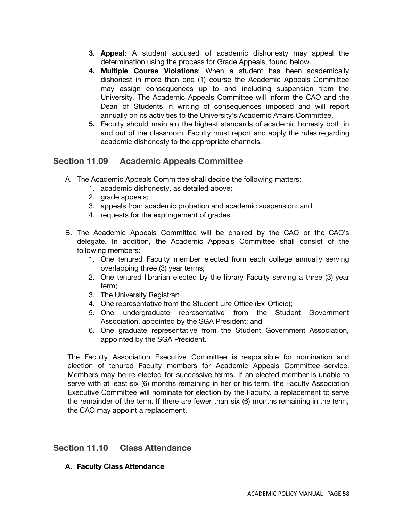- **3. Appeal**: A student accused of academic dishonesty may appeal the determination using the process for Grade Appeals, found below.
- **4. Multiple Course Violations**: When a student has been academically dishonest in more than one (1) course the Academic Appeals Committee may assign consequences up to and including suspension from the University. The Academic Appeals Committee will inform the CAO and the Dean of Students in writing of consequences imposed and will report annually on its activities to the University's Academic Affairs Committee.
- **5.** Faculty should maintain the highest standards of academic honesty both in and out of the classroom. Faculty must report and apply the rules regarding academic dishonesty to the appropriate channels.

## **Section 11.09 Academic Appeals Committee**

- A. The Academic Appeals Committee shall decide the following matters:
	- 1. academic dishonesty, as detailed above;
	- 2. grade appeals;
	- 3. appeals from academic probation and academic suspension; and
	- 4. requests for the expungement of grades.
- B. The Academic Appeals Committee will be chaired by the CAO or the CAO's delegate. In addition, the Academic Appeals Committee shall consist of the following members:
	- 1. One tenured Faculty member elected from each college annually serving overlapping three (3) year terms;
	- 2. One tenured librarian elected by the library Faculty serving a three (3) year term;
	- 3. The University Registrar;
	- 4. One representative from the Student Life Office (Ex-Officio);
	- 5. One undergraduate representative from the Student Government Association, appointed by the SGA President; and
	- 6. One graduate representative from the Student Government Association, appointed by the SGA President.

The Faculty Association Executive Committee is responsible for nomination and election of tenured Faculty members for Academic Appeals Committee service. Members may be re-elected for successive terms. If an elected member is unable to serve with at least six (6) months remaining in her or his term, the Faculty Association Executive Committee will nominate for election by the Faculty, a replacement to serve the remainder of the term. If there are fewer than six (6) months remaining in the term, the CAO may appoint a replacement.

## **Section 11.10 Class Attendance**

**A. Faculty Class Attendance**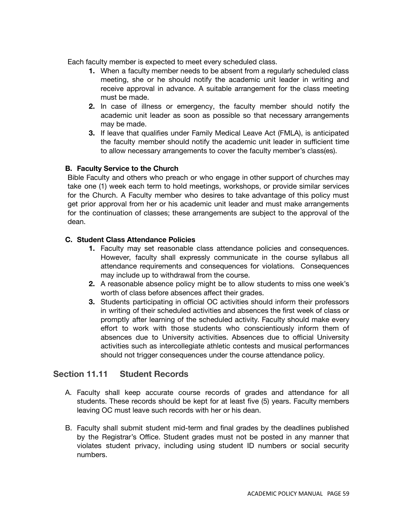Each faculty member is expected to meet every scheduled class.

- **1.** When a faculty member needs to be absent from a regularly scheduled class meeting, she or he should notify the academic unit leader in writing and receive approval in advance. A suitable arrangement for the class meeting must be made.
- **2.** In case of illness or emergency, the faculty member should notify the academic unit leader as soon as possible so that necessary arrangements may be made.
- **3.** If leave that qualifies under Family Medical Leave Act (FMLA), is anticipated the faculty member should notify the academic unit leader in sufficient time to allow necessary arrangements to cover the faculty member's class(es).

### **B. Faculty Service to the Church**

Bible Faculty and others who preach or who engage in other support of churches may take one (1) week each term to hold meetings, workshops, or provide similar services for the Church. A Faculty member who desires to take advantage of this policy must get prior approval from her or his academic unit leader and must make arrangements for the continuation of classes; these arrangements are subject to the approval of the dean.

### **C. Student Class Attendance Policies**

- **1.** Faculty may set reasonable class attendance policies and consequences. However, faculty shall expressly communicate in the course syllabus all attendance requirements and consequences for violations. Consequences may include up to withdrawal from the course.
- **2.** A reasonable absence policy might be to allow students to miss one week's worth of class before absences affect their grades.
- **3.** Students participating in official OC activities should inform their professors in writing of their scheduled activities and absences the first week of class or promptly after learning of the scheduled activity. Faculty should make every effort to work with those students who conscientiously inform them of absences due to University activities. Absences due to official University activities such as intercollegiate athletic contests and musical performances should not trigger consequences under the course attendance policy.

## **Section 11.11 Student Records**

- A. Faculty shall keep accurate course records of grades and attendance for all students. These records should be kept for at least five (5) years. Faculty members leaving OC must leave such records with her or his dean.
- B. Faculty shall submit student mid-term and final grades by the deadlines published by the Registrar's Office. Student grades must not be posted in any manner that violates student privacy, including using student ID numbers or social security numbers.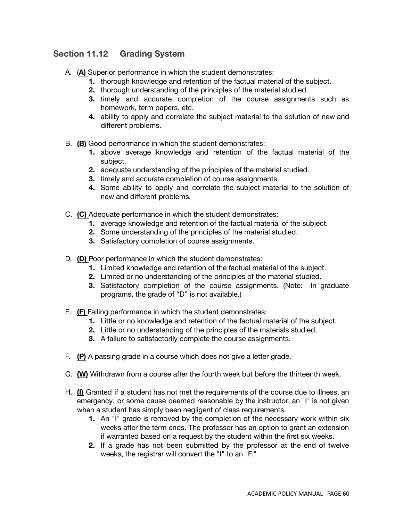# **Section 11.12 Grading System**

- A. (**A)** Superior performance in which the student demonstrates:
	- **1.** thorough knowledge and retention of the factual material of the subject.
	- **2.** thorough understanding of the principles of the material studied.
	- **3.** timely and accurate completion of the course assignments such as homework, term papers, etc.
	- **4.** ability to apply and correlate the subject material to the solution of new and different problems.
- B. **(B)** Good performance in which the student demonstrates:
	- **1.** above average knowledge and retention of the factual material of the subject.
	- **2.** adequate understanding of the principles of the material studied.
	- **3.** timely and accurate completion of course assignments.
	- **4.** Some ability to apply and correlate the subject material to the solution of new and different problems.
- C. **(C)** Adequate performance in which the student demonstrates:
	- **1.** average knowledge and retention of the factual material of the subject.
	- **2.** Some understanding of the principles of the material studied.
	- **3.** Satisfactory completion of course assignments.
- D. **(D)** Poor performance in which the student demonstrates:
	- **1.** Limited knowledge and retention of the factual material of the subject.
	- **2.** Limited or no understanding of the principles of the material studied.
	- **3.** Satisfactory completion of the course assignments. (Note: In graduate programs, the grade of "D" is not available.)
- E. **(F)** Failing performance in which the student demonstrates:
	- **1.** Little or no knowledge and retention of the factual material of the subject.
	- **2.** Little or no understanding of the principles of the materials studied.
	- **3.** A failure to satisfactorily complete the course assignments.
- F. **(P)** A passing grade in a course which does not give a letter grade.
- G. **(W)** Withdrawn from a course after the fourth week but before the thirteenth week.
- H. **(I)** Granted if a student has not met the requirements of the course due to illness, an emergency, or some cause deemed reasonable by the instructor; an "I" is not given when a student has simply been negligent of class requirements.
	- **1.** An "I" grade is removed by the completion of the necessary work within six weeks after the term ends. The professor has an option to grant an extension if warranted based on a request by the student within the first six weeks.
	- **2.** If a grade has not been submitted by the professor at the end of twelve weeks, the registrar will convert the "I" to an "F."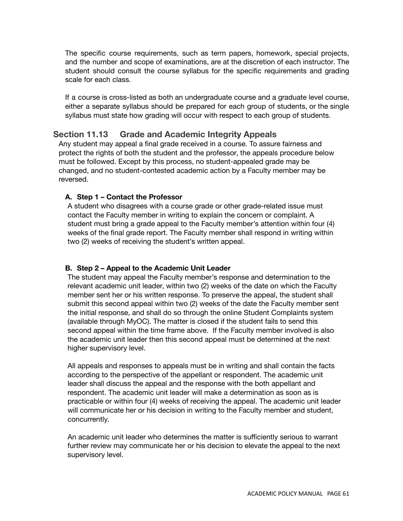The specific course requirements, such as term papers, homework, special projects, and the number and scope of examinations, are at the discretion of each instructor. The student should consult the course syllabus for the specific requirements and grading scale for each class.

If a course is cross-listed as both an undergraduate course and a graduate level course, either a separate syllabus should be prepared for each group of students, or the single syllabus must state how grading will occur with respect to each group of students.

### **Section 11.13 Grade and Academic Integrity Appeals**

Any student may appeal a final grade received in a course. To assure fairness and protect the rights of both the student and the professor, the appeals procedure below must be followed. Except by this process, no student-appealed grade may be changed, and no student-contested academic action by a Faculty member may be reversed.

#### **A. Step 1 – Contact the Professor**

A student who disagrees with a course grade or other grade-related issue must contact the Faculty member in writing to explain the concern or complaint. A student must bring a grade appeal to the Faculty member's attention within four (4) weeks of the final grade report. The Faculty member shall respond in writing within two (2) weeks of receiving the student's written appeal.

#### **B. Step 2 – Appeal to the Academic Unit Leader**

The student may appeal the Faculty member's response and determination to the relevant academic unit leader, within two (2) weeks of the date on which the Faculty member sent her or his written response. To preserve the appeal, the student shall submit this second appeal within two (2) weeks of the date the Faculty member sent the initial response, and shall do so through the online Student Complaints system (available through MyOC). The matter is closed if the student fails to send this second appeal within the time frame above. If the Faculty member involved is also the academic unit leader then this second appeal must be determined at the next higher supervisory level.

All appeals and responses to appeals must be in writing and shall contain the facts according to the perspective of the appellant or respondent. The academic unit leader shall discuss the appeal and the response with the both appellant and respondent. The academic unit leader will make a determination as soon as is practicable or within four (4) weeks of receiving the appeal. The academic unit leader will communicate her or his decision in writing to the Faculty member and student, concurrently.

An academic unit leader who determines the matter is sufficiently serious to warrant further review may communicate her or his decision to elevate the appeal to the next supervisory level.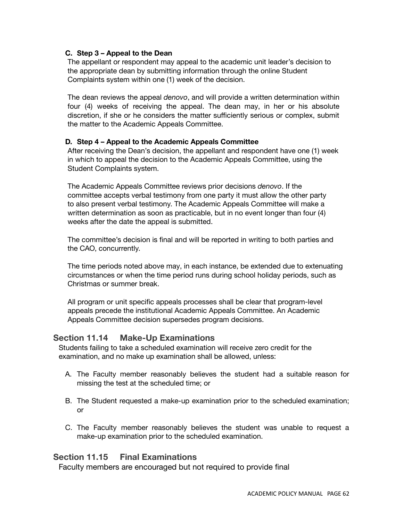### **C. Step 3 – Appeal to the Dean**

The appellant or respondent may appeal to the academic unit leader's decision to the appropriate dean by submitting information through the online Student Complaints system within one (1) week of the decision.

The dean reviews the appeal *denovo*, and will provide a written determination within four (4) weeks of receiving the appeal. The dean may, in her or his absolute discretion, if she or he considers the matter sufficiently serious or complex, submit the matter to the Academic Appeals Committee.

#### **D. Step 4 – Appeal to the Academic Appeals Committee**

After receiving the Dean's decision, the appellant and respondent have one (1) week in which to appeal the decision to the Academic Appeals Committee, using the Student Complaints system.

The Academic Appeals Committee reviews prior decisions *denovo*. If the committee accepts verbal testimony from one party it must allow the other party to also present verbal testimony. The Academic Appeals Committee will make a written determination as soon as practicable, but in no event longer than four (4) weeks after the date the appeal is submitted.

The committee's decision is final and will be reported in writing to both parties and the CAO, concurrently.

The time periods noted above may, in each instance, be extended due to extenuating circumstances or when the time period runs during school holiday periods, such as Christmas or summer break.

All program or unit specific appeals processes shall be clear that program-level appeals precede the institutional Academic Appeals Committee. An Academic Appeals Committee decision supersedes program decisions.

## **Section 11.14 Make-Up Examinations**

Students failing to take a scheduled examination will receive zero credit for the examination, and no make up examination shall be allowed, unless:

- A. The Faculty member reasonably believes the student had a suitable reason for missing the test at the scheduled time; or
- B. The Student requested a make-up examination prior to the scheduled examination; or
- C. The Faculty member reasonably believes the student was unable to request a make-up examination prior to the scheduled examination.

## **Section 11.15 Final Examinations**

Faculty members are encouraged but not required to provide final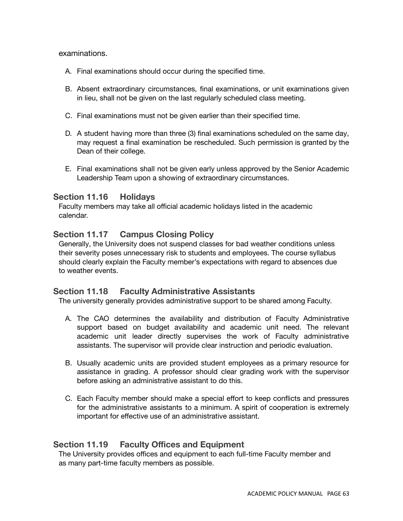### examinations.

- A. Final examinations should occur during the specified time.
- B. Absent extraordinary circumstances, final examinations, or unit examinations given in lieu, shall not be given on the last regularly scheduled class meeting.
- C. Final examinations must not be given earlier than their specified time.
- D. A student having more than three (3) final examinations scheduled on the same day, may request a final examination be rescheduled. Such permission is granted by the Dean of their college.
- E. Final examinations shall not be given early unless approved by the Senior Academic Leadership Team upon a showing of extraordinary circumstances.

### **Section 11.16 Holidays**

Faculty members may take all official academic holidays listed in the academic calendar.

## **Section 11.17 Campus Closing Policy**

Generally, the University does not suspend classes for bad weather conditions unless their severity poses unnecessary risk to students and employees. The course syllabus should clearly explain the Faculty member's expectations with regard to absences due to weather events.

### **Section 11.18 Faculty Administrative Assistants**

The university generally provides administrative support to be shared among Faculty.

- A. The CAO determines the availability and distribution of Faculty Administrative support based on budget availability and academic unit need. The relevant academic unit leader directly supervises the work of Faculty administrative assistants. The supervisor will provide clear instruction and periodic evaluation.
- B. Usually academic units are provided student employees as a primary resource for assistance in grading. A professor should clear grading work with the supervisor before asking an administrative assistant to do this.
- C. Each Faculty member should make a special effort to keep conflicts and pressures for the administrative assistants to a minimum. A spirit of cooperation is extremely important for effective use of an administrative assistant.

## **Section 11.19 Faculty Offices and Equipment**

The University provides offices and equipment to each full-time Faculty member and as many part-time faculty members as possible.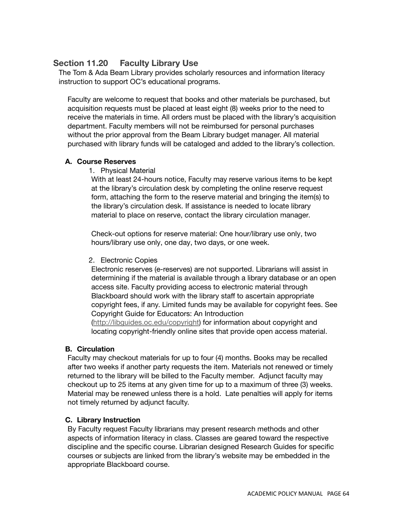# **Section 11.20 Faculty Library Use**

The Tom & Ada Beam Library provides scholarly resources and information literacy instruction to support OC's educational programs.

Faculty are welcome to request that books and other materials be purchased, but acquisition requests must be placed at least eight (8) weeks prior to the need to receive the materials in time. All orders must be placed with the library's acquisition department. Faculty members will not be reimbursed for personal purchases without the prior approval from the Beam Library budget manager. All material purchased with library funds will be cataloged and added to the library's collection.

## **A. Course Reserves**

1. Physical Material

With at least 24-hours notice, Faculty may reserve various items to be kept at the library's circulation desk by completing the online reserve request form, attaching the form to the reserve material and bringing the item(s) to the library's circulation desk. If assistance is needed to locate library material to place on reserve, contact the library circulation manager.

Check-out options for reserve material: One hour/library use only, two hours/library use only, one day, two days, or one week.

### 2. Electronic Copies

Electronic reserves (e-reserves) are not supported. Librarians will assist in determining if the material is available through a library database or an open access site. Faculty providing access to electronic material through Blackboard should work with the library staff to ascertain appropriate copyright fees, if any. Limited funds may be available for copyright fees. See Copyright Guide for Educators: An Introduction (<http://libguides.oc.edu/copyright>) for information about copyright and

locating copyright-friendly online sites that provide open access material.

## **B. Circulation**

Faculty may checkout materials for up to four (4) months. Books may be recalled after two weeks if another party requests the item. Materials not renewed or timely returned to the library will be billed to the Faculty member. Adjunct faculty may checkout up to 25 items at any given time for up to a maximum of three (3) weeks. Material may be renewed unless there is a hold. Late penalties will apply for items not timely returned by adjunct faculty.

## **C. Library Instruction**

By Faculty request Faculty librarians may present research methods and other aspects of information literacy in class. Classes are geared toward the respective discipline and the specific course. Librarian designed Research Guides for specific courses or subjects are linked from the library's website may be embedded in the appropriate Blackboard course.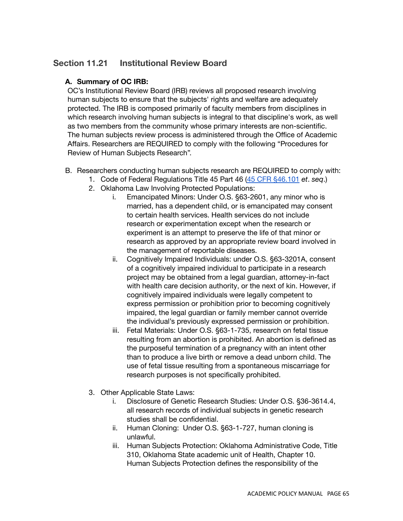# **Section 11.21 Institutional Review Board**

### **A. Summary of OC IRB:**

OC's Institutional Review Board (IRB) reviews all proposed research involving human subjects to ensure that the subjects' rights and welfare are adequately protected. The IRB is composed primarily of faculty members from disciplines in which research involving human subjects is integral to that discipline's work, as well as two members from the community whose primary interests are non-scientific. The human subjects review process is administered through the Office of Academic Affairs. Researchers are REQUIRED to comply with the following "Procedures for Review of Human Subjects Research".

- B. Researchers conducting human subjects research are REQUIRED to comply with:
	- 1. Code of Federal Regulations Title 45 Part 46 (45 CFR [§46.101](https://www.ecfr.gov/cgi-bin/text-idx?SID=352207531b52dac4718a49545f916d6f&mc=true&tpl=/ecfrbrowse/Title45/45cfr46_main_02.tpl) *et*. *seq*.)
	- 2. Oklahoma Law Involving Protected Populations:
		- i. Emancipated Minors: Under O.S. §63-2601, any minor who is married, has a dependent child, or is emancipated may consent to certain health services. Health services do not include research or experimentation except when the research or experiment is an attempt to preserve the life of that minor or research as approved by an appropriate review board involved in the management of reportable diseases.
		- ii. Cognitively Impaired Individuals: under O.S. §63-3201A, consent of a cognitively impaired individual to participate in a research project may be obtained from a legal guardian, attorney-in-fact with health care decision authority, or the next of kin. However, if cognitively impaired individuals were legally competent to express permission or prohibition prior to becoming cognitively impaired, the legal guardian or family member cannot override the individual's previously expressed permission or prohibition.
		- iii. Fetal Materials: Under O.S. §63-1-735, research on fetal tissue resulting from an abortion is prohibited. An abortion is defined as the purposeful termination of a pregnancy with an intent other than to produce a live birth or remove a dead unborn child. The use of fetal tissue resulting from a spontaneous miscarriage for research purposes is not specifically prohibited.
	- 3. Other Applicable State Laws:
		- i. Disclosure of Genetic Research Studies: Under O.S. §36-3614.4, all research records of individual subjects in genetic research studies shall be confidential.
		- ii. Human Cloning: Under O.S. §63-1-727, human cloning is unlawful.
		- iii. Human Subjects Protection: Oklahoma Administrative Code, Title 310, Oklahoma State academic unit of Health, Chapter 10. Human Subjects Protection defines the responsibility of the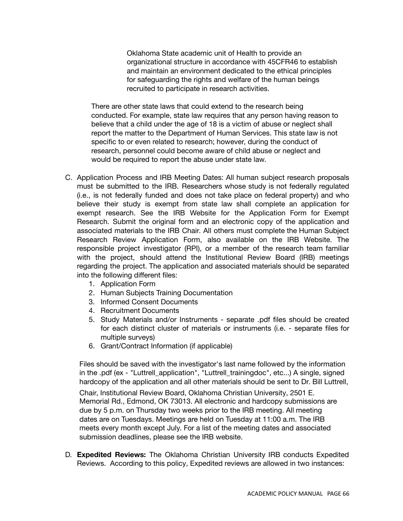Oklahoma State academic unit of Health to provide an organizational structure in accordance with 45CFR46 to establish and maintain an environment dedicated to the ethical principles for safeguarding the rights and welfare of the human beings recruited to participate in research activities.

There are other state laws that could extend to the research being conducted. For example, state law requires that any person having reason to believe that a child under the age of 18 is a victim of abuse or neglect shall report the matter to the Department of Human Services. This state law is not specific to or even related to research; however, during the conduct of research, personnel could become aware of child abuse or neglect and would be required to report the abuse under state law.

- C. Application Process and IRB Meeting Dates: All human subject research proposals must be submitted to the IRB. Researchers whose study is not federally regulated (i.e., is not federally funded and does not take place on federal property) and who believe their study is exempt from state law shall complete an application for exempt research. See the IRB Website for the Application Form for Exempt Research. Submit the original form and an electronic copy of the application and associated materials to the IRB Chair. All others must complete the Human Subject Research Review Application Form, also available on the IRB Website. The responsible project investigator (RPI), or a member of the research team familiar with the project, should attend the Institutional Review Board (IRB) meetings regarding the project. The application and associated materials should be separated into the following different files:
	- 1. Application Form
	- 2. Human Subjects Training Documentation
	- 3. Informed Consent Documents
	- 4. Recruitment Documents
	- 5. Study Materials and/or Instruments separate .pdf files should be created for each distinct cluster of materials or instruments (i.e. - separate files for multiple surveys)
	- 6. Grant/Contract Information (if applicable)

Files should be saved with the investigator's last name followed by the information in the .pdf (ex - "Luttrell\_application", "Luttrell\_trainingdoc", etc...) A single, signed hardcopy of the application and all other materials should be sent to Dr. Bill Luttrell,

Chair, Institutional Review Board, Oklahoma Christian University, 2501 E. Memorial Rd., Edmond, OK 73013. All electronic and hardcopy submissions are due by 5 p.m. on Thursday two weeks prior to the IRB meeting. All meeting dates are on Tuesdays. Meetings are held on Tuesday at 11:00 a.m. The IRB meets every month except July. For a list of the meeting dates and associated submission deadlines, please see the IRB website.

D. **Expedited Reviews:** The Oklahoma Christian University IRB conducts Expedited Reviews. According to this policy, Expedited reviews are allowed in two instances: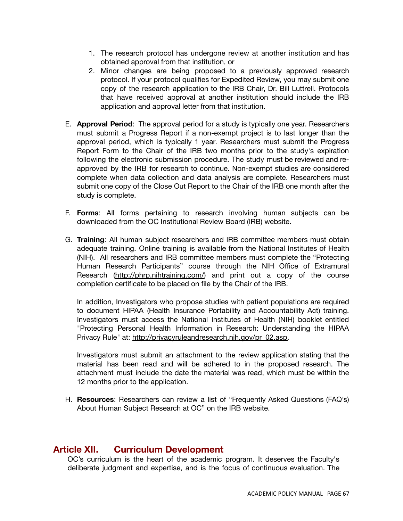- 1. The research protocol has undergone review at another institution and has obtained approval from that institution, or
- 2. Minor changes are being proposed to a previously approved research protocol. If your protocol qualifies for Expedited Review, you may submit one copy of the research application to the IRB Chair, Dr. Bill Luttrell. Protocols that have received approval at another institution should include the IRB application and approval letter from that institution.
- E. **Approval Period**: The approval period for a study is typically one year. Researchers must submit a Progress Report if a non-exempt project is to last longer than the approval period, which is typically 1 year. Researchers must submit the Progress Report Form to the Chair of the IRB two months prior to the study's expiration following the electronic submission procedure. The study must be reviewed and reapproved by the IRB for research to continue. Non-exempt studies are considered complete when data collection and data analysis are complete. Researchers must submit one copy of the Close Out Report to the Chair of the IRB one month after the study is complete.
- F. **Forms**: All forms pertaining to research involving human subjects can be downloaded from the OC Institutional Review Board (IRB) website.
- G. **Training**: All human subject researchers and IRB committee members must obtain adequate training. Online training is available from the National Institutes of Health (NIH). All researchers and IRB committee members must complete the "Protecting Human Research Participants" course through the NIH Office of Extramural Research [\(http://phrp.nihtraining.com/\)](http://phrp.nihtraining.com/)) and print out a copy of the course completion certificate to be placed on file by the Chair of the IRB.

In addition, Investigators who propose studies with patient populations are required to document HIPAA (Health Insurance Portability and Accountability Act) training. Investigators must access the National Institutes of Health (NIH) booklet entitled "Protecting Personal Health Information in Research: Understanding the HIPAA Privacy Rule" at: [http://privacyruleandresearch.nih.gov/pr\\_02.asp.](http://privacyruleandresearch.nih.gov/pr_02.asp)

Investigators must submit an attachment to the review application stating that the material has been read and will be adhered to in the proposed research. The attachment must include the date the material was read, which must be within the 12 months prior to the application.

H. **Resources**: Researchers can review a list of "Frequently Asked Questions (FAQ's) About Human Subject Research at OC" on the IRB website.

## **Article XII. Curriculum Development**

OC's curriculum is the heart of the academic program. It deserves the Faculty's deliberate judgment and expertise, and is the focus of continuous evaluation. The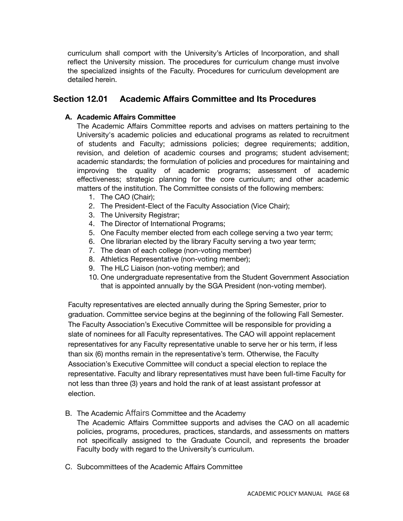curriculum shall comport with the University's Articles of Incorporation, and shall reflect the University mission. The procedures for curriculum change must involve the specialized insights of the Faculty. Procedures for curriculum development are detailed herein.

## **Section 12.01 Academic Affairs Committee and Its Procedures**

#### **A. Academic Affairs Committee**

The Academic Affairs Committee reports and advises on matters pertaining to the University's academic policies and educational programs as related to recruitment of students and Faculty; admissions policies; degree requirements; addition, revision, and deletion of academic courses and programs; student advisement; academic standards; the formulation of policies and procedures for maintaining and improving the quality of academic programs; assessment of academic effectiveness; strategic planning for the core curriculum; and other academic matters of the institution. The Committee consists of the following members:

- 1. The CAO (Chair);
- 2. The President-Elect of the Faculty Association (Vice Chair);
- 3. The University Registrar;
- 4. The Director of International Programs;
- 5. One Faculty member elected from each college serving a two year term;
- 6. One librarian elected by the library Faculty serving a two year term;
- 7. The dean of each college (non-voting member)
- 8. Athletics Representative (non-voting member);
- 9. The HLC Liaison (non-voting member); and
- 10. One undergraduate representative from the Student Government Association that is appointed annually by the SGA President (non-voting member).

Faculty representatives are elected annually during the Spring Semester, prior to graduation. Committee service begins at the beginning of the following Fall Semester. The Faculty Association's Executive Committee will be responsible for providing a slate of nominees for all Faculty representatives. The CAO will appoint replacement representatives for any Faculty representative unable to serve her or his term, if less than six (6) months remain in the representative's term. Otherwise, the Faculty Association's Executive Committee will conduct a special election to replace the representative. Faculty and library representatives must have been full-time Faculty for not less than three (3) years and hold the rank of at least assistant professor at election.

B. The Academic Affairs Committee and the Academy

The Academic Affairs Committee supports and advises the CAO on all academic policies, programs, procedures, practices, standards, and assessments on matters not specifically assigned to the Graduate Council, and represents the broader Faculty body with regard to the University's curriculum.

C. Subcommittees of the Academic Affairs Committee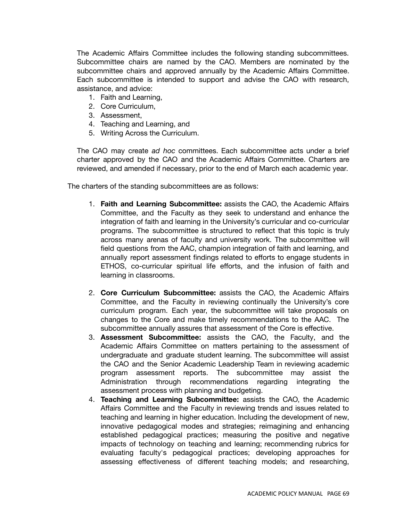The Academic Affairs Committee includes the following standing subcommittees. Subcommittee chairs are named by the CAO. Members are nominated by the subcommittee chairs and approved annually by the Academic Affairs Committee. Each subcommittee is intended to support and advise the CAO with research, assistance, and advice:

- 1. Faith and Learning,
- 2. Core Curriculum,
- 3. Assessment,
- 4. Teaching and Learning, and
- 5. Writing Across the Curriculum.

The CAO may create *ad hoc* committees. Each subcommittee acts under a brief charter approved by the CAO and the Academic Affairs Committee. Charters are reviewed, and amended if necessary, prior to the end of March each academic year.

The charters of the standing subcommittees are as follows:

- 1. **Faith and Learning Subcommittee:** assists the CAO, the Academic Affairs Committee, and the Faculty as they seek to understand and enhance the integration of faith and learning in the University's curricular and co-curricular programs. The subcommittee is structured to reflect that this topic is truly across many arenas of faculty and university work. The subcommittee will field questions from the AAC, champion integration of faith and learning, and annually report assessment findings related to efforts to engage students in ETHOS, co-curricular spiritual life efforts, and the infusion of faith and learning in classrooms.
- 2. **Core Curriculum Subcommittee:** assists the CAO, the Academic Affairs Committee, and the Faculty in reviewing continually the University's core curriculum program. Each year, the subcommittee will take proposals on changes to the Core and make timely recommendations to the AAC. The subcommittee annually assures that assessment of the Core is effective.
- 3. **Assessment Subcommittee:** assists the CAO, the Faculty, and the Academic Affairs Committee on matters pertaining to the assessment of undergraduate and graduate student learning. The subcommittee will assist the CAO and the Senior Academic Leadership Team in reviewing academic program assessment reports. The subcommittee may assist the Administration through recommendations regarding integrating the assessment process with planning and budgeting.
- 4. **Teaching and Learning Subcommittee:** assists the CAO, the Academic Affairs Committee and the Faculty in reviewing trends and issues related to teaching and learning in higher education. Including the development of new, innovative pedagogical modes and strategies; reimagining and enhancing established pedagogical practices; measuring the positive and negative impacts of technology on teaching and learning; recommending rubrics for evaluating faculty's pedagogical practices; developing approaches for assessing effectiveness of different teaching models; and researching,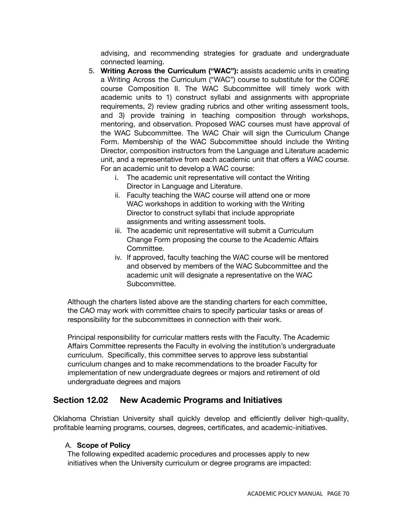advising, and recommending strategies for graduate and undergraduate connected learning.

- 5. **Writing Across the Curriculum ("WAC"):** assists academic units in creating a Writing Across the Curriculum ("WAC") course to substitute for the CORE course Composition II. The WAC Subcommittee will timely work with academic units to 1) construct syllabi and assignments with appropriate requirements, 2) review grading rubrics and other writing assessment tools, and 3) provide training in teaching composition through workshops, mentoring, and observation. Proposed WAC courses must have approval of the WAC Subcommittee. The WAC Chair will sign the Curriculum Change Form. Membership of the WAC Subcommittee should include the Writing Director, composition instructors from the Language and Literature academic unit, and a representative from each academic unit that offers a WAC course. For an academic unit to develop a WAC course:
	- i. The academic unit representative will contact the Writing Director in Language and Literature.
	- ii. Faculty teaching the WAC course will attend one or more WAC workshops in addition to working with the Writing Director to construct syllabi that include appropriate assignments and writing assessment tools.
	- iii. The academic unit representative will submit a Curriculum Change Form proposing the course to the Academic Affairs Committee.
	- iv. If approved, faculty teaching the WAC course will be mentored and observed by members of the WAC Subcommittee and the academic unit will designate a representative on the WAC Subcommittee.

Although the charters listed above are the standing charters for each committee, the CAO may work with committee chairs to specify particular tasks or areas of responsibility for the subcommittees in connection with their work.

Principal responsibility for curricular matters rests with the Faculty. The Academic Affairs Committee represents the Faculty in evolving the institution's undergraduate curriculum. Specifically, this committee serves to approve less substantial curriculum changes and to make recommendations to the broader Faculty for implementation of new undergraduate degrees or majors and retirement of old undergraduate degrees and majors

## **Section 12.02 New Academic Programs and Initiatives**

Oklahoma Christian University shall quickly develop and efficiently deliver high-quality, profitable learning programs, courses, degrees, certificates, and academic-initiatives.

#### A. **Scope of Policy**

The following expedited academic procedures and processes apply to new initiatives when the University curriculum or degree programs are impacted: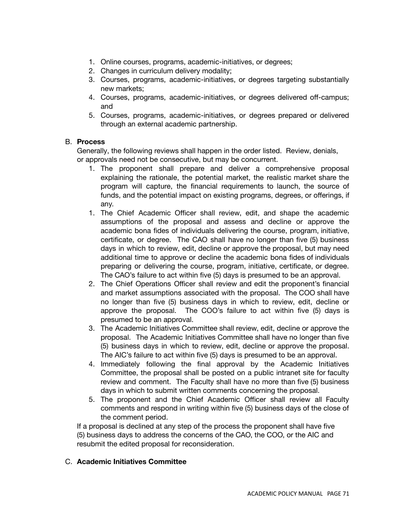- 1. Online courses, programs, academic-initiatives, or degrees;
- 2. Changes in curriculum delivery modality;
- 3. Courses, programs, academic-initiatives, or degrees targeting substantially new markets;
- 4. Courses, programs, academic-initiatives, or degrees delivered off-campus; and
- 5. Courses, programs, academic-initiatives, or degrees prepared or delivered through an external academic partnership.

#### B. **Process**

Generally, the following reviews shall happen in the order listed. Review, denials, or approvals need not be consecutive, but may be concurrent.

- 1. The proponent shall prepare and deliver a comprehensive proposal explaining the rationale, the potential market, the realistic market share the program will capture, the financial requirements to launch, the source of funds, and the potential impact on existing programs, degrees, or offerings, if any.
- 1. The Chief Academic Officer shall review, edit, and shape the academic assumptions of the proposal and assess and decline or approve the academic bona fides of individuals delivering the course, program, initiative, certificate, or degree. The CAO shall have no longer than five (5) business days in which to review, edit, decline or approve the proposal, but may need additional time to approve or decline the academic bona fides of individuals preparing or delivering the course, program, initiative, certificate, or degree. The CAO's failure to act within five (5) days is presumed to be an approval.
- 2. The Chief Operations Officer shall review and edit the proponent's financial and market assumptions associated with the proposal. The COO shall have no longer than five (5) business days in which to review, edit, decline or approve the proposal. The COO's failure to act within five (5) days is presumed to be an approval.
- 3. The Academic Initiatives Committee shall review, edit, decline or approve the proposal. The Academic Initiatives Committee shall have no longer than five (5) business days in which to review, edit, decline or approve the proposal. The AIC's failure to act within five (5) days is presumed to be an approval.
- 4. Immediately following the final approval by the Academic Initiatives Committee, the proposal shall be posted on a public intranet site for faculty review and comment. The Faculty shall have no more than five (5) business days in which to submit written comments concerning the proposal.
- 5. The proponent and the Chief Academic Officer shall review all Faculty comments and respond in writing within five (5) business days of the close of the comment period.

If a proposal is declined at any step of the process the proponent shall have five (5) business days to address the concerns of the CAO, the COO, or the AIC and resubmit the edited proposal for reconsideration.

### C. **Academic Initiatives Committee**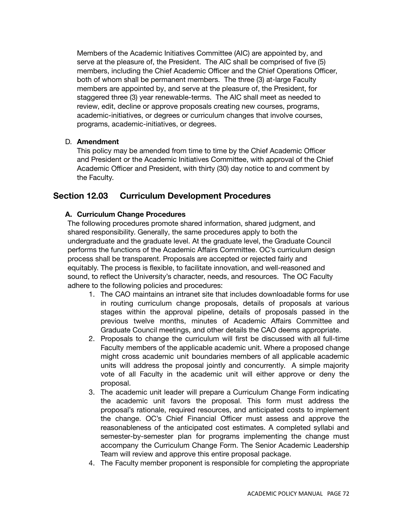Members of the Academic Initiatives Committee (AIC) are appointed by, and serve at the pleasure of, the President. The AIC shall be comprised of five (5) members, including the Chief Academic Officer and the Chief Operations Officer, both of whom shall be permanent members. The three (3) at-large Faculty members are appointed by, and serve at the pleasure of, the President, for staggered three (3) year renewable-terms. The AIC shall meet as needed to review, edit, decline or approve proposals creating new courses, programs, academic-initiatives, or degrees or curriculum changes that involve courses, programs, academic-initiatives, or degrees.

### D. **Amendment**

This policy may be amended from time to time by the Chief Academic Officer and President or the Academic Initiatives Committee, with approval of the Chief Academic Officer and President, with thirty (30) day notice to and comment by the Faculty.

## **Section 12.03 Curriculum Development Procedures**

### **A. Curriculum Change Procedures**

The following procedures promote shared information, shared judgment, and shared responsibility. Generally, the same procedures apply to both the undergraduate and the graduate level. At the graduate level, the Graduate Council performs the functions of the Academic Affairs Committee. OC's curriculum design process shall be transparent. Proposals are accepted or rejected fairly and equitably. The process is flexible, to facilitate innovation, and well-reasoned and sound, to reflect the University's character, needs, and resources. The OC Faculty adhere to the following policies and procedures:

- 1. The CAO maintains an intranet site that includes downloadable forms for use in routing curriculum change proposals, details of proposals at various stages within the approval pipeline, details of proposals passed in the previous twelve months, minutes of Academic Affairs Committee and Graduate Council meetings, and other details the CAO deems appropriate.
- 2. Proposals to change the curriculum will first be discussed with all full-time Faculty members of the applicable academic unit. Where a proposed change might cross academic unit boundaries members of all applicable academic units will address the proposal jointly and concurrently. A simple majority vote of all Faculty in the academic unit will either approve or deny the proposal.
- 3. The academic unit leader will prepare a Curriculum Change Form indicating the academic unit favors the proposal. This form must address the proposal's rationale, required resources, and anticipated costs to implement the change. OC's Chief Financial Officer must assess and approve the reasonableness of the anticipated cost estimates. A completed syllabi and semester-by-semester plan for programs implementing the change must accompany the Curriculum Change Form. The Senior Academic Leadership Team will review and approve this entire proposal package.
- 4. The Faculty member proponent is responsible for completing the appropriate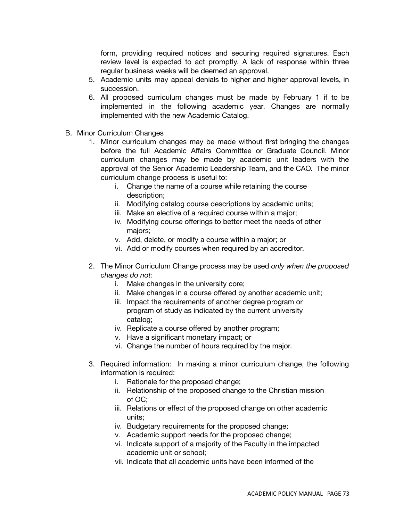form, providing required notices and securing required signatures. Each review level is expected to act promptly. A lack of response within three regular business weeks will be deemed an approval.

- 5. Academic units may appeal denials to higher and higher approval levels, in succession.
- 6. All proposed curriculum changes must be made by February 1 if to be implemented in the following academic year. Changes are normally implemented with the new Academic Catalog.
- B. Minor Curriculum Changes
	- 1. Minor curriculum changes may be made without first bringing the changes before the full Academic Affairs Committee or Graduate Council. Minor curriculum changes may be made by academic unit leaders with the approval of the Senior Academic Leadership Team, and the CAO. The minor curriculum change process is useful to:
		- i. Change the name of a course while retaining the course description;
		- ii. Modifying catalog course descriptions by academic units;
		- iii. Make an elective of a required course within a major;
		- iv. Modifying course offerings to better meet the needs of other majors;
		- v. Add, delete, or modify a course within a major; or
		- vi. Add or modify courses when required by an accreditor.
	- 2. The Minor Curriculum Change process may be used *only when the proposed changes do not*:
		- i. Make changes in the university core;
		- ii. Make changes in a course offered by another academic unit;
		- iii. Impact the requirements of another degree program or program of study as indicated by the current university catalog;
		- iv. Replicate a course offered by another program;
		- v. Have a significant monetary impact; or
		- vi. Change the number of hours required by the major.
	- 3. Required information: In making a minor curriculum change, the following information is required:
		- i. Rationale for the proposed change;
		- ii. Relationship of the proposed change to the Christian mission of OC;
		- iii. Relations or effect of the proposed change on other academic units;
		- iv. Budgetary requirements for the proposed change;
		- v. Academic support needs for the proposed change;
		- vi. Indicate support of a majority of the Faculty in the impacted academic unit or school;
		- vii. Indicate that all academic units have been informed of the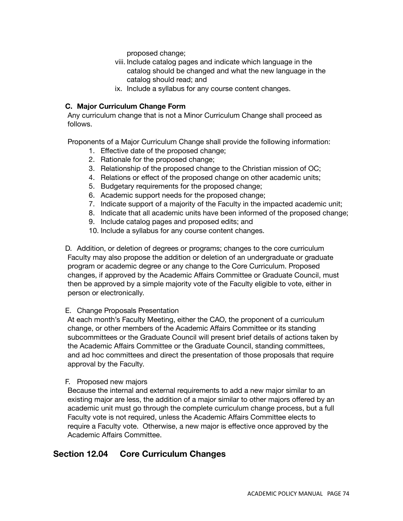proposed change;

- viii. Include catalog pages and indicate which language in the catalog should be changed and what the new language in the catalog should read; and
- ix. Include a syllabus for any course content changes.

### **C. Major Curriculum Change Form**

Any curriculum change that is not a Minor Curriculum Change shall proceed as follows.

Proponents of a Major Curriculum Change shall provide the following information:

- 1. Effective date of the proposed change;
- 2. Rationale for the proposed change;
- 3. Relationship of the proposed change to the Christian mission of OC;
- 4. Relations or effect of the proposed change on other academic units;
- 5. Budgetary requirements for the proposed change;
- 6. Academic support needs for the proposed change;
- 7. Indicate support of a majority of the Faculty in the impacted academic unit;
- 8. Indicate that all academic units have been informed of the proposed change;
- 9. Include catalog pages and proposed edits; and
- 10. Include a syllabus for any course content changes.

D. Addition, or deletion of degrees or programs; changes to the core curriculum Faculty may also propose the addition or deletion of an undergraduate or graduate program or academic degree or any change to the Core Curriculum. Proposed changes, if approved by the Academic Affairs Committee or Graduate Council, must then be approved by a simple majority vote of the Faculty eligible to vote, either in person or electronically.

### E. Change Proposals Presentation

At each month's Faculty Meeting, either the CAO, the proponent of a curriculum change, or other members of the Academic Affairs Committee or its standing subcommittees or the Graduate Council will present brief details of actions taken by the Academic Affairs Committee or the Graduate Council, standing committees, and ad hoc committees and direct the presentation of those proposals that require approval by the Faculty.

### F. Proposed new majors

Because the internal and external requirements to add a new major similar to an existing major are less, the addition of a major similar to other majors offered by an academic unit must go through the complete curriculum change process, but a full Faculty vote is not required, unless the Academic Affairs Committee elects to require a Faculty vote. Otherwise, a new major is effective once approved by the Academic Affairs Committee.

## **Section 12.04 Core Curriculum Changes**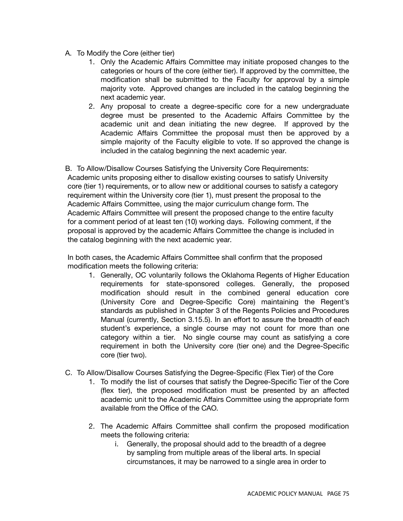- A. To Modify the Core (either tier)
	- 1. Only the Academic Affairs Committee may initiate proposed changes to the categories or hours of the core (either tier). If approved by the committee, the modification shall be submitted to the Faculty for approval by a simple majority vote. Approved changes are included in the catalog beginning the next academic year.
	- 2. Any proposal to create a degree-specific core for a new undergraduate degree must be presented to the Academic Affairs Committee by the academic unit and dean initiating the new degree. If approved by the Academic Affairs Committee the proposal must then be approved by a simple majority of the Faculty eligible to vote. If so approved the change is included in the catalog beginning the next academic year.

B. To Allow/Disallow Courses Satisfying the University Core Requirements: Academic units proposing either to disallow existing courses to satisfy University core (tier 1) requirements, or to allow new or additional courses to satisfy a category requirement within the University core (tier 1), must present the proposal to the Academic Affairs Committee, using the major curriculum change form. The Academic Affairs Committee will present the proposed change to the entire faculty for a comment period of at least ten (10) working days. Following comment, if the proposal is approved by the academic Affairs Committee the change is included in the catalog beginning with the next academic year.

In both cases, the Academic Affairs Committee shall confirm that the proposed modification meets the following criteria:

- 1. Generally, OC voluntarily follows the Oklahoma Regents of Higher Education requirements for state-sponsored colleges. Generally, the proposed modification should result in the combined general education core (University Core and Degree-Specific Core) maintaining the Regent's standards as published in Chapter 3 of the Regents Policies and Procedures Manual (currently, Section 3.15.5). In an effort to assure the breadth of each student's experience, a single course may not count for more than one category within a tier. No single course may count as satisfying a core requirement in both the University core (tier one) and the Degree-Specific core (tier two).
- C. To Allow/Disallow Courses Satisfying the Degree-Specific (Flex Tier) of the Core
	- 1. To modify the list of courses that satisfy the Degree-Specific Tier of the Core (flex tier), the proposed modification must be presented by an affected academic unit to the Academic Affairs Committee using the appropriate form available from the Office of the CAO.
	- 2. The Academic Affairs Committee shall confirm the proposed modification meets the following criteria:
		- i. Generally, the proposal should add to the breadth of a degree by sampling from multiple areas of the liberal arts. In special circumstances, it may be narrowed to a single area in order to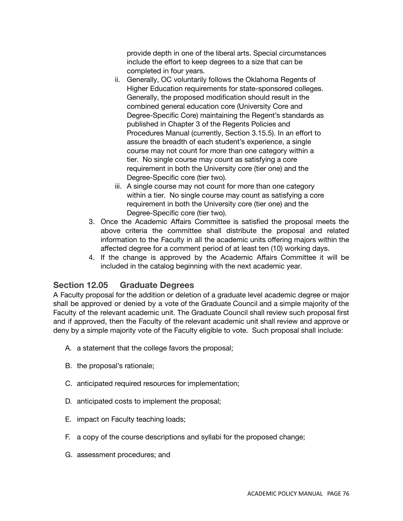provide depth in one of the liberal arts. Special circumstances include the effort to keep degrees to a size that can be completed in four years.

- ii. Generally, OC voluntarily follows the Oklahoma Regents of Higher Education requirements for state-sponsored colleges. Generally, the proposed modification should result in the combined general education core (University Core and Degree-Specific Core) maintaining the Regent's standards as published in Chapter 3 of the Regents Policies and Procedures Manual (currently, Section 3.15.5). In an effort to assure the breadth of each student's experience, a single course may not count for more than one category within a tier. No single course may count as satisfying a core requirement in both the University core (tier one) and the Degree-Specific core (tier two).
- iii. A single course may not count for more than one category within a tier. No single course may count as satisfying a core requirement in both the University core (tier one) and the Degree-Specific core (tier two).
- 3. Once the Academic Affairs Committee is satisfied the proposal meets the above criteria the committee shall distribute the proposal and related information to the Faculty in all the academic units offering majors within the affected degree for a comment period of at least ten (10) working days.
- 4. If the change is approved by the Academic Affairs Committee it will be included in the catalog beginning with the next academic year.

# **Section 12.05 Graduate Degrees**

A Faculty proposal for the addition or deletion of a graduate level academic degree or major shall be approved or denied by a vote of the Graduate Council and a simple majority of the Faculty of the relevant academic unit. The Graduate Council shall review such proposal first and if approved, then the Faculty of the relevant academic unit shall review and approve or deny by a simple majority vote of the Faculty eligible to vote. Such proposal shall include:

- A. a statement that the college favors the proposal;
- B. the proposal's rationale;
- C. anticipated required resources for implementation;
- D. anticipated costs to implement the proposal;
- E. impact on Faculty teaching loads;
- F. a copy of the course descriptions and syllabi for the proposed change;
- G. assessment procedures; and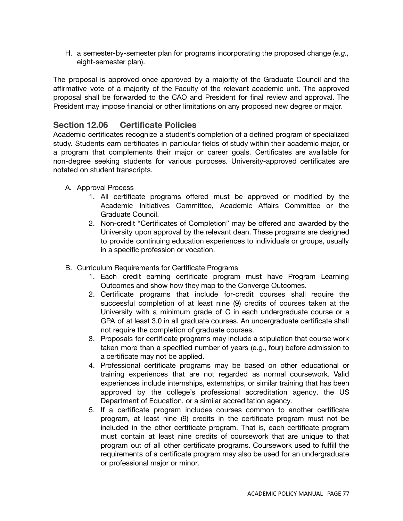H. a semester-by-semester plan for programs incorporating the proposed change (*e.g.,* eight-semester plan).

The proposal is approved once approved by a majority of the Graduate Council and the affirmative vote of a majority of the Faculty of the relevant academic unit. The approved proposal shall be forwarded to the CAO and President for final review and approval. The President may impose financial or other limitations on any proposed new degree or major.

## **Section 12.06 Certificate Policies**

Academic certificates recognize a student's completion of a defined program of specialized study. Students earn certificates in particular fields of study within their academic major, or a program that complements their major or career goals. Certificates are available for non-degree seeking students for various purposes. University-approved certificates are notated on student transcripts.

- A. Approval Process
	- 1. All certificate programs offered must be approved or modified by the Academic Initiatives Committee, Academic Affairs Committee or the Graduate Council.
	- 2. Non-credit "Certificates of Completion" may be offered and awarded by the University upon approval by the relevant dean. These programs are designed to provide continuing education experiences to individuals or groups, usually in a specific profession or vocation.
- B. Curriculum Requirements for Certificate Programs
	- 1. Each credit earning certificate program must have Program Learning Outcomes and show how they map to the Converge Outcomes.
	- 2. Certificate programs that include for-credit courses shall require the successful completion of at least nine (9) credits of courses taken at the University with a minimum grade of C in each undergraduate course or a GPA of at least 3.0 in all graduate courses. An undergraduate certificate shall not require the completion of graduate courses.
	- 3. Proposals for certificate programs may include a stipulation that course work taken more than a specified number of years (e.g., four) before admission to a certificate may not be applied.
	- 4. Professional certificate programs may be based on other educational or training experiences that are not regarded as normal coursework. Valid experiences include internships, externships, or similar training that has been approved by the college's professional accreditation agency, the US Department of Education, or a similar accreditation agency.
	- 5. If a certificate program includes courses common to another certificate program, at least nine (9) credits in the certificate program must not be included in the other certificate program. That is, each certificate program must contain at least nine credits of coursework that are unique to that program out of all other certificate programs. Coursework used to fulfill the requirements of a certificate program may also be used for an undergraduate or professional major or minor.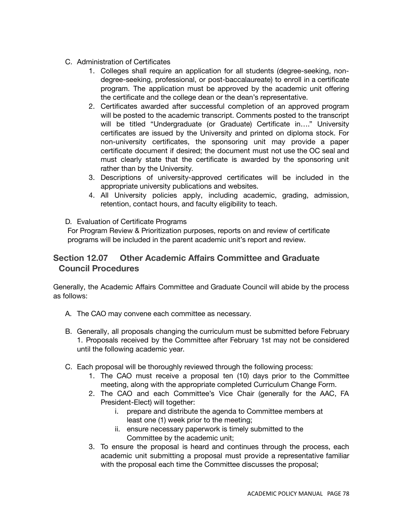- C. Administration of Certificates
	- 1. Colleges shall require an application for all students (degree-seeking, nondegree-seeking, professional, or post-baccalaureate) to enroll in a certificate program. The application must be approved by the academic unit offering the certificate and the college dean or the dean's representative.
	- 2. Certificates awarded after successful completion of an approved program will be posted to the academic transcript. Comments posted to the transcript will be titled "Undergraduate (or Graduate) Certificate in…." University certificates are issued by the University and printed on diploma stock. For non-university certificates, the sponsoring unit may provide a paper certificate document if desired; the document must not use the OC seal and must clearly state that the certificate is awarded by the sponsoring unit rather than by the University.
	- 3. Descriptions of university-approved certificates will be included in the appropriate university publications and websites.
	- 4. All University policies apply, including academic, grading, admission, retention, contact hours, and faculty eligibility to teach.
- D. Evaluation of Certificate Programs

For Program Review & Prioritization purposes, reports on and review of certificate programs will be included in the parent academic unit's report and review.

## **Section 12.07 Other Academic Affairs Committee and Graduate Council Procedures**

Generally, the Academic Affairs Committee and Graduate Council will abide by the process as follows:

- A. The CAO may convene each committee as necessary.
- B. Generally, all proposals changing the curriculum must be submitted before February 1. Proposals received by the Committee after February 1st may not be considered until the following academic year.
- C. Each proposal will be thoroughly reviewed through the following process:
	- 1. The CAO must receive a proposal ten (10) days prior to the Committee meeting, along with the appropriate completed Curriculum Change Form.
	- 2. The CAO and each Committee's Vice Chair (generally for the AAC, FA President-Elect) will together:
		- i. prepare and distribute the agenda to Committee members at least one (1) week prior to the meeting;
		- ii. ensure necessary paperwork is timely submitted to the Committee by the academic unit;
	- 3. To ensure the proposal is heard and continues through the process, each academic unit submitting a proposal must provide a representative familiar with the proposal each time the Committee discusses the proposal;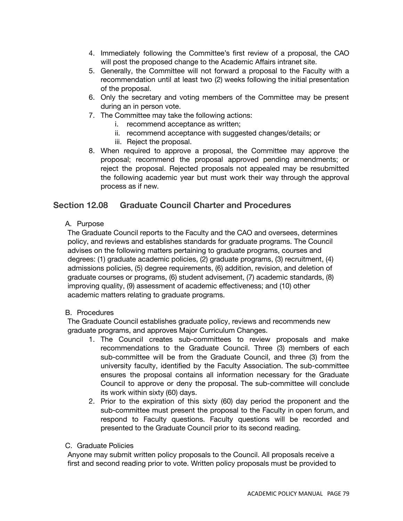- 4. Immediately following the Committee's first review of a proposal, the CAO will post the proposed change to the Academic Affairs intranet site.
- 5. Generally, the Committee will not forward a proposal to the Faculty with a recommendation until at least two (2) weeks following the initial presentation of the proposal.
- 6. Only the secretary and voting members of the Committee may be present during an in person vote.
- 7. The Committee may take the following actions:
	- i. recommend acceptance as written;
	- ii. recommend acceptance with suggested changes/details; or
	- iii. Reject the proposal.
- 8. When required to approve a proposal, the Committee may approve the proposal; recommend the proposal approved pending amendments; or reject the proposal. Rejected proposals not appealed may be resubmitted the following academic year but must work their way through the approval process as if new.

### **Section 12.08 Graduate Council Charter and Procedures**

A. Purpose

The Graduate Council reports to the Faculty and the CAO and oversees, determines policy, and reviews and establishes standards for graduate programs. The Council advises on the following matters pertaining to graduate programs, courses and degrees: (1) graduate academic policies, (2) graduate programs, (3) recruitment, (4) admissions policies, (5) degree requirements, (6) addition, revision, and deletion of graduate courses or programs, (6) student advisement, (7) academic standards, (8) improving quality, (9) assessment of academic effectiveness; and (10) other academic matters relating to graduate programs.

### B. Procedures

The Graduate Council establishes graduate policy, reviews and recommends new graduate programs, and approves Major Curriculum Changes.

- 1. The Council creates sub-committees to review proposals and make recommendations to the Graduate Council. Three (3) members of each sub-committee will be from the Graduate Council, and three (3) from the university faculty, identified by the Faculty Association. The sub-committee ensures the proposal contains all information necessary for the Graduate Council to approve or deny the proposal. The sub-committee will conclude its work within sixty (60) days.
- 2. Prior to the expiration of this sixty (60) day period the proponent and the sub-committee must present the proposal to the Faculty in open forum, and respond to Faculty questions. Faculty questions will be recorded and presented to the Graduate Council prior to its second reading.

#### C. Graduate Policies

Anyone may submit written policy proposals to the Council. All proposals receive a first and second reading prior to vote. Written policy proposals must be provided to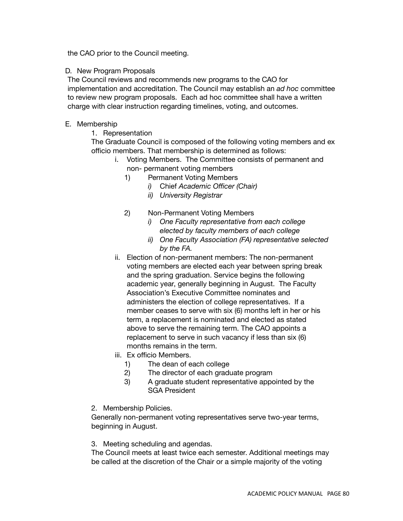the CAO prior to the Council meeting.

### D. New Program Proposals

The Council reviews and recommends new programs to the CAO for implementation and accreditation. The Council may establish an *ad hoc* committee to review new program proposals. Each ad hoc committee shall have a written charge with clear instruction regarding timelines, voting, and outcomes.

### E. Membership

1. Representation

The Graduate Council is composed of the following voting members and ex officio members. That membership is determined as follows:

- i. Voting Members. The Committee consists of permanent and
	- non- permanent voting members
	- 1) Permanent Voting Members
		- *i)* Chief *Academic Officer (Chair)*
		- *ii) University Registrar*
	- 2) Non-Permanent Voting Members
		- *i) One Faculty representative from each college elected by faculty members of each college*
		- *ii) One Faculty Association (FA) representative selected by the FA.*
- ii. Election of non-permanent members: The non-permanent voting members are elected each year between spring break and the spring graduation. Service begins the following academic year, generally beginning in August. The Faculty Association's Executive Committee nominates and administers the election of college representatives. If a member ceases to serve with six (6) months left in her or his term, a replacement is nominated and elected as stated above to serve the remaining term. The CAO appoints a replacement to serve in such vacancy if less than six (6) months remains in the term.
- iii. Ex officio Members.
	- 1) The dean of each college
	- 2) The director of each graduate program
	- 3) A graduate student representative appointed by the SGA President
- 2. Membership Policies.

Generally non-permanent voting representatives serve two-year terms, beginning in August.

3. Meeting scheduling and agendas.

The Council meets at least twice each semester. Additional meetings may be called at the discretion of the Chair or a simple majority of the voting